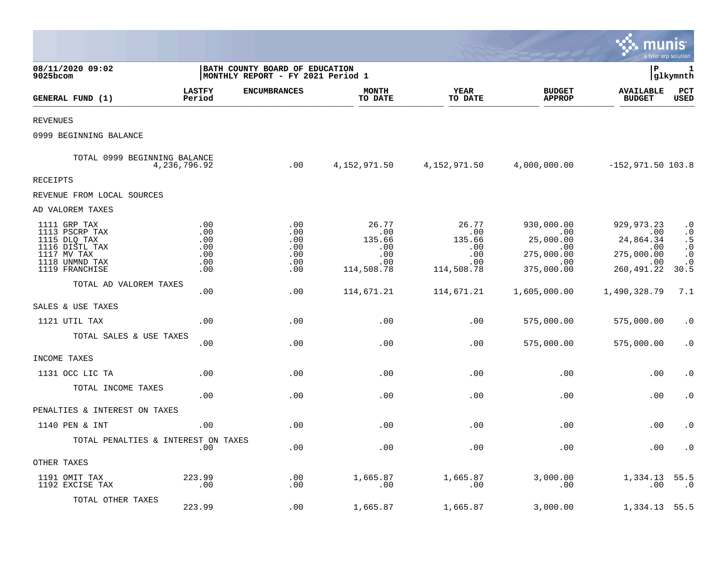|                                                                                                                     |                                               |                                                                     |                                                                 |                                                           |                                                                                      | munis                                                                                        | a tyler erp solution                                                        |
|---------------------------------------------------------------------------------------------------------------------|-----------------------------------------------|---------------------------------------------------------------------|-----------------------------------------------------------------|-----------------------------------------------------------|--------------------------------------------------------------------------------------|----------------------------------------------------------------------------------------------|-----------------------------------------------------------------------------|
| 08/11/2020 09:02<br>$9025$ bcom                                                                                     |                                               | BATH COUNTY BOARD OF EDUCATION<br>MONTHLY REPORT - FY 2021 Period 1 |                                                                 |                                                           |                                                                                      | l P                                                                                          | 1<br> glkymnth                                                              |
| GENERAL FUND (1)                                                                                                    | <b>LASTFY</b><br>Period                       | <b>ENCUMBRANCES</b>                                                 | <b>MONTH</b><br>TO DATE                                         | <b>YEAR</b><br>TO DATE                                    | <b>BUDGET</b><br><b>APPROP</b>                                                       | <b>AVAILABLE</b><br><b>BUDGET</b>                                                            | PCT<br><b>USED</b>                                                          |
| <b>REVENUES</b>                                                                                                     |                                               |                                                                     |                                                                 |                                                           |                                                                                      |                                                                                              |                                                                             |
| 0999 BEGINNING BALANCE                                                                                              |                                               |                                                                     |                                                                 |                                                           |                                                                                      |                                                                                              |                                                                             |
| TOTAL 0999 BEGINNING BALANCE                                                                                        | 4,236,796.92                                  |                                                                     | $0.00$ 4,152,971.50 4,152,971.50 4,000,000.00 -152,971.50 103.8 |                                                           |                                                                                      |                                                                                              |                                                                             |
| <b>RECEIPTS</b>                                                                                                     |                                               |                                                                     |                                                                 |                                                           |                                                                                      |                                                                                              |                                                                             |
| REVENUE FROM LOCAL SOURCES                                                                                          |                                               |                                                                     |                                                                 |                                                           |                                                                                      |                                                                                              |                                                                             |
| AD VALOREM TAXES                                                                                                    |                                               |                                                                     |                                                                 |                                                           |                                                                                      |                                                                                              |                                                                             |
| 1111 GRP TAX<br>1113 PSCRP TAX<br>1115 DLQ TAX<br>1116 DISTL TAX<br>1117 MV TAX<br>1118 UNMND TAX<br>1119 FRANCHISE | .00<br>.00<br>.00<br>.00<br>.00<br>.00<br>.00 | .00<br>.00<br>.00<br>.00<br>.00<br>.00<br>$.00 \ \,$                | 26.77<br>.00<br>135.66<br>.00<br>.00<br>.00<br>114,508.78       | 26.77<br>.00<br>135.66<br>.00<br>.00<br>.00<br>114,508.78 | 930,000.00<br>$\sim 00$<br>25,000.00<br>.00<br>275,000.00<br>$\sim 00$<br>375,000.00 | 929, 973.23<br>$\sim$ 00<br>24,864.34<br>.00<br>275,000.00<br>$\overline{00}$<br>260, 491.22 | $\cdot$ 0<br>$\cdot$ 0<br>.5<br>$\cdot$ 0<br>$\cdot$ 0<br>$\cdot$ 0<br>30.5 |
| TOTAL AD VALOREM TAXES                                                                                              | .00                                           | .00                                                                 | 114,671.21                                                      | 114,671.21                                                | 1,605,000.00                                                                         | 1,490,328.79                                                                                 | 7.1                                                                         |
| SALES & USE TAXES                                                                                                   |                                               |                                                                     |                                                                 |                                                           |                                                                                      |                                                                                              |                                                                             |
| 1121 UTIL TAX                                                                                                       | .00.                                          | .00                                                                 | .00                                                             | .00                                                       | 575,000.00                                                                           | 575,000.00                                                                                   | $\cdot$ 0                                                                   |
| TOTAL SALES & USE TAXES                                                                                             | .00                                           | .00                                                                 | .00                                                             | $.00 \,$                                                  | 575,000.00                                                                           | 575,000.00                                                                                   | $\cdot$ 0                                                                   |
| INCOME TAXES                                                                                                        |                                               |                                                                     |                                                                 |                                                           |                                                                                      |                                                                                              |                                                                             |
| 1131 OCC LIC TA                                                                                                     | .00                                           | .00                                                                 | .00                                                             | .00                                                       | .00                                                                                  | .00                                                                                          | $\cdot$ 0                                                                   |
| TOTAL INCOME TAXES                                                                                                  | .00                                           | .00                                                                 | .00                                                             | .00                                                       | .00                                                                                  | .00                                                                                          | $\cdot$ 0                                                                   |
| PENALTIES & INTEREST ON TAXES                                                                                       |                                               |                                                                     |                                                                 |                                                           |                                                                                      |                                                                                              |                                                                             |
| 1140 PEN & INT                                                                                                      | .00                                           | .00.                                                                | .00                                                             | .00                                                       | .00                                                                                  | .00                                                                                          | $\cdot$ 0                                                                   |
| TOTAL PENALTIES & INTEREST ON TAXES                                                                                 | .00                                           | .00                                                                 | .00                                                             | .00                                                       | .00                                                                                  | .00                                                                                          | $\cdot$ 0                                                                   |
| OTHER TAXES                                                                                                         |                                               |                                                                     |                                                                 |                                                           |                                                                                      |                                                                                              |                                                                             |
| 1191 OMIT TAX<br>1192 EXCISE TAX                                                                                    | 223.99<br>$\ldots$                            | .00<br>.00                                                          | 1,665.87<br>.00                                                 | 1,665.87<br>.00                                           | 3,000.00<br>.00                                                                      | 1,334.13 55.5<br>.00                                                                         | .0                                                                          |
| TOTAL OTHER TAXES                                                                                                   | 223.99                                        | .00                                                                 | 1,665.87                                                        | 1,665.87                                                  | 3,000.00                                                                             | 1,334.13 55.5                                                                                |                                                                             |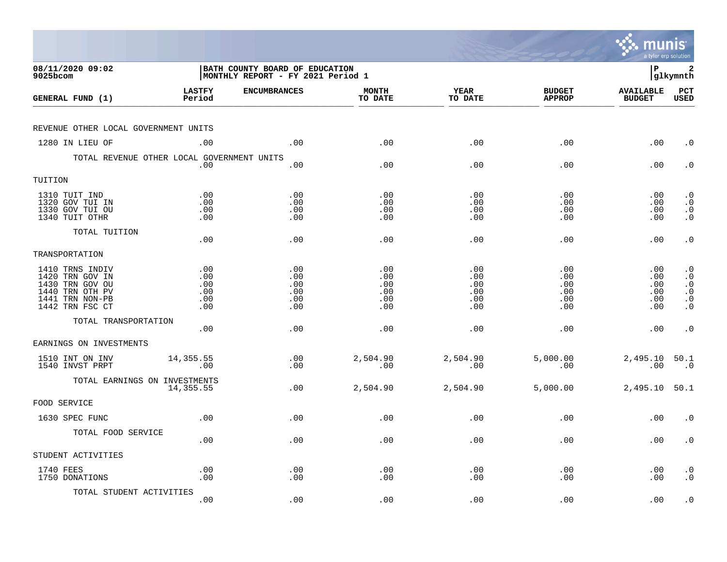|                                                                                                                |                                        |                                                                     |                                        |                                        |                                        | munis<br>a tyler erp solution               |                                                                             |
|----------------------------------------------------------------------------------------------------------------|----------------------------------------|---------------------------------------------------------------------|----------------------------------------|----------------------------------------|----------------------------------------|---------------------------------------------|-----------------------------------------------------------------------------|
| 08/11/2020 09:02<br>$9025$ bcom                                                                                |                                        | BATH COUNTY BOARD OF EDUCATION<br>MONTHLY REPORT - FY 2021 Period 1 |                                        |                                        |                                        | l P                                         | 2<br> glkymnth                                                              |
| GENERAL FUND (1)                                                                                               | <b>LASTFY</b><br>Period                | <b>ENCUMBRANCES</b>                                                 | <b>MONTH</b><br>TO DATE                | YEAR<br>TO DATE                        | <b>BUDGET</b><br><b>APPROP</b>         | <b>AVAILABLE</b><br><b>BUDGET</b>           | $_{\rm PCT}$<br><b>USED</b>                                                 |
| REVENUE OTHER LOCAL GOVERNMENT UNITS                                                                           |                                        |                                                                     |                                        |                                        |                                        |                                             |                                                                             |
| 1280 IN LIEU OF                                                                                                | .00                                    | .00                                                                 | .00                                    | .00                                    | .00                                    | .00                                         | $\cdot$ 0                                                                   |
| TOTAL REVENUE OTHER LOCAL GOVERNMENT UNITS                                                                     | .00                                    | .00                                                                 | .00                                    | .00                                    | .00                                    | .00                                         | $\cdot$ 0                                                                   |
| TUITION                                                                                                        |                                        |                                                                     |                                        |                                        |                                        |                                             |                                                                             |
| 1310 TUIT IND<br>1320 GOV TUI IN<br>1330 GOV TUI OU<br>1340 TUIT OTHR                                          | .00<br>.00<br>.00<br>.00               | .00<br>.00<br>.00<br>.00                                            | .00<br>.00<br>.00<br>.00               | .00<br>.00<br>.00<br>.00               | .00<br>.00<br>.00<br>.00               | $.00 \,$<br>$.00 \,$<br>.00<br>$.00 \,$     | $\cdot$ 0<br>$\cdot$ 0<br>$\begin{smallmatrix} 0\\ \cdot \end{smallmatrix}$ |
| TOTAL TUITION                                                                                                  | .00                                    | .00                                                                 | .00                                    | .00                                    | .00                                    | .00                                         | $\cdot$ 0                                                                   |
| TRANSPORTATION                                                                                                 |                                        |                                                                     |                                        |                                        |                                        |                                             |                                                                             |
| 1410 TRNS INDIV<br>1420 TRN GOV IN<br>1430 TRN GOV OU<br>1440 TRN OTH PV<br>1441 TRN NON-PB<br>1442 TRN FSC CT | .00<br>.00<br>.00<br>.00<br>.00<br>.00 | .00<br>.00<br>.00<br>.00<br>.00<br>.00                              | .00<br>.00<br>.00<br>.00<br>.00<br>.00 | .00<br>.00<br>.00<br>.00<br>.00<br>.00 | .00<br>.00<br>.00<br>.00<br>.00<br>.00 | .00<br>.00<br>$.00 \,$<br>.00<br>.00<br>.00 | $\cdot$ 0<br>$\cdot$ 0<br>$\cdot$ 0<br>$\cdot$ 0<br>$\cdot$ 0<br>$\cdot$ 0  |
| TOTAL TRANSPORTATION                                                                                           | .00                                    | .00                                                                 | .00                                    | .00                                    | .00                                    | $.00 \,$                                    | $\cdot$ 0                                                                   |
| EARNINGS ON INVESTMENTS                                                                                        |                                        |                                                                     |                                        |                                        |                                        |                                             |                                                                             |
| 1510 INT ON INV<br>1540 INVST PRPT                                                                             | 14,355.55<br>.00                       | .00<br>.00                                                          | 2,504.90<br>.00                        | 2,504.90<br>.00                        | 5,000.00<br>.00                        | 2,495.10 50.1<br>.00                        | $\overline{\phantom{0}}$ .0                                                 |
| TOTAL EARNINGS ON INVESTMENTS                                                                                  | 14,355.55                              | .00                                                                 | 2,504.90                               | 2,504.90                               | 5,000.00                               | 2,495.10 50.1                               |                                                                             |
| FOOD SERVICE                                                                                                   |                                        |                                                                     |                                        |                                        |                                        |                                             |                                                                             |
| 1630 SPEC FUNC                                                                                                 | .00                                    | .00                                                                 | .00                                    | .00                                    | .00                                    | .00                                         | $\cdot$ 0                                                                   |
| TOTAL FOOD SERVICE                                                                                             | .00                                    | .00                                                                 | .00                                    | .00                                    | .00                                    | $.00 \,$                                    | $\cdot$ 0                                                                   |
| STUDENT ACTIVITIES                                                                                             |                                        |                                                                     |                                        |                                        |                                        |                                             |                                                                             |
| 1740 FEES<br>1750 DONATIONS                                                                                    | .00<br>.00                             | .00<br>.00                                                          | .00<br>.00                             | .00<br>.00                             | .00<br>.00                             | $.00 \,$<br>.00                             | $\cdot$ 0<br>$\cdot$ 0                                                      |
| TOTAL STUDENT ACTIVITIES                                                                                       | .00                                    | .00                                                                 | .00                                    | .00                                    | .00                                    | .00                                         | $\cdot$ 0                                                                   |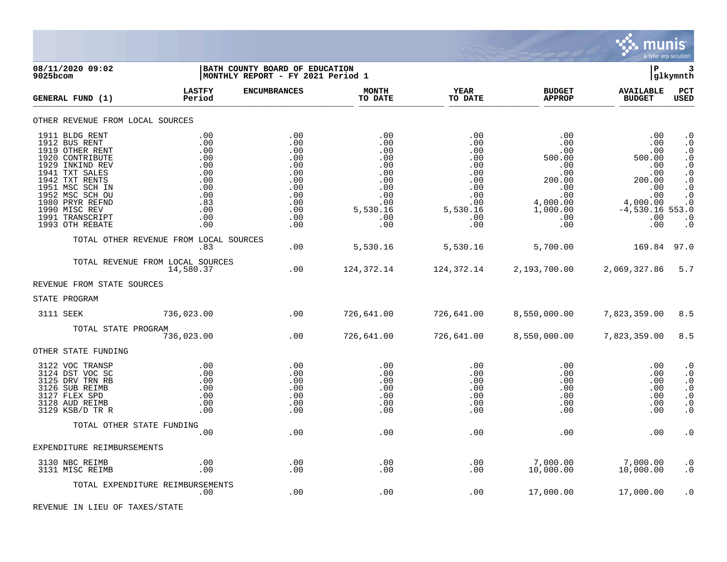

08/11/2020 09:02 **| BATH COUNTY BOARD OF EDUCATION**<br>9025bcom **| BATH COUNTY BOARD OF EDUCATION | BATH COUNTY BOARD OF EDUCATION |MONTHLY REPORT - FY 2021 Period 1 LASTFY ENCUMBRANCES MONTH YEAR BUDGET AVAILABLE PCT GENERAL FUND (1) Period TO DATE TO DATE APPROP BUDGET USED** TO DATE THE RELIGION CONDUCT TO DATE THE RELIGION CONDUCT TO DATE THE RELIGION OF THE RELIGION OF THE RELIGION OF THE RELIGION OF THE RELIGION OF THE RELIGION OF THE RELIGION OF THE RELIGION OF THE RELIGION OF THE RELIGION OTHER REVENUE FROM LOCAL SOURCES 1911 BLDG RENT .00 .00 .00 .00 .00 .00 .0 1912 BUS RENT .00 .00 .00 .00 .00 .00 .0 1919 OTHER RENT .00 .00 .00 .00 .00 .00 .0 1920 CONTRIBUTE .00 .00 .00 .00 500.00 500.00 .0 1929 INKIND REV .00 .00 .00 .00 .00 .00 .0 1941 TXT SALES .00 .00 .00 .00 .00 .00 .0 1942 TXT RENTS .00 .00 .00 .00 200.00 200.00 .0 1951 MSC SCH IN .00 .00 .00 .00 .00 .00 .0 1952 MSC SCH OU .00 .00 .00 .00 .00 .00 .0 1980 PRYR REFND .83 .00 .00 .00 4,000.00 4,000.00 .0 1990 MISC REV .00 .00 5,530.16 5,530.16 1,000.00 -4,530.16 553.0 1991 TRANSCRIPT .00 .00 .00 .00 .00 .00 .0 1993 OTH REBATE .00 .00 .00 .00 .00 .00 .0 TOTAL OTHER REVENUE FROM LOCAL SOURCES .83 .00 5,530.16 5,530.16 5,700.00 169.84 97.0 TOTAL REVENUE FROM LOCAL SOURCES<br>14.580.37 14,580.37 .00 124,372.14 124,372.14 2,193,700.00 2,069,327.86 5.7 REVENUE FROM STATE SOURCES STATE PROGRAM 3111 SEEK 30 736,023.00 .00 726,641.00 726,641.00 8,550,000.00 7,823,359.00 8.5 TOTAL STATE PROGRAM 736,023.00 .00 726,641.00 726,641.00 8,550,000.00 7,823,359.00 8.5 OTHER STATE FUNDING 3122 VOC TRANSP .00 .00 .00 .00 .00 .00 .0 3124 DST VOC SC .00 .00 .00 .00 .00 .00 .0 3125 DRV TRN RB .00 .00 .00 .00 .00 .00 .0 3126 SUB REIMB .00 .00 .00 .00 .00 .00 .0 3127 FLEX SPD .00 .00 .00 .00 .00 .00 .0 3128 AUD REIMB .00 .00 .00 .00 .00 .00 .0 3129 KSB/D TR R .00 .00 .00 .00 .00 .00 .0 TOTAL OTHER STATE FUNDING .00 .00 .00 .00 .00 .00 .0 EXPENDITURE REIMBURSEMENTS 3130 NBC REIMB .00 .00 .00 .00 7,000.00 7,000.00 .0 3131 MISC REIMB .00 .00 .00 .00 10,000.00 10,000.00 .0 TOTAL EXPENDITURE REIMBURSEMENTS .00 .00 .00 .00 17,000.00 17,000.00 .0

REVENUE IN LIEU OF TAXES/STATE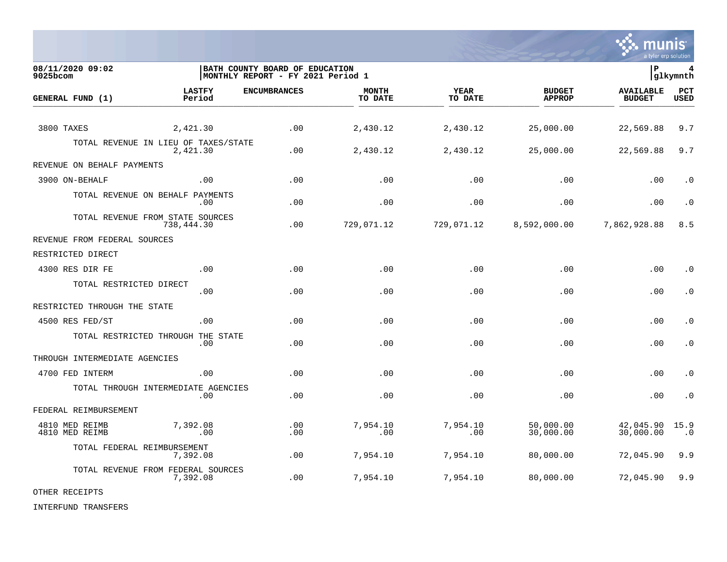

**08/11/2020 09:02 |BATH COUNTY BOARD OF EDUCATION |P 4 9025bcom |MONTHLY REPORT - FY 2021 Period 1 |glkymnth LASTFY ENCUMBRANCES MONTH YEAR BUDGET AVAILABLE PCT GENERAL FUND (1) Period TO DATE TO DATE APPROP BUDGET USED** TO DATE THE RELIGION CONDUCT TO DATE THE RELIGION CONDUCT TO DATE THE RELIGION OF THE RELIGION OF THE RELIGION OF THE RELIGION OF THE RELIGION OF THE RELIGION OF THE RELIGION OF THE RELIGION OF THE RELIGION OF THE RELIGION 3800 TAXES 2,421.30 .00 2,430.12 2,430.12 25,000.00 22,569.88 9.7 TOTAL REVENUE IN LIEU OF TAXES/STATE<br>2.421.30 2,421.30 .00 2,430.12 2,430.12 25,000.00 22,569.88 9.7 REVENUE ON BEHALF PAYMENTS 3900 ON-BEHALF .00 .00 .00 .00 .00 .00 .0 TOTAL REVENUE ON BEHALF PAYMENTS .00 .00 .00 .00 .00 .00 .0 TOTAL REVENUE FROM STATE SOURCES 738,444.30 .00 729,071.12 729,071.12 8,592,000.00 7,862,928.88 8.5 REVENUE FROM FEDERAL SOURCES RESTRICTED DIRECT 4300 RES DIR FE .00 .00 .00 .00 .00 .00 .0 TOTAL RESTRICTED DIRECT .00 .00 .00 .00 .00 .00 .0 RESTRICTED THROUGH THE STATE 4500 RES FED/ST .00 .00 .00 .00 .00 .00 .0 TOTAL RESTRICTED THROUGH THE STATE .00 .00 .00 .00 .00 .00 .0 THROUGH INTERMEDIATE AGENCIES 4700 FED INTERM .00 .00 .00 .00 .00 .00 .0 TOTAL THROUGH INTERMEDIATE AGENCIES .00 .00 .00 .00 .00 .00 .0 FEDERAL REIMBURSEMENT 4810 MED REIMB 7,392.08 .00 7,954.10 7,954.10 50,000.00 42,045.90 15.9 4810 MED REIMB .00 .00 .00 .00 30,000.00 30,000.00 .0 TOTAL FEDERAL REIMBURSEMENT 7,392.08 .00 7,954.10 7,954.10 80,000.00 72,045.90 9.9 TOTAL REVENUE FROM FEDERAL SOURCES 7,392.08 .00 7,954.10 7,954.10 80,000.00 72,045.90 9.9

OTHER RECEIPTS

INTERFUND TRANSFERS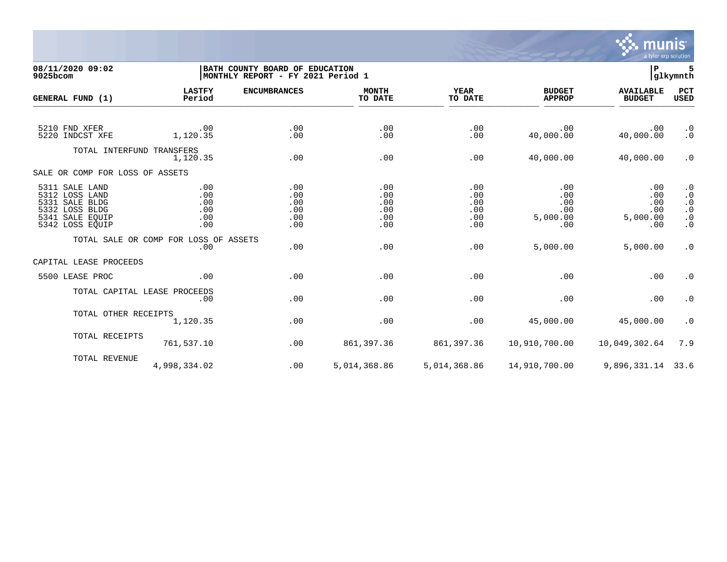

## **08/11/2020 09:02 |BATH COUNTY BOARD OF EDUCATION |P 5 9025bcom |MONTHLY REPORT - FY 2021 Period 1 |glkymnth**

| GENERAL FUND (1)                                                                                                    | <b>LASTFY</b><br>Period                      | <b>ENCUMBRANCES</b>                    | <b>MONTH</b><br>TO DATE                | <b>YEAR</b><br>TO DATE                 | <b>BUDGET</b><br><b>APPROP</b>              | <b>AVAILABLE</b><br><b>BUDGET</b>           | PCT<br><b>USED</b>                                                                  |
|---------------------------------------------------------------------------------------------------------------------|----------------------------------------------|----------------------------------------|----------------------------------------|----------------------------------------|---------------------------------------------|---------------------------------------------|-------------------------------------------------------------------------------------|
| 5210 FND XFER<br>5220 INDCST XFE                                                                                    | .00<br>1,120.35                              | .00<br>.00                             | .00<br>.00                             | .00<br>.00                             | .00<br>40,000.00                            | .00<br>40,000.00                            | $\cdot$ 0<br>$\cdot$ 0                                                              |
| TOTAL INTERFUND TRANSFERS                                                                                           | 1,120.35                                     | .00                                    | .00                                    | .00                                    | 40,000.00                                   | 40,000.00                                   | $\cdot$ 0                                                                           |
| SALE OR COMP FOR LOSS OF ASSETS                                                                                     |                                              |                                        |                                        |                                        |                                             |                                             |                                                                                     |
| 5311 SALE LAND<br>5312<br>LOSS LAND<br>SALE BLDG<br>5331<br>5332<br>LOSS BLDG<br>5341 SALE EQUIP<br>5342 LOSS EQUIP | .00<br>.00<br>.00<br>.00<br>.00<br>.00       | .00<br>.00<br>.00<br>.00<br>.00<br>.00 | .00<br>.00<br>.00<br>.00<br>.00<br>.00 | .00<br>.00<br>.00<br>.00<br>.00<br>.00 | .00<br>.00<br>.00<br>.00<br>5,000.00<br>.00 | .00<br>.00<br>.00<br>.00<br>5,000.00<br>.00 | $\cdot$ 0<br>$\cdot$ 0<br>$\cdot$ 0<br>. $\boldsymbol{0}$<br>$\cdot$ 0<br>$\cdot$ 0 |
|                                                                                                                     | TOTAL SALE OR COMP FOR LOSS OF ASSETS<br>.00 | .00                                    | .00                                    | .00                                    | 5,000.00                                    | 5,000.00                                    | $\cdot$ 0                                                                           |
| CAPITAL LEASE PROCEEDS                                                                                              |                                              |                                        |                                        |                                        |                                             |                                             |                                                                                     |
| 5500 LEASE PROC                                                                                                     | .00                                          | .00                                    | .00                                    | .00                                    | .00                                         | .00                                         | $\cdot$ 0                                                                           |
|                                                                                                                     | TOTAL CAPITAL LEASE PROCEEDS<br>.00          | .00                                    | .00                                    | .00                                    | .00                                         | .00                                         | $\cdot$ 0                                                                           |
| TOTAL OTHER RECEIPTS                                                                                                | 1,120.35                                     | .00                                    | .00                                    | .00                                    | 45,000.00                                   | 45,000.00                                   | $\cdot$ 0                                                                           |
| TOTAL RECEIPTS                                                                                                      | 761,537.10                                   | .00                                    | 861,397.36                             | 861,397.36                             | 10,910,700.00                               | 10,049,302.64                               | 7.9                                                                                 |
| TOTAL REVENUE                                                                                                       | 4,998,334.02                                 | .00                                    | 5,014,368.86                           | 5,014,368.86                           | 14,910,700.00                               | 9,896,331.14                                | 33.6                                                                                |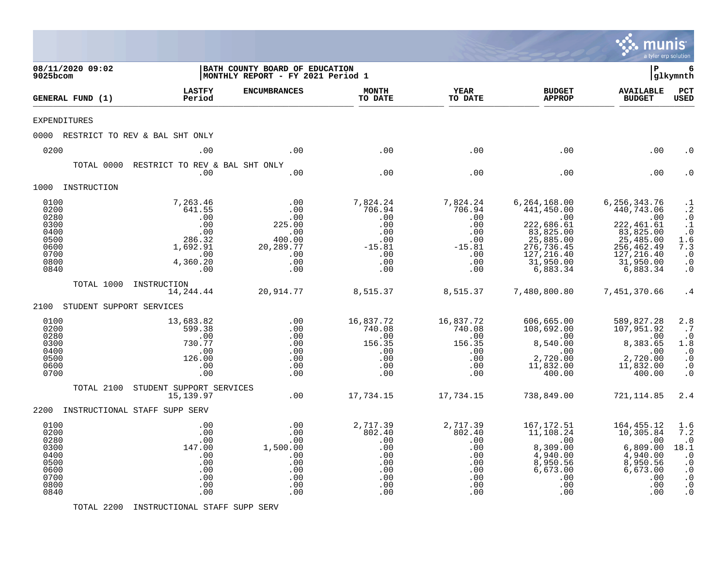|                                                                              |                                              |                                                                                         |                                                                                  |                                                                                 |                                                                                      |                                                                                                                                  | munis<br>a tyler erp solution                                                                                                                  |                                                                                                                     |
|------------------------------------------------------------------------------|----------------------------------------------|-----------------------------------------------------------------------------------------|----------------------------------------------------------------------------------|---------------------------------------------------------------------------------|--------------------------------------------------------------------------------------|----------------------------------------------------------------------------------------------------------------------------------|------------------------------------------------------------------------------------------------------------------------------------------------|---------------------------------------------------------------------------------------------------------------------|
| 08/11/2020 09:02<br>9025bcom                                                 |                                              |                                                                                         | BATH COUNTY BOARD OF EDUCATION<br>MONTHLY REPORT - FY 2021 Period 1              |                                                                                 |                                                                                      |                                                                                                                                  | l P                                                                                                                                            | 6<br> glkymnth                                                                                                      |
| GENERAL FUND (1)                                                             |                                              | <b>LASTFY</b><br>Period                                                                 | <b>ENCUMBRANCES</b>                                                              | <b>MONTH</b><br>TO DATE                                                         | <b>YEAR</b><br>TO DATE                                                               | <b>BUDGET</b><br><b>APPROP</b>                                                                                                   | <b>AVAILABLE</b><br><b>BUDGET</b>                                                                                                              | PCT<br><b>USED</b>                                                                                                  |
| <b>EXPENDITURES</b>                                                          |                                              |                                                                                         |                                                                                  |                                                                                 |                                                                                      |                                                                                                                                  |                                                                                                                                                |                                                                                                                     |
|                                                                              | 0000 RESTRICT TO REV & BAL SHT ONLY          |                                                                                         |                                                                                  |                                                                                 |                                                                                      |                                                                                                                                  |                                                                                                                                                |                                                                                                                     |
| 0200                                                                         |                                              | .00                                                                                     | .00                                                                              | .00                                                                             | .00                                                                                  | .00                                                                                                                              | .00                                                                                                                                            | . 0                                                                                                                 |
|                                                                              | RESTRICT TO REV & BAL SHT ONLY<br>TOTAL 0000 | .00                                                                                     | .00                                                                              | .00                                                                             | .00                                                                                  | .00                                                                                                                              | .00                                                                                                                                            | . 0                                                                                                                 |
| 1000 INSTRUCTION                                                             |                                              |                                                                                         |                                                                                  |                                                                                 |                                                                                      |                                                                                                                                  |                                                                                                                                                |                                                                                                                     |
| 0100<br>0200<br>0280<br>0300<br>0400<br>0500<br>0600<br>0700<br>0800<br>0840 |                                              | 7,263.46<br>641.55<br>.00<br>.00<br>.00<br>286.32<br>1,692.91<br>.00<br>4,360.20<br>.00 | .00<br>.00<br>.00<br>225.00<br>.00<br>400.00<br>20, 289. 77<br>.00<br>.00<br>.00 | 7,824.24<br>706.94<br>.00<br>.00<br>.00<br>.00<br>$-15.81$<br>.00<br>.00<br>.00 | 7,824.24<br>706.94<br>.00<br>.00<br>.00<br>$.00 \,$<br>$-15.81$<br>.00<br>.00<br>.00 | 6, 264, 168.00<br>441,450.00<br>.00<br>222,686.61<br>83,825.00<br>25,885.00<br>276,736.45<br>127,216.40<br>31,950.00<br>6,883.34 | 6, 256, 343.76<br>440,743.06<br>$\overline{00}$<br>222, 461.61<br>83, 825.00<br>25,485.00<br>256,462.49<br>127,216.40<br>31,950.00<br>6,883.34 | $\frac{1}{2}$<br>$\ddot{\cdot}$<br>$\cdot$ 1<br>$\overline{0}$<br>1.6<br>7.3<br>$\cdot$ 0<br>$\cdot$ 0<br>$\cdot$ 0 |
|                                                                              | TOTAL 1000 INSTRUCTION                       | 14,244.44                                                                               | 20,914.77                                                                        | 8,515.37                                                                        | 8,515.37                                                                             | 7,480,800.80                                                                                                                     | 7,451,370.66                                                                                                                                   | .4                                                                                                                  |
| 2100                                                                         | STUDENT SUPPORT SERVICES                     |                                                                                         |                                                                                  |                                                                                 |                                                                                      |                                                                                                                                  |                                                                                                                                                |                                                                                                                     |
| 0100<br>0200<br>0280<br>0300<br>0400<br>0500<br>0600<br>0700                 |                                              | 13,683.82<br>599.38<br>.00<br>730.77<br>.00<br>126.00<br>.00<br>.00                     | .00<br>.00<br>.00<br>.00<br>.00<br>.00<br>.00<br>.00                             | 16,837.72<br>740.08<br>.00<br>156.35<br>.00<br>.00<br>.00<br>.00                | 16,837.72<br>740.08<br>.00<br>156.35<br>.00<br>.00<br>.00<br>.00                     | 606,665.00<br>108,692.00<br>$8510$<br>$9510$<br>8,540.00<br>.00<br>2,720.00<br>11,832.00<br>400.00                               | 589,827.28<br>107,951.92<br>$\overline{\phantom{0}}$ .00<br>8,383.65<br>.00<br>2,720.00<br>11,832.00<br>400.00                                 | 2.8<br>$\cdot$ 7<br>$\cdot$ 0<br>1.8<br>$\cdot$ 0<br>$\cdot$ 0<br>$\cdot$ 0<br>$\cdot$ 0                            |
|                                                                              | TOTAL 2100<br>STUDENT SUPPORT SERVICES       | 15, 139.97                                                                              | .00                                                                              | 17,734.15                                                                       | 17,734.15                                                                            | 738,849.00                                                                                                                       | 721,114.85                                                                                                                                     | 2.4                                                                                                                 |
|                                                                              | 2200 INSTRUCTIONAL STAFF SUPP SERV           |                                                                                         |                                                                                  |                                                                                 |                                                                                      |                                                                                                                                  |                                                                                                                                                |                                                                                                                     |
| 0100<br>0200<br>0280<br>0300<br>0400<br>0500<br>0600<br>0700<br>0800<br>0840 |                                              | .00<br>.00<br>.00<br>147.00<br>.00<br>.00<br>.00<br>.00<br>.00<br>.00                   | .00<br>.00<br>.00<br>1,500.00<br>.00<br>.00<br>.00<br>.00<br>.00<br>.00          | 2,717.39<br>802.40<br>.00<br>.00<br>.00<br>.00<br>.00<br>.00<br>.00<br>.00      | 2,717.39<br>802.40<br>.00<br>.00<br>.00<br>.00<br>.00<br>.00<br>.00<br>.00           | 167,172.51<br>11,108.24<br>.00<br>8,309.00<br>4,940.00<br>8,950.56<br>6,673.00<br>.00<br>.00<br>.00                              | 164, 455.12<br>10,305.84<br>.00<br>6,809.00<br>4,940.00<br>8,950.56<br>6,673.00<br>.00<br>.00<br>.00                                           | 1.6<br>7.2<br>$\cdot$ 0<br>18.1<br>$\cdot$ 0<br>$\cdot$ 0<br>$\cdot$ 0<br>$\ddot{0}$<br>$\cdot$ 0<br>$\cdot$ 0      |

TOTAL 2200 INSTRUCTIONAL STAFF SUPP SERV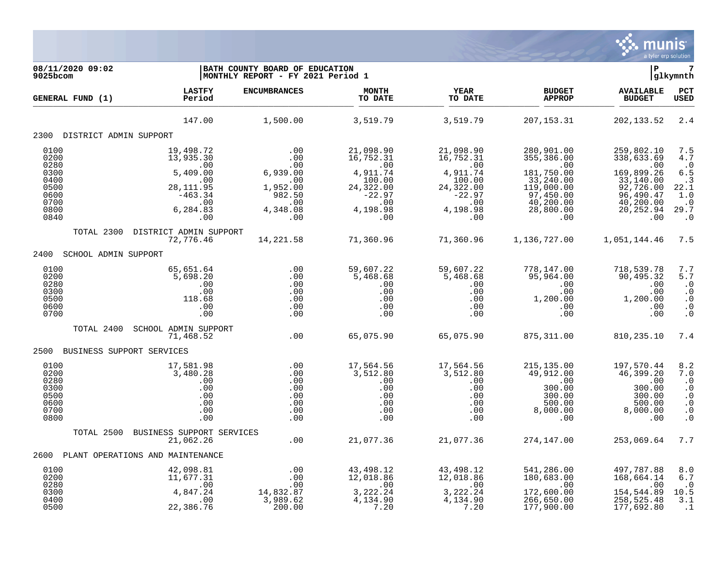

**08/11/2020 09:02 |BATH COUNTY BOARD OF EDUCATION |P 7 9025bcom |MONTHLY REPORT - FY 2021 Period 1 |glkymnth LASTFY ENCUMBRANCES MONTH YEAR BUDGET AVAILABLE PCT GENERAL FUND (1) Period TO DATE TO DATE APPROP BUDGET USED** TO DATE THE RELIGION CONDUCT TO DATE THE RELIGION CONDUCT TO DATE THE RELIGION OF THE RELIGION OF THE RELIGION OF THE RELIGION OF THE RELIGION OF THE RELIGION OF THE RELIGION OF THE RELIGION OF THE RELIGION OF THE RELIGION 147.00 1,500.00 3,519.79 3,519.79 207,153.31 202,133.52 2.4 2300 DISTRICT ADMIN SUPPORT 0100 19,498.72 .00 21,098.90 21,098.90 280,901.00 259,802.10 7.5 0200 13,935.30 .00 16,752.31 16,752.31 355,386.00 338,633.69 4.7 0280 .00 .00 .00 .00 .00 .00 .0 0300 5,409.00 6,939.00 4,911.74 4,911.74 181,750.00 169,899.26 6.5 0400 .00 .00 100.00 100.00 33,240.00 33,140.00 .3 0500 28,111.95 1,952.00 24,322.00 24,322.00 119,000.00 92,726.00 22.1 0600 -463.34 982.50 -22.97 -22.97 97,450.00 96,490.47 1.0 0700 .00 .00 .00 .00 40,200.00 40,200.00 .0 0800 6,284.83 4,348.08 4,198.98 4,198.98 28,800.00 20,252.94 29.7 0840 .00 .00 .00 .00 .00 .00 .0 TOTAL 2300 DISTRICT ADMIN SUPPORT 72,776.46 14,221.58 71,360.96 71,360.96 1,136,727.00 1,051,144.46 7.5 2400 SCHOOL ADMIN SUPPORT 0100 65,651.64 .00 59,607.22 59,607.22 778,147.00 718,539.78 7.7 0200 5,698.20 .00 5,468.68 5,468.68 95,964.00 90,495.32 5.7 0280 .00 .00 .00 .00 .00 .00 .0 0300 .00 .00 .00 .00 .00 .00 .0 0500 118.68 .00 .00 .00 1,200.00 1,200.00 .0 0600 .00 .00 .00 .00 .00 .00 .0 0700 .00 .00 .00 .00 .00 .00 .0 TOTAL 2400 SCHOOL ADMIN SUPPORT 71,468.52 .00 65,075.90 65,075.90 875,311.00 810,235.10 7.4 2500 BUSINESS SUPPORT SERVICES 0100 17,581.98 .00 17,564.56 17,564.56 215,135.00 197,570.44 8.2 0200 3,480.28 .00 3,512.80 3,512.80 49,912.00 46,399.20 7.0 0280 .00 .00 .00 .00 .00 .00 .0 0300 .00 .00 .00 .00 300.00 300.00 .0 0500 .00 .00 .00 .00 300.00 300.00 .0 0600 .00 .00 .00 .00 500.00 500.00 .0 0700 .00 .00 .00 .00 8,000.00 8,000.00 .0 0800 .00 .00 .00 .00 .00 .00 .0 TOTAL 2500 BUSINESS SUPPORT SERVICES 21,062.26 .00 21,077.36 21,077.36 274,147.00 253,069.64 7.7 2600 PLANT OPERATIONS AND MAINTENANCE 0100 42,098.81 .00 43,498.12 43,498.12 541,286.00 497,787.88 8.0 0200 11,677.31 .00 12,018.86 12,018.86 180,683.00 168,664.14 6.7 0280 .00 .00 .00 .00 .00 .00 .0 0300 4,847.24 14,832.87 3,222.24 3,222.24 172,600.00 154,544.89 10.5 0400 .00 3,989.62 4,134.90 4,134.90 266,650.00 258,525.48 3.1 0500 22,386.76 200.00 7.20 7.20 177,900.00 177,692.80 .1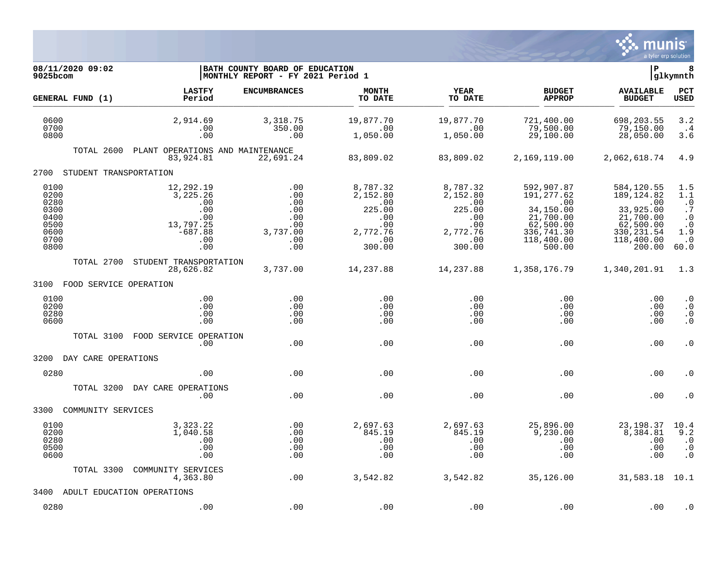

| 08/11/2020 09:02<br>9025bcom                                         |                                                                                    | BATH COUNTY BOARD OF EDUCATION<br> MONTHLY REPORT - FY 2021 Period 1 |                                                                                         |                                                                                                                |                                                                                                              | lР                                                                                                                  | 8<br> glkymnth                                                                             |
|----------------------------------------------------------------------|------------------------------------------------------------------------------------|----------------------------------------------------------------------|-----------------------------------------------------------------------------------------|----------------------------------------------------------------------------------------------------------------|--------------------------------------------------------------------------------------------------------------|---------------------------------------------------------------------------------------------------------------------|--------------------------------------------------------------------------------------------|
| GENERAL FUND (1)                                                     | <b>LASTFY</b><br>Period                                                            | <b>ENCUMBRANCES</b>                                                  | <b>MONTH</b><br>TO DATE                                                                 | <b>YEAR</b><br>TO DATE                                                                                         | <b>BUDGET</b><br><b>APPROP</b>                                                                               | <b>AVAILABLE</b><br><b>BUDGET</b>                                                                                   | <b>PCT</b><br><b>USED</b>                                                                  |
| 0600<br>0700<br>0800                                                 | 2,914.69<br>.00<br>.00                                                             | 3,318.75<br>350.00<br>.00                                            | 19,877.70<br>$\begin{array}{cc} \cdot & 0 & 0 \end{array}$<br>1,050.00                  | 19,877.70<br>.00<br>1,050.00                                                                                   | 721,400.00<br>79,500.00<br>29,100.00                                                                         | 698, 203.55<br>79,150.00<br>28,050.00                                                                               | 3.2<br>$\cdot$ 4<br>3.6                                                                    |
| TOTAL 2600                                                           | PLANT OPERATIONS AND MAINTENANCE<br>83,924.81                                      | 22,691.24                                                            | 83,809.02                                                                               | 83,809.02                                                                                                      | 2,169,119.00                                                                                                 | 2,062,618.74                                                                                                        | 4.9                                                                                        |
| 2700<br>STUDENT TRANSPORTATION                                       |                                                                                    |                                                                      |                                                                                         |                                                                                                                |                                                                                                              |                                                                                                                     |                                                                                            |
| 0100<br>0200<br>0280<br>0300<br>0400<br>0500<br>0600<br>0700<br>0800 | 12,292.19<br>3,225.26<br>.00<br>.00<br>.00<br>13,797.25<br>$-687.88$<br>.00<br>.00 | .00<br>.00<br>.00<br>.00<br>.00<br>.00<br>3,737.00<br>.00<br>.00     | 8,787.32<br>2,152.80<br>$\cdot$ 00<br>225.00<br>.00<br>.00<br>2,772.76<br>.00<br>300.00 | 8,787.32<br>2,152.80<br>.00<br>225.00<br>$\overline{\phantom{0}}$ .00<br>.00<br>2,772.76<br>$\,$ .00<br>300.00 | 592,907.87<br>191,277.62<br>.00<br>34,150.00<br>21,700.00<br>62,500.00<br>336,741.30<br>118,400.00<br>500.00 | 584,120.55<br>189, 124.82<br>$\ldots$<br>33,925.00<br>21,700.00<br>62,500.00<br>330, 231.54<br>118,400.00<br>200.00 | 1.5<br>1.1<br>$\cdot$ 0<br>$\cdot$ 7<br>$\cdot$ 0<br>$\cdot$ 0<br>1.9<br>$\cdot$ 0<br>60.0 |
| TOTAL 2700                                                           | STUDENT TRANSPORTATION<br>28,626.82                                                | 3,737.00                                                             | 14,237.88                                                                               | 14,237.88                                                                                                      | 1,358,176.79                                                                                                 | 1,340,201.91                                                                                                        | 1.3                                                                                        |
| 3100<br>FOOD SERVICE OPERATION                                       |                                                                                    |                                                                      |                                                                                         |                                                                                                                |                                                                                                              |                                                                                                                     |                                                                                            |
| 0100<br>0200<br>0280<br>0600                                         | .00<br>.00<br>.00<br>.00                                                           | .00<br>.00<br>.00<br>.00                                             | .00<br>.00<br>.00<br>.00                                                                | .00<br>.00<br>.00<br>.00                                                                                       | .00<br>.00<br>.00<br>.00                                                                                     | .00<br>.00<br>.00<br>.00                                                                                            | $\cdot$ 0<br>$\cdot$ 0<br>$\cdot$ 0<br>$\cdot$ 0                                           |
| TOTAL 3100                                                           | FOOD SERVICE OPERATION<br>.00.                                                     | .00                                                                  | .00                                                                                     | .00                                                                                                            | .00                                                                                                          | .00                                                                                                                 | $\cdot$ 0                                                                                  |
| 3200<br>DAY CARE OPERATIONS                                          |                                                                                    |                                                                      |                                                                                         |                                                                                                                |                                                                                                              |                                                                                                                     |                                                                                            |
| 0280                                                                 | .00                                                                                | .00                                                                  | .00                                                                                     | .00                                                                                                            | .00                                                                                                          | .00                                                                                                                 | . 0                                                                                        |
| TOTAL 3200                                                           | DAY CARE OPERATIONS<br>.00                                                         | .00                                                                  | .00                                                                                     | .00                                                                                                            | .00                                                                                                          | .00                                                                                                                 | . 0                                                                                        |
| 3300<br>COMMUNITY SERVICES                                           |                                                                                    |                                                                      |                                                                                         |                                                                                                                |                                                                                                              |                                                                                                                     |                                                                                            |
| 0100<br>0200<br>0280<br>0500<br>0600                                 | 3,323.22<br>1,040.58<br>.00<br>.00<br>.00                                          | .00<br>.00<br>.00<br>.00<br>.00                                      | 2,697.63<br>845.19<br>.00<br>.00<br>.00                                                 | 2,697.63<br>845.19<br>.00<br>.00<br>.00                                                                        | 25,896.00<br>9,230.00<br>.00<br>.00<br>.00                                                                   | 23, 198.37<br>8,384.81<br>.00<br>.00<br>.00                                                                         | 10.4<br>9.2<br>$\cdot$ 0<br>$\cdot$ 0<br>$\cdot$ 0                                         |
| TOTAL 3300                                                           | COMMUNITY SERVICES<br>4,363.80                                                     | .00                                                                  | 3,542.82                                                                                | 3,542.82                                                                                                       | 35,126.00                                                                                                    | 31,583.18 10.1                                                                                                      |                                                                                            |
| 3400                                                                 | ADULT EDUCATION OPERATIONS                                                         |                                                                      |                                                                                         |                                                                                                                |                                                                                                              |                                                                                                                     |                                                                                            |
| 0280                                                                 | .00                                                                                | .00                                                                  | .00                                                                                     | .00                                                                                                            | .00                                                                                                          | .00                                                                                                                 | $\cdot$ 0                                                                                  |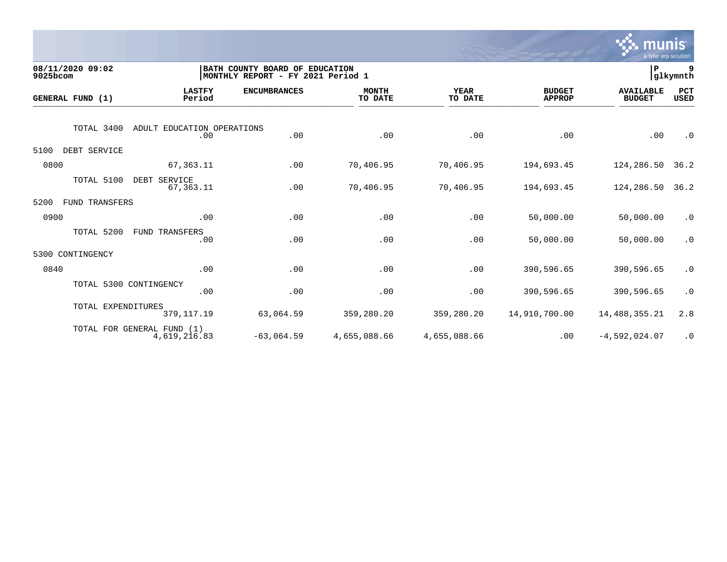

| 08/11/2020 09:02<br>9025bcom  |                                            | BATH COUNTY BOARD OF EDUCATION<br>MONTHLY REPORT - FY 2021 Period 1 |                         |                 |                                | lР                                | 9<br>glkymnth      |
|-------------------------------|--------------------------------------------|---------------------------------------------------------------------|-------------------------|-----------------|--------------------------------|-----------------------------------|--------------------|
| GENERAL FUND (1)              | <b>LASTFY</b><br>Period                    | <b>ENCUMBRANCES</b>                                                 | <b>MONTH</b><br>TO DATE | YEAR<br>TO DATE | <b>BUDGET</b><br><b>APPROP</b> | <b>AVAILABLE</b><br><b>BUDGET</b> | PCT<br><b>USED</b> |
| TOTAL 3400                    | ADULT EDUCATION OPERATIONS<br>.00          | .00                                                                 | .00                     | .00             | .00                            | .00                               | $\cdot$ 0          |
| DEBT SERVICE<br>5100          |                                            |                                                                     |                         |                 |                                |                                   |                    |
| 0800                          | 67, 363.11                                 | .00                                                                 | 70,406.95               | 70,406.95       | 194,693.45                     | 124,286.50                        | 36.2               |
| TOTAL 5100                    | DEBT SERVICE<br>67, 363. 11                | .00                                                                 | 70,406.95               | 70,406.95       | 194,693.45                     | 124,286.50                        | 36.2               |
| 5200<br><b>FUND TRANSFERS</b> |                                            |                                                                     |                         |                 |                                |                                   |                    |
| 0900                          | .00                                        | .00                                                                 | .00                     | .00             | 50,000.00                      | 50,000.00                         | $\cdot$ 0          |
| TOTAL 5200                    | FUND TRANSFERS<br>.00                      | .00                                                                 | .00                     | .00             | 50,000.00                      | 50,000.00                         | $\cdot$ 0          |
| CONTINGENCY<br>5300           |                                            |                                                                     |                         |                 |                                |                                   |                    |
| 0840                          | .00                                        | .00                                                                 | .00                     | .00             | 390,596.65                     | 390,596.65                        | $\cdot$ 0          |
|                               | TOTAL 5300 CONTINGENCY<br>.00              | .00                                                                 | .00                     | .00             | 390,596.65                     | 390,596.65                        | $\cdot$ 0          |
| TOTAL EXPENDITURES            | 379, 117. 19                               | 63,064.59                                                           | 359,280.20              | 359,280.20      | 14,910,700.00                  | 14,488,355.21                     | 2.8                |
|                               | TOTAL FOR GENERAL FUND (1)<br>4,619,216.83 | $-63,064.59$                                                        | 4,655,088.66            | 4,655,088.66    | .00                            | $-4,592,024.07$                   | $\cdot$ 0          |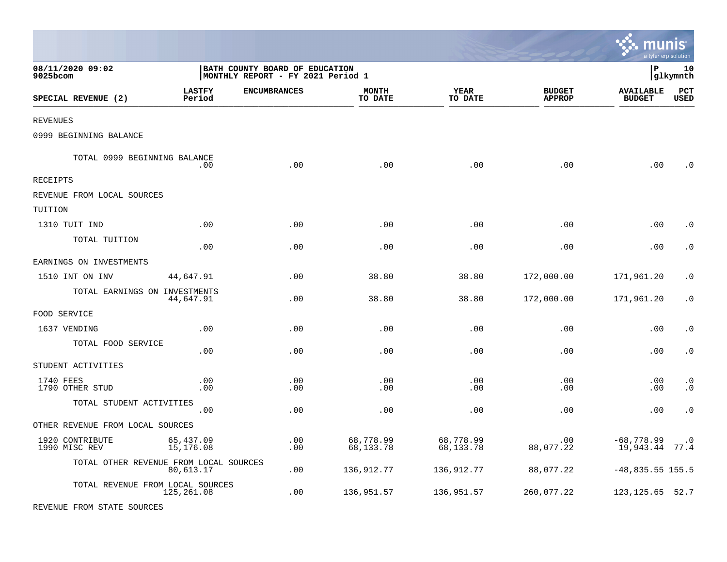|                                        |                         |                                                                     |                         |                        |                                |                                   | a tyler erp solution   |
|----------------------------------------|-------------------------|---------------------------------------------------------------------|-------------------------|------------------------|--------------------------------|-----------------------------------|------------------------|
| 08/11/2020 09:02<br>9025bcom           |                         | BATH COUNTY BOARD OF EDUCATION<br>MONTHLY REPORT - FY 2021 Period 1 |                         |                        |                                | l P                               | 10<br> glkymnth        |
| SPECIAL REVENUE (2)                    | <b>LASTFY</b><br>Period | <b>ENCUMBRANCES</b>                                                 | <b>MONTH</b><br>TO DATE | <b>YEAR</b><br>TO DATE | <b>BUDGET</b><br><b>APPROP</b> | <b>AVAILABLE</b><br><b>BUDGET</b> | PCT<br><b>USED</b>     |
| <b>REVENUES</b>                        |                         |                                                                     |                         |                        |                                |                                   |                        |
| 0999 BEGINNING BALANCE                 |                         |                                                                     |                         |                        |                                |                                   |                        |
| TOTAL 0999 BEGINNING BALANCE           | .00.                    | .00                                                                 | .00                     | .00                    | .00                            | .00                               | $\cdot$ 0              |
| RECEIPTS                               |                         |                                                                     |                         |                        |                                |                                   |                        |
| REVENUE FROM LOCAL SOURCES             |                         |                                                                     |                         |                        |                                |                                   |                        |
| TUITION                                |                         |                                                                     |                         |                        |                                |                                   |                        |
| 1310 TUIT IND                          | .00                     | .00                                                                 | .00                     | .00                    | .00                            | .00                               | . 0                    |
| TOTAL TUITION                          | .00                     | .00                                                                 | .00                     | .00                    | .00                            | .00                               | $\cdot$ 0              |
| EARNINGS ON INVESTMENTS                |                         |                                                                     |                         |                        |                                |                                   |                        |
| 1510 INT ON INV                        | 44,647.91               | .00                                                                 | 38.80                   | 38.80                  | 172,000.00                     | 171,961.20                        | $\cdot$ 0              |
| TOTAL EARNINGS ON INVESTMENTS          | 44,647.91               | .00                                                                 | 38.80                   | 38.80                  | 172,000.00                     | 171,961.20                        | $\cdot$ 0              |
| FOOD SERVICE                           |                         |                                                                     |                         |                        |                                |                                   |                        |
| 1637 VENDING                           | .00                     | .00                                                                 | .00                     | .00                    | .00                            | .00                               | $\cdot$ 0              |
| TOTAL FOOD SERVICE                     | .00                     | .00                                                                 | .00                     | .00                    | .00                            | .00                               | $\cdot$ 0              |
| STUDENT ACTIVITIES                     |                         |                                                                     |                         |                        |                                |                                   |                        |
| 1740 FEES<br>1790 OTHER STUD           | .00<br>.00              | .00<br>.00                                                          | .00<br>.00              | .00<br>.00             | .00<br>.00                     | .00<br>.00                        | $\cdot$ 0<br>$\cdot$ 0 |
| TOTAL STUDENT ACTIVITIES               | .00                     | .00                                                                 | .00                     | .00                    | .00                            | .00                               | $\boldsymbol{\cdot}$ 0 |
| OTHER REVENUE FROM LOCAL SOURCES       |                         |                                                                     |                         |                        |                                |                                   |                        |
| 1920 CONTRIBUTE<br>1990 MISC REV       | 65,437.09<br>15,176.08  | .00<br>.00                                                          | 68,778.99<br>68,133.78  | 68,778.99<br>68,133.78 | .00<br>88,077.22               | $-68,778.99$<br>19,943.44 77.4    | $\cdot$ 0              |
| TOTAL OTHER REVENUE FROM LOCAL SOURCES | 80,613.17               | .00                                                                 | 136,912.77              | 136,912.77             | 88,077.22                      | $-48,835.55$ 155.5                |                        |
| TOTAL REVENUE FROM LOCAL SOURCES       | 125,261.08              | .00                                                                 | 136,951.57              | 136,951.57             | 260,077.22                     | 123, 125. 65 52. 7                |                        |
| REVENUE FROM STATE SOURCES             |                         |                                                                     |                         |                        |                                |                                   |                        |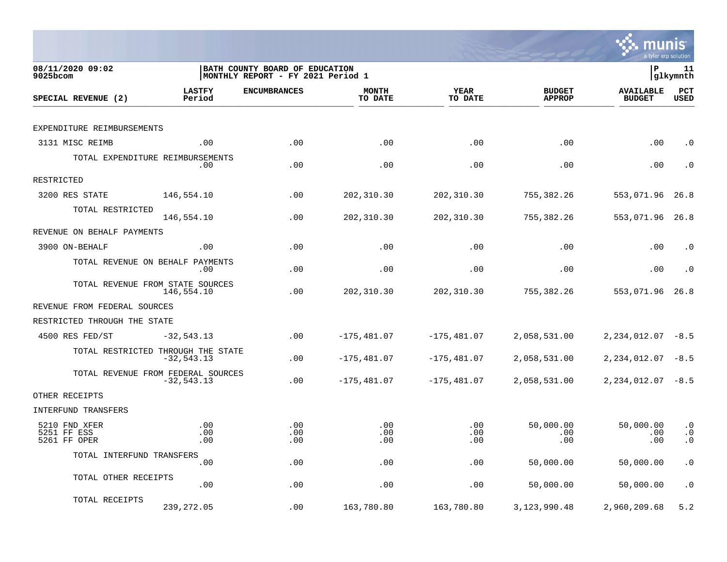

| 08/11/2020 09:02<br>9025bcom                 |                                                     | BATH COUNTY BOARD OF EDUCATION<br>MONTHLY REPORT - FY 2021 Period 1 |                         |                        |                                | lР                                | 11<br> glkymnth               |
|----------------------------------------------|-----------------------------------------------------|---------------------------------------------------------------------|-------------------------|------------------------|--------------------------------|-----------------------------------|-------------------------------|
| SPECIAL REVENUE (2)                          | <b>LASTFY</b><br>Period                             | <b>ENCUMBRANCES</b>                                                 | <b>MONTH</b><br>TO DATE | <b>YEAR</b><br>TO DATE | <b>BUDGET</b><br><b>APPROP</b> | <b>AVAILABLE</b><br><b>BUDGET</b> | PCT<br><b>USED</b>            |
|                                              |                                                     |                                                                     |                         |                        |                                |                                   |                               |
| EXPENDITURE REIMBURSEMENTS                   |                                                     |                                                                     |                         |                        |                                |                                   |                               |
| 3131 MISC REIMB                              | .00                                                 | .00                                                                 | .00                     | .00                    | .00                            | .00                               | $\cdot$ 0                     |
|                                              | TOTAL EXPENDITURE REIMBURSEMENTS<br>.00             | .00                                                                 | .00                     | .00                    | .00                            | .00                               | $\cdot$ 0                     |
| RESTRICTED                                   |                                                     |                                                                     |                         |                        |                                |                                   |                               |
| 3200 RES STATE                               | 146,554.10                                          | .00                                                                 | 202,310.30              | 202,310.30             | 755,382.26                     | 553,071.96                        | 26.8                          |
| TOTAL RESTRICTED                             | 146,554.10                                          | .00                                                                 | 202,310.30              | 202,310.30             | 755,382.26                     | 553,071.96                        | 26.8                          |
| REVENUE ON BEHALF PAYMENTS                   |                                                     |                                                                     |                         |                        |                                |                                   |                               |
| 3900 ON-BEHALF                               | .00                                                 | .00                                                                 | .00                     | .00                    | .00                            | .00                               | $\cdot$ 0                     |
|                                              | TOTAL REVENUE ON BEHALF PAYMENTS<br>.00             | .00                                                                 | .00                     | .00                    | .00                            | .00                               | $\cdot$ 0                     |
|                                              | TOTAL REVENUE FROM STATE SOURCES<br>146,554.10      | .00                                                                 | 202,310.30              | 202, 310.30            | 755,382.26                     | 553,071.96                        | 26.8                          |
| REVENUE FROM FEDERAL SOURCES                 |                                                     |                                                                     |                         |                        |                                |                                   |                               |
| RESTRICTED THROUGH THE STATE                 |                                                     |                                                                     |                         |                        |                                |                                   |                               |
| 4500 RES FED/ST                              | $-32, 543.13$                                       | .00                                                                 | $-175, 481.07$          | $-175,481.07$          | 2,058,531.00                   | 2, 234, 012.07                    | $-8.5$                        |
|                                              | TOTAL RESTRICTED THROUGH THE STATE<br>$-32, 543.13$ | .00                                                                 | $-175, 481.07$          | $-175, 481.07$         | 2,058,531.00                   | 2, 234, 012.07                    | $-8.5$                        |
|                                              | TOTAL REVENUE FROM FEDERAL SOURCES<br>$-32,543.13$  | .00                                                                 | $-175,481.07$           | $-175,481.07$          | 2,058,531.00                   | $2, 234, 012.07 - 8.5$            |                               |
| OTHER RECEIPTS                               |                                                     |                                                                     |                         |                        |                                |                                   |                               |
| INTERFUND TRANSFERS                          |                                                     |                                                                     |                         |                        |                                |                                   |                               |
| 5210 FND XFER<br>5251 FF ESS<br>5261 FF OPER | .00<br>.00<br>.00                                   | .00<br>.00<br>.00                                                   | .00<br>.00<br>.00       | .00<br>.00<br>.00      | 50,000.00<br>.00<br>.00        | 50,000.00<br>.00<br>.00           | $\cdot$ 0<br>$\cdot$ 0<br>. 0 |
| TOTAL INTERFUND TRANSFERS                    |                                                     |                                                                     |                         |                        |                                |                                   |                               |
|                                              | .00                                                 | .00                                                                 | .00                     | .00                    | 50,000.00                      | 50,000.00                         | $\cdot$ 0                     |
| TOTAL OTHER RECEIPTS                         | .00                                                 | .00                                                                 | .00                     | .00                    | 50,000.00                      | 50,000.00                         | $\cdot$ 0                     |
| TOTAL RECEIPTS                               | 239, 272.05                                         | .00                                                                 | 163,780.80              | 163,780.80             | 3, 123, 990. 48                | 2,960,209.68                      | 5.2                           |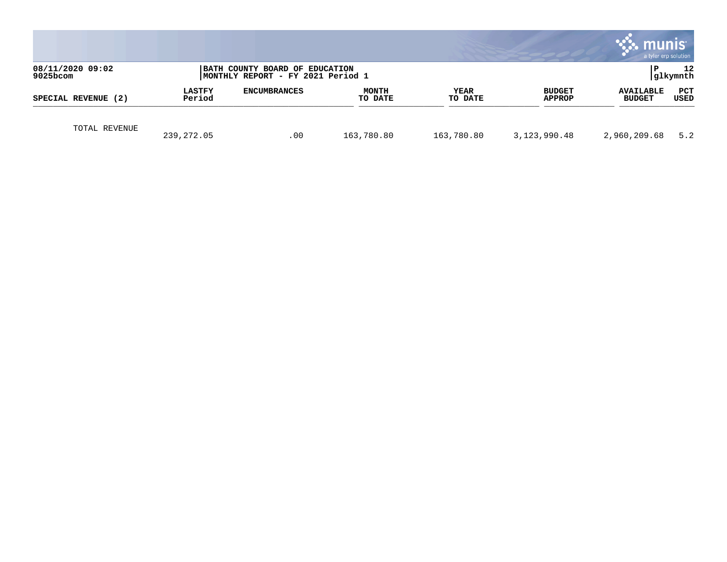|                                 |                         |                                                                     |                         |                        |                                | munis<br>a tyler erp solution     |                 |
|---------------------------------|-------------------------|---------------------------------------------------------------------|-------------------------|------------------------|--------------------------------|-----------------------------------|-----------------|
| 08/11/2020 09:02<br>$9025$ bcom |                         | BATH COUNTY BOARD OF EDUCATION<br>MONTHLY REPORT - FY 2021 Period 1 |                         |                        |                                | P                                 | 12<br> glkymnth |
| SPECIAL REVENUE (2)             | <b>LASTFY</b><br>Period | <b>ENCUMBRANCES</b>                                                 | <b>MONTH</b><br>TO DATE | <b>YEAR</b><br>TO DATE | <b>BUDGET</b><br><b>APPROP</b> | <b>AVAILABLE</b><br><b>BUDGET</b> | PCT<br>USED     |
| TOTAL REVENUE                   | 239, 272.05             | .00                                                                 | 163,780.80              | 163,780.80             | 3,123,990.48                   | 2,960,209.68                      | 5.2             |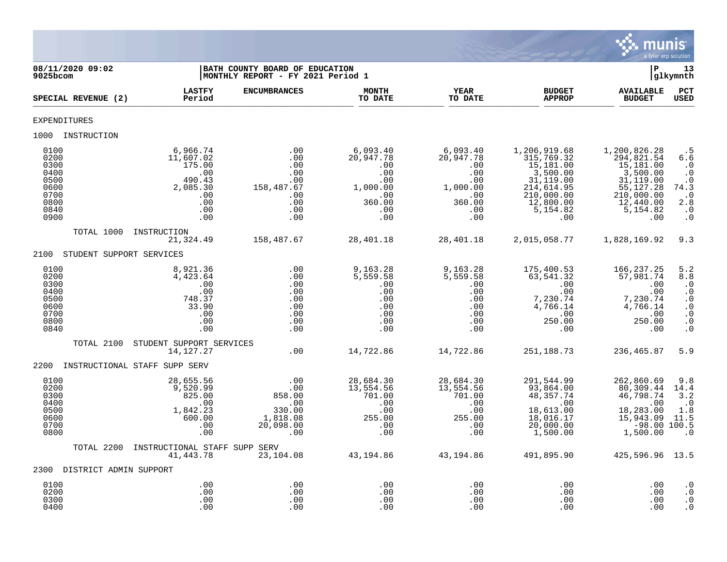

| 08/11/2020 09:02<br>9025bcom                                                 |                                                                                                      | BATH COUNTY BOARD OF EDUCATION<br>MONTHLY REPORT - FY 2021 Period 1       |                                                                                       |                                                                                       |                                                                                                                               | ∣P                                                                                                                           | 13<br>glkymnth                                                                                                               |
|------------------------------------------------------------------------------|------------------------------------------------------------------------------------------------------|---------------------------------------------------------------------------|---------------------------------------------------------------------------------------|---------------------------------------------------------------------------------------|-------------------------------------------------------------------------------------------------------------------------------|------------------------------------------------------------------------------------------------------------------------------|------------------------------------------------------------------------------------------------------------------------------|
| SPECIAL REVENUE (2)                                                          | <b>LASTFY</b><br>Period                                                                              | <b>ENCUMBRANCES</b>                                                       | <b>MONTH</b><br>TO DATE                                                               | <b>YEAR</b><br>TO DATE                                                                | <b>BUDGET</b><br><b>APPROP</b>                                                                                                | <b>AVAILABLE</b><br><b>BUDGET</b>                                                                                            | PCT<br><b>USED</b>                                                                                                           |
| <b>EXPENDITURES</b>                                                          |                                                                                                      |                                                                           |                                                                                       |                                                                                       |                                                                                                                               |                                                                                                                              |                                                                                                                              |
| 1000 INSTRUCTION                                                             |                                                                                                      |                                                                           |                                                                                       |                                                                                       |                                                                                                                               |                                                                                                                              |                                                                                                                              |
| 0100<br>0200<br>0300<br>0400<br>0500<br>0600<br>0700<br>0800<br>0840<br>0900 | 6,966.74<br>11,607.02<br>175.00<br>.00<br>490.43<br>2,085.30<br>.00<br>.00<br>.00<br>.00             | .00<br>.00<br>.00<br>.00<br>.00<br>158,487.67<br>.00<br>.00<br>.00<br>.00 | 6,093.40<br>20,947.78<br>.00<br>.00<br>.00<br>1,000.00<br>.00<br>360.00<br>.00<br>.00 | 6,093.40<br>20,947.78<br>.00<br>.00<br>.00<br>1,000.00<br>.00<br>360.00<br>.00<br>.00 | 1,206,919.68<br>315,769.32<br>15,181.00<br>3,500.00<br>31,119.00<br>214, 614.95<br>210,000.00<br>12,800.00<br>5,154.82<br>.00 | 1,200,826.28<br>294,821.54<br>15,181.00<br>3,500.00<br>31,119.00<br>55, 127.28<br>210,000.00<br>12,440.00<br>5,154.82<br>.00 | . 5<br>6.6<br>$\cdot$ 0<br>$\cdot$ 0<br>$\cdot$ 0<br>74.3<br>$\cdot$ 0<br>2.8<br>$\cdot$ 0<br>$\cdot$ 0                      |
| TOTAL 1000                                                                   | INSTRUCTION<br>21,324.49                                                                             | 158,487.67                                                                | 28,401.18                                                                             | 28,401.18                                                                             | 2,015,058.77                                                                                                                  | 1,828,169.92                                                                                                                 | 9.3                                                                                                                          |
| 2100                                                                         | STUDENT SUPPORT SERVICES                                                                             |                                                                           |                                                                                       |                                                                                       |                                                                                                                               |                                                                                                                              |                                                                                                                              |
| 0100<br>0200<br>0300<br>0400<br>0500<br>0600<br>0700<br>0800<br>0840         | 8,921.36<br>4,423.64<br>.00<br>.00<br>748.37<br>33.90<br>.00<br>.00<br>.00                           | .00<br>.00<br>.00<br>.00<br>.00<br>.00<br>.00<br>.00<br>.00               | 9,163.28<br>5,559.58<br>.00<br>.00<br>.00<br>.00<br>.00<br>.00<br>.00                 | 9,163.28<br>5,559.58<br>.00<br>.00<br>.00<br>.00<br>.00<br>.00<br>.00                 | 175,400.53<br>63,541.32<br>$\cdot\,00$<br>.00<br>7,230.74<br>4,766.14<br>.00<br>250.00<br>.00                                 | 166, 237. 25<br>57,981.74<br>.00<br>.00<br>7,230.74<br>4,766.14<br>.00<br>250.00<br>.00                                      | 5.2<br>8.8<br>$\cdot$ 0<br>$\cdot$ 0<br>$\cdot$ 0<br>$\overline{0}$<br>$\boldsymbol{\cdot}$ 0<br>$\cdot$ 0<br>$\overline{0}$ |
| TOTAL 2100                                                                   | STUDENT SUPPORT SERVICES<br>14, 127. 27                                                              | .00                                                                       | 14,722.86                                                                             | 14,722.86                                                                             | 251,188.73                                                                                                                    | 236,465.87                                                                                                                   | 5.9                                                                                                                          |
| 2200<br>0100<br>0200<br>0300<br>0400<br>0500<br>0600<br>0700                 | INSTRUCTIONAL STAFF SUPP SERV<br>28,655.56<br>9,520.99<br>825.00<br>.00<br>1,842.23<br>600.00<br>.00 | .00<br>.00<br>858.00<br>.00<br>330.00<br>$1,818.08$<br>20,098.00          | 28,684.30<br>13,554.56<br>701.00<br>.00<br>.00<br>255.00<br>.00                       | 28,684.30<br>13,554.56<br>701.00<br>.00<br>.00<br>255.00<br>$\ldots$ 00               | 291,544.99<br>93,864.00<br>48, 357.74<br>.00<br>18,613.00<br>18,016.17<br>20,000.00                                           | 262,860.69<br>80,309.44<br>46,798.74<br>.00<br>18,283.00<br>15,943.09<br>$-98.00$ 100.5                                      | 9.8<br>14.4<br>3.2<br>$\cdot$ 0<br>1.8<br>11.5                                                                               |
| 0800<br>TOTAL 2200                                                           | .00<br>INSTRUCTIONAL STAFF SUPP SERV<br>41,443.78                                                    | .00<br>23,104.08                                                          | .00<br>43,194.86                                                                      | .00<br>43,194.86                                                                      | 1,500.00<br>491,895.90                                                                                                        | 1,500.00<br>425,596.96 13.5                                                                                                  | $\cdot$ 0                                                                                                                    |
| 2300 DISTRICT ADMIN SUPPORT                                                  |                                                                                                      |                                                                           |                                                                                       |                                                                                       |                                                                                                                               |                                                                                                                              |                                                                                                                              |
| 0100<br>0200<br>0300<br>0400                                                 | .00<br>.00<br>.00<br>.00                                                                             | .00<br>.00<br>.00<br>.00                                                  | .00<br>.00<br>.00<br>.00                                                              | .00<br>.00<br>.00<br>.00                                                              | .00<br>.00<br>.00<br>.00                                                                                                      | .00<br>.00<br>.00<br>.00                                                                                                     | $\cdot$ 0<br>$\cdot$ 0<br>$\cdot$ 0<br>$\cdot$ 0                                                                             |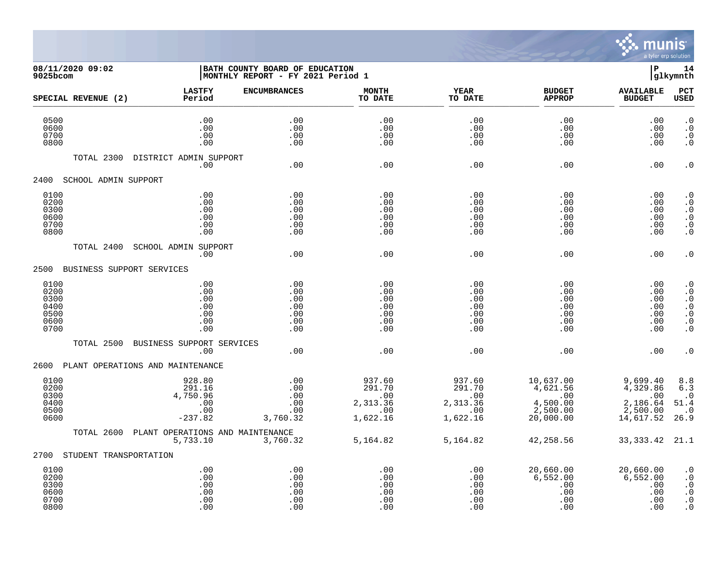

## **08/11/2020 09:02 |BATH COUNTY BOARD OF EDUCATION |P 14 9025bcom |MONTHLY REPORT - FY 2021 Period 1 |glkymnth**

|                                                      | SPECIAL REVENUE (2)    | <b>LASTFY</b><br>Period                                 | <b>ENCUMBRANCES</b>                           | <b>MONTH</b><br>TO DATE                                | <b>YEAR</b><br>TO DATE                                 | <b>BUDGET</b><br><b>APPROP</b>                                    | <b>AVAILABLE</b><br><b>BUDGET</b>                                | PCT<br><b>USED</b>                                                                      |
|------------------------------------------------------|------------------------|---------------------------------------------------------|-----------------------------------------------|--------------------------------------------------------|--------------------------------------------------------|-------------------------------------------------------------------|------------------------------------------------------------------|-----------------------------------------------------------------------------------------|
| 0500<br>0600<br>0700<br>0800                         |                        | .00<br>.00<br>.00<br>.00                                | .00<br>.00<br>.00<br>.00                      | .00<br>.00<br>.00<br>.00                               | .00<br>.00<br>.00<br>.00                               | .00<br>.00<br>.00<br>.00                                          | .00<br>.00<br>.00<br>.00                                         | $\cdot$ 0<br>$\cdot$ 0<br>$\cdot$ 0<br>$\boldsymbol{\cdot}$ 0                           |
|                                                      | TOTAL 2300             | DISTRICT ADMIN SUPPORT<br>.00                           | .00                                           | .00                                                    | .00                                                    | .00                                                               | .00                                                              | $\cdot$ 0                                                                               |
| 2400                                                 | SCHOOL ADMIN SUPPORT   |                                                         |                                               |                                                        |                                                        |                                                                   |                                                                  |                                                                                         |
| 0100<br>0200<br>0300<br>0600<br>0700<br>0800         |                        | .00<br>.00<br>.00<br>.00<br>.00<br>.00                  | .00<br>.00<br>.00<br>.00<br>.00<br>.00        | .00<br>.00<br>.00<br>.00<br>.00<br>.00                 | .00<br>.00<br>.00<br>.00<br>.00<br>.00                 | .00<br>.00<br>.00<br>.00<br>.00<br>.00                            | .00<br>.00<br>.00<br>.00<br>.00<br>.00                           | $\cdot$ 0<br>$\cdot$ 0<br>$\cdot$ 0<br>$\boldsymbol{\cdot}$ 0<br>$\cdot$ 0<br>$\cdot$ 0 |
|                                                      | TOTAL 2400             | SCHOOL ADMIN SUPPORT<br>.00                             | .00                                           | .00                                                    | .00                                                    | .00                                                               | .00                                                              | $\boldsymbol{\cdot}$ 0                                                                  |
| 2500                                                 |                        | BUSINESS SUPPORT SERVICES                               |                                               |                                                        |                                                        |                                                                   |                                                                  |                                                                                         |
| 0100<br>0200<br>0300<br>0400<br>0500<br>0600<br>0700 |                        | .00<br>.00<br>.00<br>.00<br>.00<br>.00<br>.00           | .00<br>.00<br>.00<br>.00<br>.00<br>.00<br>.00 | .00<br>.00<br>.00<br>.00<br>.00<br>.00<br>.00          | .00<br>.00<br>.00<br>.00<br>.00<br>.00<br>.00          | .00<br>.00<br>.00<br>.00<br>.00<br>.00<br>.00                     | .00<br>.00<br>.00<br>.00<br>.00<br>.00<br>.00                    | $\cdot$ 0<br>$\cdot$ 0<br>$\cdot$ 0<br>$\cdot$ 0<br>$\cdot$ 0<br>$\cdot$ 0<br>$\cdot$ 0 |
|                                                      | TOTAL 2500             | BUSINESS SUPPORT SERVICES<br>.00                        | .00                                           | .00                                                    | .00                                                    | .00                                                               | .00                                                              | $\cdot$ 0                                                                               |
| 2600                                                 |                        | PLANT OPERATIONS AND MAINTENANCE                        |                                               |                                                        |                                                        |                                                                   |                                                                  |                                                                                         |
| 0100<br>0200<br>0300<br>0400<br>0500<br>0600         |                        | 928.80<br>291.16<br>4,750.96<br>.00<br>.00<br>$-237.82$ | .00<br>.00<br>.00<br>.00<br>.00<br>3,760.32   | 937.60<br>291.70<br>.00<br>2,313.36<br>.00<br>1,622.16 | 937.60<br>291.70<br>.00<br>2,313.36<br>.00<br>1,622.16 | 10,637.00<br>4,621.56<br>.00<br>4,500.00<br>2,500.00<br>20,000.00 | 9,699.40<br>4,329.86<br>.00<br>2,186.64<br>2,500.00<br>14,617.52 | 8.8<br>6.3<br>$\cdot$ 0<br>51.4<br>$\cdot$ 0<br>26.9                                    |
|                                                      | TOTAL 2600             | PLANT OPERATIONS AND MAINTENANCE<br>5,733.10            | 3,760.32                                      | 5,164.82                                               | 5,164.82                                               | 42,258.56                                                         | 33, 333. 42                                                      | 21.1                                                                                    |
| 2700                                                 | STUDENT TRANSPORTATION |                                                         |                                               |                                                        |                                                        |                                                                   |                                                                  |                                                                                         |
| 0100<br>0200<br>0300<br>0600<br>0700<br>0800         |                        | .00<br>.00<br>.00<br>.00<br>.00<br>.00                  | .00<br>.00<br>.00<br>.00<br>.00<br>.00        | .00<br>.00<br>.00<br>.00<br>.00<br>.00                 | .00<br>.00<br>.00<br>.00<br>.00<br>.00                 | 20,660.00<br>6,552.00<br>.00<br>.00<br>.00<br>.00                 | 20,660.00<br>6,552.00<br>.00<br>.00<br>.00<br>.00                | $\cdot$ 0<br>$\cdot$ 0<br>$\cdot$ 0<br>$\boldsymbol{\cdot}$ 0<br>$\cdot$ 0<br>$\cdot$ 0 |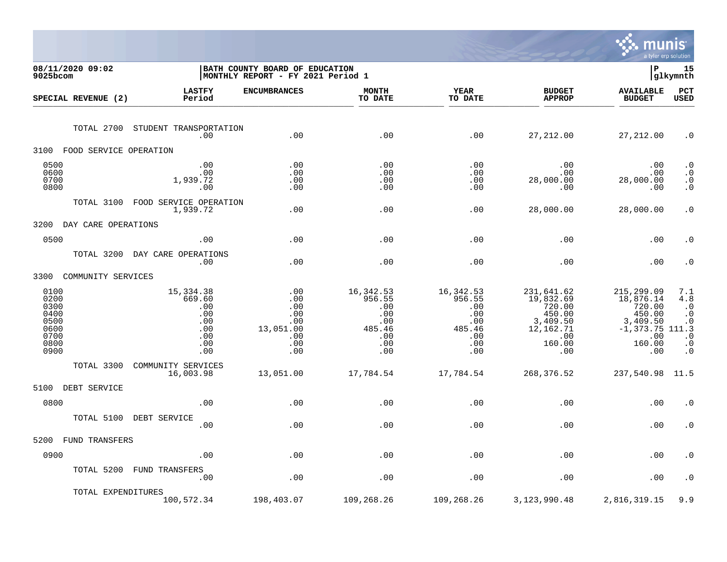

| 08/11/2020 09:02<br>9025bcom                                         |                                                                       | BATH COUNTY BOARD OF EDUCATION<br>MONTHLY REPORT - FY 2021 Period 1 |                                                                          |                                                                         |                                                                                              | $\mathbf{P}$                                                                                          | 15<br>glkymnth                                                                           |
|----------------------------------------------------------------------|-----------------------------------------------------------------------|---------------------------------------------------------------------|--------------------------------------------------------------------------|-------------------------------------------------------------------------|----------------------------------------------------------------------------------------------|-------------------------------------------------------------------------------------------------------|------------------------------------------------------------------------------------------|
| SPECIAL REVENUE (2)                                                  | <b>LASTFY</b><br>Period                                               | <b>ENCUMBRANCES</b>                                                 | <b>MONTH</b><br>TO DATE                                                  | <b>YEAR</b><br>TO DATE                                                  | <b>BUDGET</b><br><b>APPROP</b>                                                               | <b>AVAILABLE</b><br><b>BUDGET</b>                                                                     | <b>PCT</b><br><b>USED</b>                                                                |
| TOTAL 2700                                                           | STUDENT TRANSPORTATION<br>.00                                         | .00                                                                 | .00                                                                      | .00                                                                     | 27,212.00                                                                                    | 27, 212.00                                                                                            | $\cdot$ 0                                                                                |
| 3100<br>FOOD SERVICE OPERATION                                       |                                                                       |                                                                     |                                                                          |                                                                         |                                                                                              |                                                                                                       |                                                                                          |
| 0500<br>0600<br>0700<br>0800                                         | .00<br>.00<br>1,939.72<br>.00                                         | .00<br>.00<br>.00<br>.00                                            | .00<br>.00<br>.00<br>.00                                                 | .00<br>.00<br>.00<br>.00                                                | .00<br>.00<br>28,000.00<br>.00                                                               | .00<br>.00<br>28,000.00<br>.00                                                                        | $\cdot$ 0<br>$\boldsymbol{\cdot}$ 0<br>$\ddot{0}$<br>$\cdot$ 0                           |
| TOTAL 3100                                                           | FOOD SERVICE OPERATION<br>1,939.72                                    | .00                                                                 | .00                                                                      | .00                                                                     | 28,000.00                                                                                    | 28,000.00                                                                                             | $\cdot$ 0                                                                                |
| 3200<br>DAY CARE OPERATIONS                                          |                                                                       |                                                                     |                                                                          |                                                                         |                                                                                              |                                                                                                       |                                                                                          |
| 0500                                                                 | .00                                                                   | .00                                                                 | .00                                                                      | .00                                                                     | .00                                                                                          | .00                                                                                                   | $\cdot$ 0                                                                                |
|                                                                      | TOTAL 3200 DAY CARE OPERATIONS<br>.00                                 | .00                                                                 | .00                                                                      | .00                                                                     | .00                                                                                          | .00                                                                                                   | $\cdot$ 0                                                                                |
| 3300<br>COMMUNITY SERVICES                                           |                                                                       |                                                                     |                                                                          |                                                                         |                                                                                              |                                                                                                       |                                                                                          |
| 0100<br>0200<br>0300<br>0400<br>0500<br>0600<br>0700<br>0800<br>0900 | 15, 334.38<br>669.60<br>.00<br>.00<br>.00<br>.00<br>.00<br>.00<br>.00 | .00<br>.00<br>.00<br>.00<br>.00<br>13,051.00<br>.00<br>.00<br>.00   | 16, 342.53<br>956.55<br>.00<br>.00<br>.00<br>485.46<br>.00<br>.00<br>.00 | 16,342.53<br>956.55<br>.00<br>.00<br>.00<br>485.46<br>.00<br>.00<br>.00 | 231,641.62<br>19,832.69<br>720.00<br>450.00<br>3,409.50<br>12,162.71<br>.00<br>160.00<br>.00 | 215,299.09<br>18,876.14<br>720.00<br>450.00<br>3,409.50<br>$-1, 373.75$ 111.3<br>.00<br>160.00<br>.00 | 7.1<br>4.8<br>$\cdot$ 0<br>$\cdot$ 0<br>$\cdot$ 0<br>$\cdot$ 0<br>$\cdot$ 0<br>$\cdot$ 0 |
| TOTAL 3300                                                           | COMMUNITY SERVICES<br>16,003.98                                       | 13,051.00                                                           | 17,784.54                                                                | 17,784.54                                                               | 268,376.52                                                                                   | 237,540.98 11.5                                                                                       |                                                                                          |
| 5100<br>DEBT SERVICE                                                 |                                                                       |                                                                     |                                                                          |                                                                         |                                                                                              |                                                                                                       |                                                                                          |
| 0800                                                                 | .00                                                                   | .00                                                                 | .00                                                                      | .00                                                                     | .00                                                                                          | .00                                                                                                   | $\cdot$ 0                                                                                |
| TOTAL 5100                                                           | DEBT SERVICE<br>.00                                                   | .00                                                                 | .00                                                                      | .00                                                                     | .00                                                                                          | .00                                                                                                   | $\cdot$ 0                                                                                |
| 5200<br>FUND TRANSFERS                                               |                                                                       |                                                                     |                                                                          |                                                                         |                                                                                              |                                                                                                       |                                                                                          |
| 0900                                                                 | .00                                                                   | .00                                                                 | .00                                                                      | .00                                                                     | .00                                                                                          | .00                                                                                                   | $\cdot$ 0                                                                                |
|                                                                      | TOTAL 5200 FUND TRANSFERS<br>.00                                      | .00                                                                 | .00                                                                      | .00                                                                     | .00                                                                                          | .00                                                                                                   | $\cdot$ 0                                                                                |
| TOTAL EXPENDITURES                                                   | 100,572.34                                                            | 198,403.07                                                          | 109,268.26                                                               | 109,268.26                                                              | 3, 123, 990.48                                                                               | 2,816,319.15                                                                                          | 9.9                                                                                      |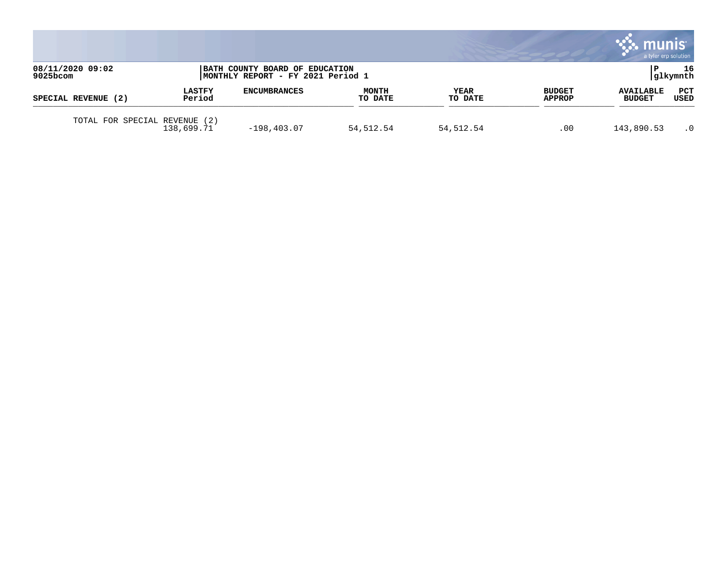|                              |                         |                                                                     |                         |                        |                                | . munis<br>a tyler erp solution   |             |
|------------------------------|-------------------------|---------------------------------------------------------------------|-------------------------|------------------------|--------------------------------|-----------------------------------|-------------|
| 08/11/2020 09:02<br>9025bcom |                         | BATH COUNTY BOARD OF EDUCATION<br>MONTHLY REPORT - FY 2021 Period 1 |                         |                        |                                | 16<br> glkymnth                   |             |
| SPECIAL REVENUE (2)          | <b>LASTFY</b><br>Period | <b>ENCUMBRANCES</b>                                                 | <b>MONTH</b><br>TO DATE | <b>YEAR</b><br>TO DATE | <b>BUDGET</b><br><b>APPROP</b> | <b>AVAILABLE</b><br><b>BUDGET</b> | PCT<br>USED |
| TOTAL FOR SPECIAL REVENUE    | (2)<br>138,699.71       | $-198, 403.07$                                                      | 54,512.54               | 54,512.54              | .00                            | 143,890.53                        | $\cdot$ 0   |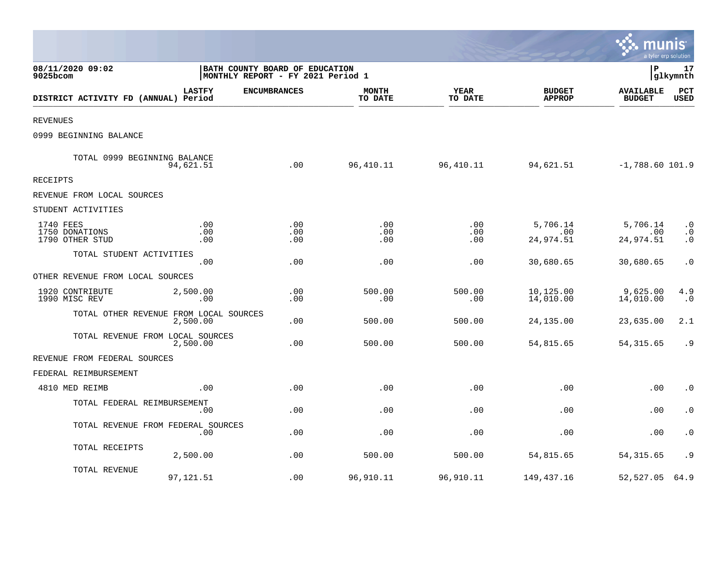|                                                |                   |                                                                      |                         |                   |                                | a tyler erp solution              |                                     |
|------------------------------------------------|-------------------|----------------------------------------------------------------------|-------------------------|-------------------|--------------------------------|-----------------------------------|-------------------------------------|
| 08/11/2020 09:02<br>9025bcom                   |                   | BATH COUNTY BOARD OF EDUCATION<br> MONTHLY REPORT - FY 2021 Period 1 |                         |                   |                                | lР                                | 17<br> glkymnth                     |
| DISTRICT ACTIVITY FD (ANNUAL) Period           | <b>LASTFY</b>     | <b>ENCUMBRANCES</b>                                                  | <b>MONTH</b><br>TO DATE | YEAR<br>TO DATE   | <b>BUDGET</b><br><b>APPROP</b> | <b>AVAILABLE</b><br><b>BUDGET</b> | PCT<br><b>USED</b>                  |
| <b>REVENUES</b>                                |                   |                                                                      |                         |                   |                                |                                   |                                     |
| 0999 BEGINNING BALANCE                         |                   |                                                                      |                         |                   |                                |                                   |                                     |
| TOTAL 0999 BEGINNING BALANCE                   | 94,621.51         | .00                                                                  | 96,410.11               | 96,410.11         | 94,621.51                      | $-1,788.60$ 101.9                 |                                     |
| RECEIPTS                                       |                   |                                                                      |                         |                   |                                |                                   |                                     |
| REVENUE FROM LOCAL SOURCES                     |                   |                                                                      |                         |                   |                                |                                   |                                     |
| STUDENT ACTIVITIES                             |                   |                                                                      |                         |                   |                                |                                   |                                     |
| 1740 FEES<br>1750 DONATIONS<br>1790 OTHER STUD | .00<br>.00<br>.00 | .00<br>.00<br>.00                                                    | .00<br>.00<br>.00       | .00<br>.00<br>.00 | 5,706.14<br>.00<br>24,974.51   | 5,706.14<br>.00<br>24,974.51      | $\cdot$ 0<br>$\cdot$ 0<br>$\cdot$ 0 |
| TOTAL STUDENT ACTIVITIES                       | .00               | .00                                                                  | .00                     | .00               | 30,680.65                      | 30,680.65                         | $\cdot$ 0                           |
| OTHER REVENUE FROM LOCAL SOURCES               |                   |                                                                      |                         |                   |                                |                                   |                                     |
| 1920 CONTRIBUTE<br>1990 MISC REV               | 2,500.00<br>.00   | .00<br>.00                                                           | 500.00<br>.00           | 500.00<br>.00     | 10,125.00<br>14,010.00         | 9,625.00<br>14,010.00             | 4.9<br>$\cdot$ 0                    |
| TOTAL OTHER REVENUE FROM LOCAL SOURCES         | 2,500.00          | .00                                                                  | 500.00                  | 500.00            | 24, 135.00                     | 23,635.00                         | 2.1                                 |
| TOTAL REVENUE FROM LOCAL SOURCES               | 2,500.00          | .00                                                                  | 500.00                  | 500.00            | 54,815.65                      | 54, 315.65                        | . 9                                 |
| REVENUE FROM FEDERAL SOURCES                   |                   |                                                                      |                         |                   |                                |                                   |                                     |
| FEDERAL REIMBURSEMENT                          |                   |                                                                      |                         |                   |                                |                                   |                                     |
| 4810 MED REIMB                                 | .00               | .00                                                                  | .00                     | .00               | .00                            | .00                               | $\cdot$ 0                           |
| TOTAL FEDERAL REIMBURSEMENT                    | .00               | .00                                                                  | .00                     | .00               | .00                            | .00                               | $\cdot$ 0                           |
| TOTAL REVENUE FROM FEDERAL SOURCES             | .00               | .00                                                                  | .00                     | .00               | .00                            | .00                               | $\cdot$ 0                           |
| TOTAL RECEIPTS                                 | 2,500.00          | .00                                                                  | 500.00                  | 500.00            | 54,815.65                      | 54, 315.65                        | . 9                                 |
| TOTAL REVENUE                                  | 97, 121.51        | .00                                                                  | 96,910.11               | 96,910.11         | 149,437.16                     | 52,527.05                         | 64.9                                |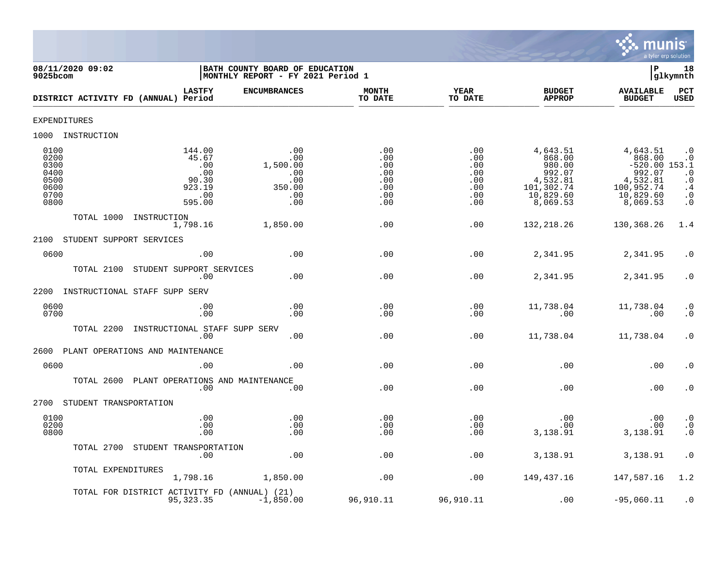

| 08/11/2020 09:02<br>$9025$ bcom                              |                                                                        | BATH COUNTY BOARD OF EDUCATION<br>MONTHLY REPORT - FY 2021 Period 1 |                                                      |                                                      |                                                                                           | P                                                                                                  | 18<br>glkymnth                                                                                                 |
|--------------------------------------------------------------|------------------------------------------------------------------------|---------------------------------------------------------------------|------------------------------------------------------|------------------------------------------------------|-------------------------------------------------------------------------------------------|----------------------------------------------------------------------------------------------------|----------------------------------------------------------------------------------------------------------------|
|                                                              | <b>LASTFY</b><br>DISTRICT ACTIVITY FD (ANNUAL) Period                  | <b>ENCUMBRANCES</b>                                                 | <b>MONTH</b><br>TO DATE                              | <b>YEAR</b><br>TO DATE                               | <b>BUDGET</b><br><b>APPROP</b>                                                            | <b>AVAILABLE</b><br><b>BUDGET</b>                                                                  | PCT<br><b>USED</b>                                                                                             |
| <b>EXPENDITURES</b>                                          |                                                                        |                                                                     |                                                      |                                                      |                                                                                           |                                                                                                    |                                                                                                                |
| 1000 INSTRUCTION                                             |                                                                        |                                                                     |                                                      |                                                      |                                                                                           |                                                                                                    |                                                                                                                |
| 0100<br>0200<br>0300<br>0400<br>0500<br>0600<br>0700<br>0800 | 144.00<br>45.67<br>.00<br>$\ldots$<br>90.30<br>923.19<br>.00<br>595.00 | .00<br>.00<br>1,500.00<br>.00<br>.00<br>350.00<br>.00<br>.00        | .00<br>.00<br>.00<br>.00<br>.00<br>.00<br>.00<br>.00 | .00<br>.00<br>.00<br>.00<br>.00<br>.00<br>.00<br>.00 | 4,643.51<br>868.00<br>980.00<br>992.07<br>4,532.81<br>101,302.74<br>10,829.60<br>8,069.53 | 4,643.51<br>868.00<br>$-520.00$ 153.1<br>992.07<br>4,532.81<br>100,952.74<br>10,829.60<br>8,069.53 | $\cdot$ 0<br>$\cdot$ 0<br>$\begin{matrix} . & 0 \\ . & 0 \end{matrix}$<br>$\cdot$ 4<br>$\cdot$ 0<br>$\ddot{0}$ |
| TOTAL 1000                                                   | INSTRUCTION<br>1,798.16                                                | 1,850.00                                                            | .00                                                  | .00                                                  | 132, 218.26                                                                               | 130,368.26                                                                                         | 1.4                                                                                                            |
| 2100                                                         | STUDENT SUPPORT SERVICES                                               |                                                                     |                                                      |                                                      |                                                                                           |                                                                                                    |                                                                                                                |
| 0600                                                         | .00                                                                    | .00                                                                 | .00                                                  | .00                                                  | 2,341.95                                                                                  | 2,341.95                                                                                           | $\cdot$ 0                                                                                                      |
| TOTAL 2100                                                   | STUDENT SUPPORT SERVICES<br>.00                                        | .00                                                                 | .00                                                  | .00                                                  | 2,341.95                                                                                  | 2,341.95                                                                                           | $\cdot$ 0                                                                                                      |
| 2200                                                         | INSTRUCTIONAL STAFF SUPP SERV                                          |                                                                     |                                                      |                                                      |                                                                                           |                                                                                                    |                                                                                                                |
| 0600<br>0700                                                 | .00<br>.00                                                             | .00<br>.00                                                          | .00<br>.00                                           | .00<br>.00                                           | 11,738.04<br>.00                                                                          | 11,738.04<br>.00                                                                                   | $\cdot$ 0<br>$\cdot$ 0                                                                                         |
| TOTAL 2200                                                   | INSTRUCTIONAL STAFF SUPP SERV<br>.00                                   | .00                                                                 | .00                                                  | .00                                                  | 11,738.04                                                                                 | 11,738.04                                                                                          | $\cdot$ 0                                                                                                      |
| 2600                                                         | PLANT OPERATIONS AND MAINTENANCE                                       |                                                                     |                                                      |                                                      |                                                                                           |                                                                                                    |                                                                                                                |
| 0600                                                         | .00                                                                    | .00                                                                 | .00                                                  | .00                                                  | .00                                                                                       | .00                                                                                                | $\cdot$ 0                                                                                                      |
| TOTAL 2600                                                   | PLANT OPERATIONS AND MAINTENANCE<br>.00                                | .00                                                                 | .00                                                  | .00                                                  | .00                                                                                       | .00                                                                                                | $\cdot$ 0                                                                                                      |
| 2700<br>STUDENT TRANSPORTATION                               |                                                                        |                                                                     |                                                      |                                                      |                                                                                           |                                                                                                    |                                                                                                                |
| 0100<br>0200<br>0800                                         | .00<br>.00<br>.00                                                      | .00<br>.00<br>.00                                                   | .00<br>.00<br>.00                                    | .00<br>.00<br>.00                                    | $.00 \,$<br>.00<br>3,138.91                                                               | .00<br>.00<br>3,138.91                                                                             | $\cdot$ 0<br>$\frac{0}{0}$                                                                                     |
| TOTAL 2700                                                   | STUDENT TRANSPORTATION<br>.00                                          | .00                                                                 | .00                                                  | .00                                                  | 3,138.91                                                                                  | 3,138.91                                                                                           | $\cdot$ 0                                                                                                      |
| TOTAL EXPENDITURES                                           | 1,798.16                                                               | 1,850.00                                                            | .00                                                  | .00                                                  | 149,437.16                                                                                | 147,587.16                                                                                         | 1.2                                                                                                            |
|                                                              | TOTAL FOR DISTRICT ACTIVITY FD (ANNUAL) (21)<br>95, 323.35             | $-1,850.00$                                                         | 96,910.11                                            | 96,910.11                                            | .00                                                                                       | $-95,060.11$                                                                                       | $\cdot$ 0                                                                                                      |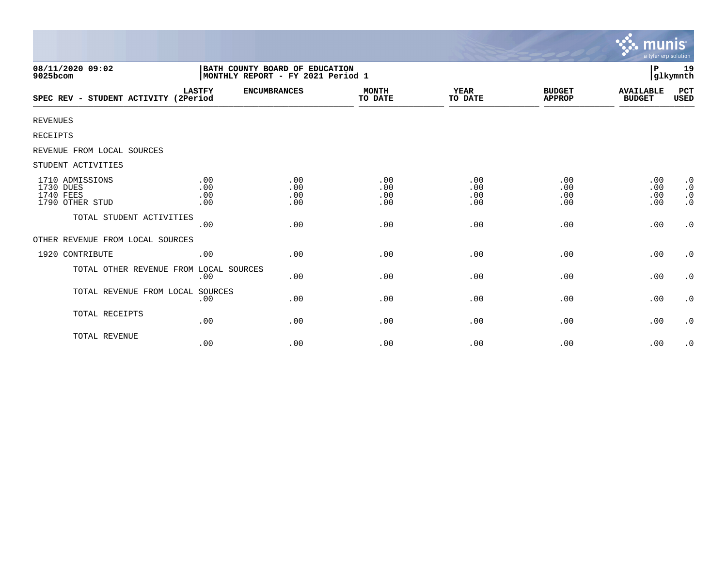|                                                              |                                                                     |                          |                          |                          |                                | munis<br>a tyler erp solution     |                                                               |
|--------------------------------------------------------------|---------------------------------------------------------------------|--------------------------|--------------------------|--------------------------|--------------------------------|-----------------------------------|---------------------------------------------------------------|
| 08/11/2020 09:02<br>9025bcom                                 | BATH COUNTY BOARD OF EDUCATION<br>MONTHLY REPORT - FY 2021 Period 1 |                          |                          |                          |                                | ∣P                                | 19<br> glkymnth                                               |
| SPEC REV - STUDENT ACTIVITY (2Period                         | <b>LASTFY</b>                                                       | <b>ENCUMBRANCES</b>      | <b>MONTH</b><br>TO DATE  | <b>YEAR</b><br>TO DATE   | <b>BUDGET</b><br><b>APPROP</b> | <b>AVAILABLE</b><br><b>BUDGET</b> | PCT<br><b>USED</b>                                            |
| <b>REVENUES</b>                                              |                                                                     |                          |                          |                          |                                |                                   |                                                               |
| <b>RECEIPTS</b>                                              |                                                                     |                          |                          |                          |                                |                                   |                                                               |
| REVENUE FROM LOCAL SOURCES                                   |                                                                     |                          |                          |                          |                                |                                   |                                                               |
| STUDENT ACTIVITIES                                           |                                                                     |                          |                          |                          |                                |                                   |                                                               |
| 1710 ADMISSIONS<br>1730 DUES<br>1740 FEES<br>1790 OTHER STUD | .00<br>.00<br>.00<br>.00                                            | .00<br>.00<br>.00<br>.00 | .00<br>.00<br>.00<br>.00 | .00<br>.00<br>.00<br>.00 | .00<br>.00<br>.00<br>.00       | .00<br>.00<br>.00<br>.00          | $\cdot$ 0<br>$\boldsymbol{\cdot}$ 0<br>$\cdot$ 0<br>$\cdot$ 0 |
| TOTAL STUDENT ACTIVITIES                                     | .00                                                                 | .00                      | .00                      | .00                      | .00                            | .00                               | $\cdot$ 0                                                     |
| OTHER REVENUE FROM LOCAL SOURCES                             |                                                                     |                          |                          |                          |                                |                                   |                                                               |
| 1920 CONTRIBUTE                                              | .00                                                                 | .00                      | .00                      | .00                      | .00                            | .00                               | $\cdot$ 0                                                     |
| TOTAL OTHER REVENUE FROM LOCAL SOURCES                       | .00                                                                 | .00                      | .00                      | .00                      | .00                            | .00                               | $\cdot$ 0                                                     |
| TOTAL REVENUE FROM LOCAL SOURCES                             | .00                                                                 | .00                      | .00                      | .00                      | .00                            | .00                               | $\cdot$ 0                                                     |
| TOTAL RECEIPTS                                               | .00                                                                 | .00                      | .00                      | .00                      | .00                            | .00                               | $\cdot$ 0                                                     |
| TOTAL REVENUE                                                | .00                                                                 | .00                      | .00                      | .00                      | .00                            | .00                               | $\cdot$ 0                                                     |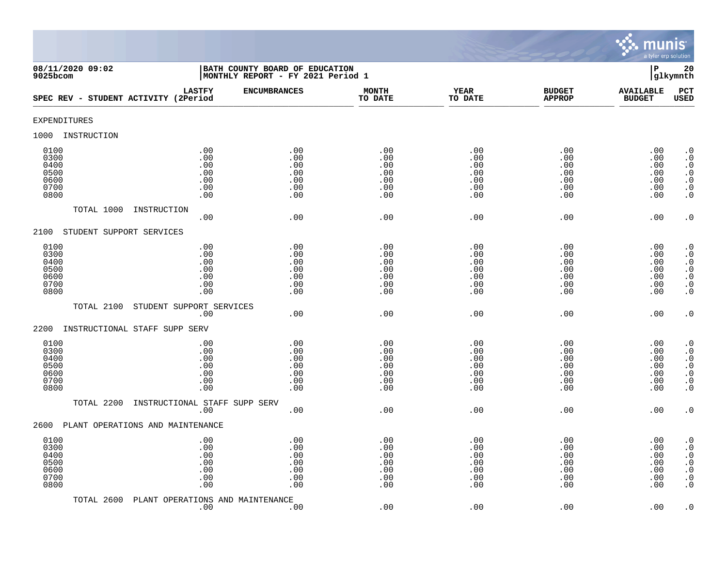

| 08/11/2020 09:02<br>9025bcom                         |                                               | BATH COUNTY BOARD OF EDUCATION<br>MONTHLY REPORT - FY 2021 Period 1 |                                               |                                               |                                               |                                               |                                                                                                                                                     |  |
|------------------------------------------------------|-----------------------------------------------|---------------------------------------------------------------------|-----------------------------------------------|-----------------------------------------------|-----------------------------------------------|-----------------------------------------------|-----------------------------------------------------------------------------------------------------------------------------------------------------|--|
| SPEC REV - STUDENT ACTIVITY (2Period                 | <b>LASTFY</b>                                 | <b>ENCUMBRANCES</b>                                                 | <b>MONTH</b><br>TO DATE                       | <b>YEAR</b><br>TO DATE                        | <b>BUDGET</b><br><b>APPROP</b>                | <b>AVAILABLE</b><br><b>BUDGET</b>             | PCT<br><b>USED</b>                                                                                                                                  |  |
| EXPENDITURES                                         |                                               |                                                                     |                                               |                                               |                                               |                                               |                                                                                                                                                     |  |
| INSTRUCTION<br>1000                                  |                                               |                                                                     |                                               |                                               |                                               |                                               |                                                                                                                                                     |  |
| 0100<br>0300<br>0400<br>0500<br>0600<br>0700<br>0800 | .00<br>.00<br>.00<br>.00<br>.00<br>.00<br>.00 | .00<br>.00<br>.00<br>.00<br>.00<br>.00<br>.00                       | .00<br>.00<br>.00<br>.00<br>.00<br>.00<br>.00 | .00<br>.00<br>.00<br>.00<br>.00<br>.00<br>.00 | .00<br>.00<br>.00<br>.00<br>.00<br>.00<br>.00 | .00<br>.00<br>.00<br>.00<br>.00<br>.00<br>.00 | $\cdot$ 0<br>$\boldsymbol{\cdot}$ 0<br>$\cdot$ 0<br>$\cdot$ 0<br>$\cdot$ 0<br>$\boldsymbol{\cdot}$ 0<br>$\cdot$ 0                                   |  |
| TOTAL 1000                                           | INSTRUCTION<br>.00                            | .00                                                                 | .00                                           | .00                                           | .00                                           | .00                                           | $\cdot$ 0                                                                                                                                           |  |
| STUDENT SUPPORT SERVICES<br>2100                     |                                               |                                                                     |                                               |                                               |                                               |                                               |                                                                                                                                                     |  |
| 0100<br>0300<br>0400<br>0500<br>0600<br>0700<br>0800 | .00<br>.00<br>.00<br>.00<br>.00<br>.00<br>.00 | .00<br>.00<br>.00<br>.00<br>.00<br>.00<br>.00                       | .00<br>.00<br>.00<br>.00<br>.00<br>.00<br>.00 | .00<br>.00<br>.00<br>.00<br>.00<br>.00<br>.00 | .00<br>.00<br>.00<br>.00<br>.00<br>.00<br>.00 | .00<br>.00<br>.00<br>.00<br>.00<br>.00<br>.00 | $\begin{smallmatrix} 0.1 \\ 0.1 \end{smallmatrix}$<br>$\boldsymbol{\cdot}$ 0<br>$\begin{array}{c} . & 0 \\ . & 0 \\ . & 0 \end{array}$<br>$\cdot$ 0 |  |
| TOTAL 2100                                           | STUDENT SUPPORT SERVICES                      |                                                                     |                                               |                                               |                                               |                                               |                                                                                                                                                     |  |
| 2200                                                 | .00<br>INSTRUCTIONAL STAFF SUPP SERV          | .00                                                                 | .00                                           | .00                                           | .00                                           | .00                                           | $\cdot$ 0                                                                                                                                           |  |
| 0100<br>0300<br>0400<br>0500<br>0600<br>0700<br>0800 | .00<br>.00<br>.00<br>.00<br>.00<br>.00<br>.00 | .00<br>.00<br>.00<br>.00<br>.00<br>.00<br>.00                       | .00<br>.00<br>.00<br>.00<br>.00<br>.00<br>.00 | .00<br>.00<br>.00<br>.00<br>.00<br>.00<br>.00 | .00<br>.00<br>.00<br>.00<br>.00<br>.00<br>.00 | .00<br>.00<br>.00<br>.00<br>.00<br>.00<br>.00 | $\cdot$ 0<br>$\overline{0}$<br>$\boldsymbol{\cdot}$ 0<br>$\overline{0}$<br>$\overline{0}$<br>$\boldsymbol{\cdot}$ 0<br>$\overline{0}$               |  |
| TOTAL 2200                                           | INSTRUCTIONAL STAFF SUPP SERV<br>.00          | .00                                                                 | .00                                           | .00                                           | .00                                           | .00                                           | $\cdot$ 0                                                                                                                                           |  |
| 2600                                                 | PLANT OPERATIONS AND MAINTENANCE              |                                                                     |                                               |                                               |                                               |                                               |                                                                                                                                                     |  |
| 0100<br>0300<br>0400<br>0500<br>0600<br>0700<br>0800 | .00<br>.00<br>.00<br>.00<br>.00<br>.00<br>.00 | .00<br>.00<br>.00<br>.00<br>.00<br>.00<br>.00                       | .00<br>.00<br>.00<br>.00<br>.00<br>.00<br>.00 | .00<br>.00<br>.00<br>.00<br>.00<br>.00<br>.00 | .00<br>.00<br>.00<br>.00<br>.00<br>.00<br>.00 | .00<br>.00<br>.00<br>.00<br>.00<br>.00<br>.00 | $\cdot$ 0<br>$\boldsymbol{\cdot}$ 0<br>$\begin{smallmatrix} 0.1 \\ 0.1 \end{smallmatrix}$<br>$\boldsymbol{\cdot}$ 0<br>$\ddot{0}$<br>$\cdot$ 0      |  |
| TOTAL 2600                                           | PLANT OPERATIONS AND MAINTENANCE<br>.00       | .00                                                                 | .00                                           | .00                                           | .00                                           | .00                                           | $\cdot$ 0                                                                                                                                           |  |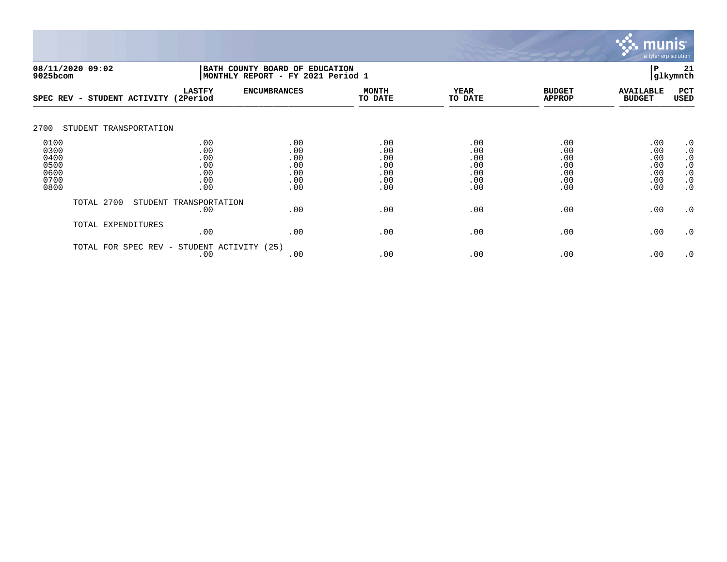

|                                                      | 08/11/2020 09:02<br>BATH COUNTY BOARD OF EDUCATION<br> MONTHLY REPORT - FY 2021 Period 1<br>9025bcom |                                               |                                               |                                               | P                                             | 21<br>glkymnth                                |                                               |                                                                                         |
|------------------------------------------------------|------------------------------------------------------------------------------------------------------|-----------------------------------------------|-----------------------------------------------|-----------------------------------------------|-----------------------------------------------|-----------------------------------------------|-----------------------------------------------|-----------------------------------------------------------------------------------------|
|                                                      | SPEC REV - STUDENT ACTIVITY (2Period                                                                 | <b>LASTFY</b>                                 | <b>ENCUMBRANCES</b>                           | <b>MONTH</b><br>TO DATE                       | <b>YEAR</b><br>TO DATE                        | <b>BUDGET</b><br><b>APPROP</b>                | <b>AVAILABLE</b><br><b>BUDGET</b>             | PCT<br><b>USED</b>                                                                      |
| 2700                                                 | STUDENT TRANSPORTATION                                                                               |                                               |                                               |                                               |                                               |                                               |                                               |                                                                                         |
| 0100<br>0300<br>0400<br>0500<br>0600<br>0700<br>0800 |                                                                                                      | .00<br>.00<br>.00<br>.00<br>.00<br>.00<br>.00 | .00<br>.00<br>.00<br>.00<br>.00<br>.00<br>.00 | .00<br>.00<br>.00<br>.00<br>.00<br>.00<br>.00 | .00<br>.00<br>.00<br>.00<br>.00<br>.00<br>.00 | .00<br>.00<br>.00<br>.00<br>.00<br>.00<br>.00 | .00<br>.00<br>.00<br>.00<br>.00<br>.00<br>.00 | $\cdot$ 0<br>$\cdot$ 0<br>$\cdot$ 0<br>$\cdot$ 0<br>$\cdot$ 0<br>$\cdot$ 0<br>$\cdot$ 0 |
|                                                      | TOTAL 2700                                                                                           | STUDENT TRANSPORTATION<br>.00                 | .00                                           | .00                                           | .00                                           | .00                                           | .00                                           | $\cdot$ 0                                                                               |
|                                                      | TOTAL EXPENDITURES                                                                                   | .00                                           | .00                                           | .00                                           | .00                                           | .00                                           | .00                                           | $\cdot$ 0                                                                               |
|                                                      | TOTAL FOR<br>SPEC REV -                                                                              | STUDENT ACTIVITY<br>.00                       | (25)<br>.00                                   | .00                                           | .00                                           | .00                                           | .00                                           | $\cdot$ 0                                                                               |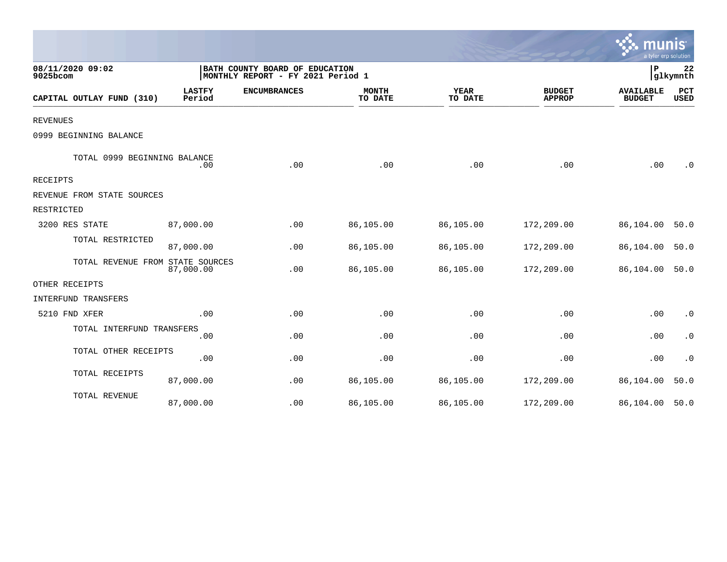|                                  |                         |                                                                     |                         |                        |                                | munis<br>a tyler erp solution     |                        |
|----------------------------------|-------------------------|---------------------------------------------------------------------|-------------------------|------------------------|--------------------------------|-----------------------------------|------------------------|
| 08/11/2020 09:02<br>9025bcom     |                         | BATH COUNTY BOARD OF EDUCATION<br>MONTHLY REPORT - FY 2021 Period 1 |                         |                        |                                |                                   |                        |
| CAPITAL OUTLAY FUND (310)        | <b>LASTFY</b><br>Period | <b>ENCUMBRANCES</b>                                                 | <b>MONTH</b><br>TO DATE | <b>YEAR</b><br>TO DATE | <b>BUDGET</b><br><b>APPROP</b> | <b>AVAILABLE</b><br><b>BUDGET</b> | PCT<br><b>USED</b>     |
| <b>REVENUES</b>                  |                         |                                                                     |                         |                        |                                |                                   |                        |
| 0999 BEGINNING BALANCE           |                         |                                                                     |                         |                        |                                |                                   |                        |
| TOTAL 0999 BEGINNING BALANCE     | .00                     | .00                                                                 | .00                     | .00                    | .00                            | .00                               | $\cdot$ 0              |
| <b>RECEIPTS</b>                  |                         |                                                                     |                         |                        |                                |                                   |                        |
| REVENUE FROM STATE SOURCES       |                         |                                                                     |                         |                        |                                |                                   |                        |
| RESTRICTED                       |                         |                                                                     |                         |                        |                                |                                   |                        |
| 3200 RES STATE                   | 87,000.00               | .00                                                                 | 86,105.00               | 86,105.00              | 172,209.00                     | 86,104.00                         | 50.0                   |
| TOTAL RESTRICTED                 | 87,000.00               | .00                                                                 | 86,105.00               | 86,105.00              | 172,209.00                     | 86,104.00                         | 50.0                   |
| TOTAL REVENUE FROM STATE SOURCES | 87,000.00               | .00                                                                 | 86,105.00               | 86,105.00              | 172,209.00                     | 86,104.00                         | 50.0                   |
| OTHER RECEIPTS                   |                         |                                                                     |                         |                        |                                |                                   |                        |
| INTERFUND TRANSFERS              |                         |                                                                     |                         |                        |                                |                                   |                        |
| 5210 FND XFER                    | .00                     | .00                                                                 | .00                     | .00                    | .00                            | .00                               | $\boldsymbol{\cdot}$ 0 |
| TOTAL INTERFUND TRANSFERS        | .00                     | .00                                                                 | .00                     | .00                    | .00                            | .00                               | $\cdot$ 0              |
| TOTAL OTHER RECEIPTS             | .00                     | .00                                                                 | .00                     | .00                    | .00                            | .00                               | $\cdot$ 0              |
| TOTAL RECEIPTS                   | 87,000.00               | .00                                                                 | 86,105.00               | 86,105.00              | 172,209.00                     | 86,104.00                         | 50.0                   |
| TOTAL REVENUE                    | 87,000.00               | .00                                                                 | 86,105.00               | 86,105.00              | 172,209.00                     | 86,104.00                         | 50.0                   |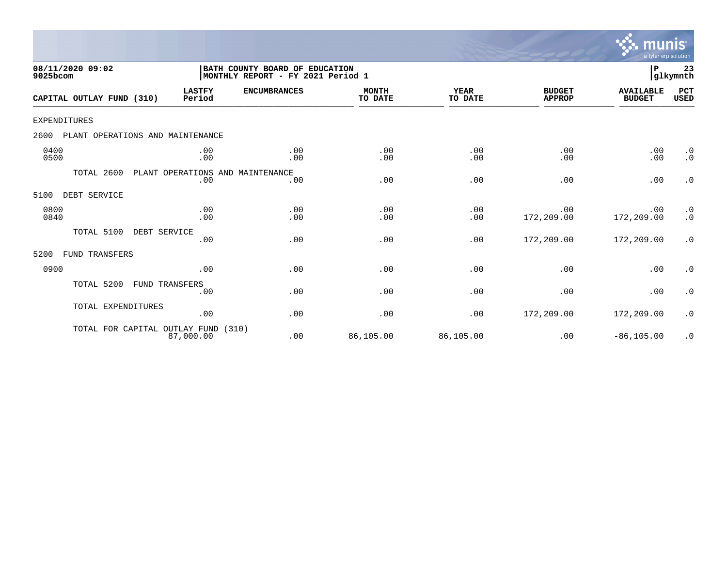

| 08/11/2020 09:02<br>9025bcom             |                                         | BATH COUNTY BOARD OF EDUCATION<br> MONTHLY REPORT - FY 2021 Period 1 |                         |                        |                                | P                                 | 23<br>glkymnth         |
|------------------------------------------|-----------------------------------------|----------------------------------------------------------------------|-------------------------|------------------------|--------------------------------|-----------------------------------|------------------------|
| CAPITAL OUTLAY FUND (310)                | <b>LASTFY</b><br>Period                 | <b>ENCUMBRANCES</b>                                                  | <b>MONTH</b><br>TO DATE | <b>YEAR</b><br>TO DATE | <b>BUDGET</b><br><b>APPROP</b> | <b>AVAILABLE</b><br><b>BUDGET</b> | PCT<br><b>USED</b>     |
| <b>EXPENDITURES</b>                      |                                         |                                                                      |                         |                        |                                |                                   |                        |
| PLANT OPERATIONS AND MAINTENANCE<br>2600 |                                         |                                                                      |                         |                        |                                |                                   |                        |
| 0400<br>0500                             | .00<br>.00                              | .00<br>.00                                                           | .00<br>.00              | .00<br>.00             | .00<br>.00                     | .00<br>.00                        | $\cdot$ 0<br>$\cdot$ 0 |
| TOTAL 2600                               | PLANT OPERATIONS AND MAINTENANCE<br>.00 | .00                                                                  | .00                     | .00                    | .00                            | .00                               | $\cdot$ 0              |
| DEBT SERVICE<br>5100                     |                                         |                                                                      |                         |                        |                                |                                   |                        |
| 0800<br>0840                             | .00<br>.00                              | .00<br>.00                                                           | .00<br>.00              | .00<br>.00             | .00<br>172,209.00              | .00<br>172,209.00                 | $\cdot$ 0<br>$\cdot$ 0 |
| TOTAL 5100<br>DEBT SERVICE               | .00                                     | .00                                                                  | .00                     | .00                    | 172,209.00                     | 172,209.00                        | $\cdot$ 0              |
| FUND TRANSFERS<br>5200                   |                                         |                                                                      |                         |                        |                                |                                   |                        |
| 0900                                     | .00                                     | .00                                                                  | .00                     | .00                    | .00                            | .00                               | $\cdot$ 0              |
| TOTAL 5200                               | FUND TRANSFERS<br>.00                   | .00                                                                  | .00                     | .00                    | .00                            | .00                               | $\cdot$ 0              |
| TOTAL EXPENDITURES                       | .00                                     | .00                                                                  | .00                     | .00                    | 172,209.00                     | 172,209.00                        | $\cdot$ 0              |
| TOTAL FOR CAPITAL OUTLAY FUND            | 87,000.00                               | (310)<br>.00                                                         | 86,105.00               | 86,105.00              | .00                            | $-86, 105.00$                     | $\cdot$ 0              |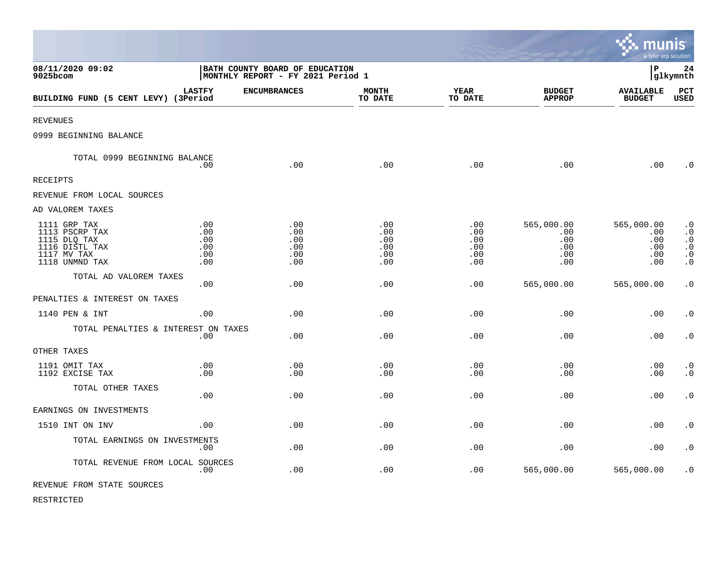|                                                                                                   |                                        |                                                                       |                                        |                                        |                                               | munis<br>a tyler erp solution                 |                                                                                         |
|---------------------------------------------------------------------------------------------------|----------------------------------------|-----------------------------------------------------------------------|----------------------------------------|----------------------------------------|-----------------------------------------------|-----------------------------------------------|-----------------------------------------------------------------------------------------|
| 08/11/2020 09:02<br>9025bcom                                                                      |                                        | BATH COUNTY BOARD OF EDUCATION<br>  MONTHLY REPORT - FY 2021 Period 1 |                                        |                                        |                                               | l P                                           | 24<br> glkymnth                                                                         |
| BUILDING FUND (5 CENT LEVY) (3Period                                                              | <b>LASTFY</b>                          | <b>ENCUMBRANCES</b>                                                   | <b>MONTH</b><br>TO DATE                | <b>YEAR</b><br>TO DATE                 | <b>BUDGET</b><br><b>APPROP</b>                | <b>AVAILABLE</b><br><b>BUDGET</b>             | PCT<br><b>USED</b>                                                                      |
| <b>REVENUES</b>                                                                                   |                                        |                                                                       |                                        |                                        |                                               |                                               |                                                                                         |
| 0999 BEGINNING BALANCE                                                                            |                                        |                                                                       |                                        |                                        |                                               |                                               |                                                                                         |
| TOTAL 0999 BEGINNING BALANCE                                                                      | .00                                    | .00                                                                   | .00                                    | .00                                    | .00                                           | .00                                           | $\cdot$ 0                                                                               |
| <b>RECEIPTS</b>                                                                                   |                                        |                                                                       |                                        |                                        |                                               |                                               |                                                                                         |
| REVENUE FROM LOCAL SOURCES                                                                        |                                        |                                                                       |                                        |                                        |                                               |                                               |                                                                                         |
| AD VALOREM TAXES                                                                                  |                                        |                                                                       |                                        |                                        |                                               |                                               |                                                                                         |
| 1111 GRP TAX<br>1113 PSCRP TAX<br>1115 DLQ TAX<br>1116 DISTL TAX<br>1117 MV TAX<br>1118 UNMND TAX | .00<br>.00<br>.00<br>.00<br>.00<br>.00 | .00<br>.00<br>.00<br>.00<br>.00<br>.00                                | .00<br>.00<br>.00<br>.00<br>.00<br>.00 | .00<br>.00<br>.00<br>.00<br>.00<br>.00 | 565,000.00<br>.00<br>.00<br>.00<br>.00<br>.00 | 565,000.00<br>.00<br>.00<br>.00<br>.00<br>.00 | $\cdot$ 0<br>$\cdot$ 0<br>$\cdot$ 0<br>$\boldsymbol{\cdot}$ 0<br>$\cdot$ 0<br>$\cdot$ 0 |
| TOTAL AD VALOREM TAXES                                                                            | .00                                    | .00                                                                   | .00                                    | .00                                    | 565,000.00                                    | 565,000.00                                    | $\cdot$ 0                                                                               |
| PENALTIES & INTEREST ON TAXES                                                                     |                                        |                                                                       |                                        |                                        |                                               |                                               |                                                                                         |
| 1140 PEN & INT                                                                                    | .00.                                   | .00                                                                   | .00                                    | .00                                    | .00                                           | .00                                           | $\cdot$ 0                                                                               |
| TOTAL PENALTIES & INTEREST ON TAXES                                                               | .00                                    | .00                                                                   | .00                                    | .00                                    | .00                                           | .00                                           | $\cdot$ 0                                                                               |
| OTHER TAXES                                                                                       |                                        |                                                                       |                                        |                                        |                                               |                                               |                                                                                         |
| 1191 OMIT TAX<br>1192 EXCISE TAX                                                                  | .00<br>.00                             | .00<br>.00                                                            | .00<br>.00                             | .00<br>.00                             | .00<br>.00                                    | .00<br>.00                                    | $\cdot$ 0<br>$\cdot$ 0                                                                  |
| TOTAL OTHER TAXES                                                                                 | .00                                    | .00                                                                   | .00                                    | .00                                    | .00                                           | .00                                           | $\cdot$ 0                                                                               |
| EARNINGS ON INVESTMENTS                                                                           |                                        |                                                                       |                                        |                                        |                                               |                                               |                                                                                         |
| 1510 INT ON INV                                                                                   | .00                                    | .00                                                                   | .00                                    | .00                                    | .00                                           | .00                                           | $\cdot$ 0                                                                               |
| TOTAL EARNINGS ON INVESTMENTS                                                                     | .00                                    | .00                                                                   | .00                                    | .00                                    | .00                                           | .00                                           | $\cdot$ 0                                                                               |
| TOTAL REVENUE FROM LOCAL SOURCES                                                                  | .00                                    | .00                                                                   | .00                                    | .00                                    | 565,000.00                                    | 565,000.00                                    | $\cdot$ 0                                                                               |
| REVENUE FROM STATE SOURCES                                                                        |                                        |                                                                       |                                        |                                        |                                               |                                               |                                                                                         |

 $\bullet$ 

RESTRICTED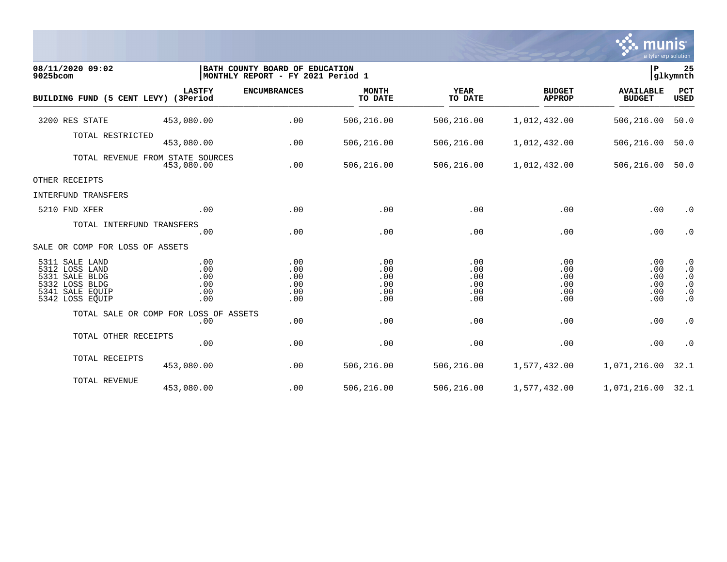

| 08/11/2020 09:02<br>9025bcom                                                                                  |                                        | BATH COUNTY BOARD OF EDUCATION<br> MONTHLY REPORT - FY 2021 Period 1 |                                        |                                        |                                        | lР                                     | 25<br>glkymnth                                                             |
|---------------------------------------------------------------------------------------------------------------|----------------------------------------|----------------------------------------------------------------------|----------------------------------------|----------------------------------------|----------------------------------------|----------------------------------------|----------------------------------------------------------------------------|
| BUILDING FUND (5 CENT LEVY) (3Period                                                                          | <b>LASTFY</b>                          | <b>ENCUMBRANCES</b>                                                  | <b>MONTH</b><br>TO DATE                | <b>YEAR</b><br>TO DATE                 | <b>BUDGET</b><br><b>APPROP</b>         | <b>AVAILABLE</b><br><b>BUDGET</b>      | <b>PCT</b><br>USED                                                         |
| 3200 RES STATE                                                                                                | 453,080.00                             | .00                                                                  | 506,216.00                             | 506,216.00                             | 1,012,432.00                           | 506,216.00                             | 50.0                                                                       |
| TOTAL RESTRICTED                                                                                              | 453,080.00                             | .00                                                                  | 506,216.00                             | 506,216.00                             | 1,012,432.00                           | 506,216.00                             | 50.0                                                                       |
| TOTAL REVENUE FROM STATE SOURCES                                                                              | 453,080.00                             | .00                                                                  | 506,216.00                             | 506,216.00                             | 1,012,432.00                           | 506,216.00                             | 50.0                                                                       |
| OTHER RECEIPTS                                                                                                |                                        |                                                                      |                                        |                                        |                                        |                                        |                                                                            |
| INTERFUND TRANSFERS                                                                                           |                                        |                                                                      |                                        |                                        |                                        |                                        |                                                                            |
| 5210 FND XFER                                                                                                 | .00                                    | .00                                                                  | .00                                    | .00                                    | .00                                    | .00                                    | $\cdot$ 0                                                                  |
| TOTAL INTERFUND TRANSFERS                                                                                     | .00                                    | .00                                                                  | .00                                    | .00                                    | .00                                    | .00                                    | $\cdot$ 0                                                                  |
| SALE OR COMP FOR LOSS OF ASSETS                                                                               |                                        |                                                                      |                                        |                                        |                                        |                                        |                                                                            |
| 5311 SALE LAND<br>5312 LOSS LAND<br>5331 SALE BLDG<br>5332 LOSS BLDG<br>5341<br>SALE EQUIP<br>5342 LOSS EQUIP | .00<br>.00<br>.00<br>.00<br>.00<br>.00 | .00<br>.00<br>.00<br>.00<br>.00<br>.00                               | .00<br>.00<br>.00<br>.00<br>.00<br>.00 | .00<br>.00<br>.00<br>.00<br>.00<br>.00 | .00<br>.00<br>.00<br>.00<br>.00<br>.00 | .00<br>.00<br>.00<br>.00<br>.00<br>.00 | $\cdot$ 0<br>$\cdot$ 0<br>$\cdot$ 0<br>$\cdot$ 0<br>$\cdot$ 0<br>$\cdot$ 0 |
| TOTAL SALE OR COMP FOR LOSS OF ASSETS                                                                         | .00                                    | .00                                                                  | .00                                    | .00                                    | .00                                    | .00                                    | $\cdot$ 0                                                                  |
| TOTAL OTHER RECEIPTS                                                                                          | .00                                    | .00                                                                  | .00                                    | .00                                    | .00                                    | .00                                    | $\cdot$ 0                                                                  |
| TOTAL RECEIPTS                                                                                                | 453,080.00                             | .00                                                                  | 506,216.00                             | 506,216.00                             | 1,577,432.00                           | 1,071,216.00                           | 32.1                                                                       |
| TOTAL REVENUE                                                                                                 | 453,080.00                             | .00                                                                  | 506,216.00                             | 506,216.00                             | 1,577,432.00                           | 1,071,216.00 32.1                      |                                                                            |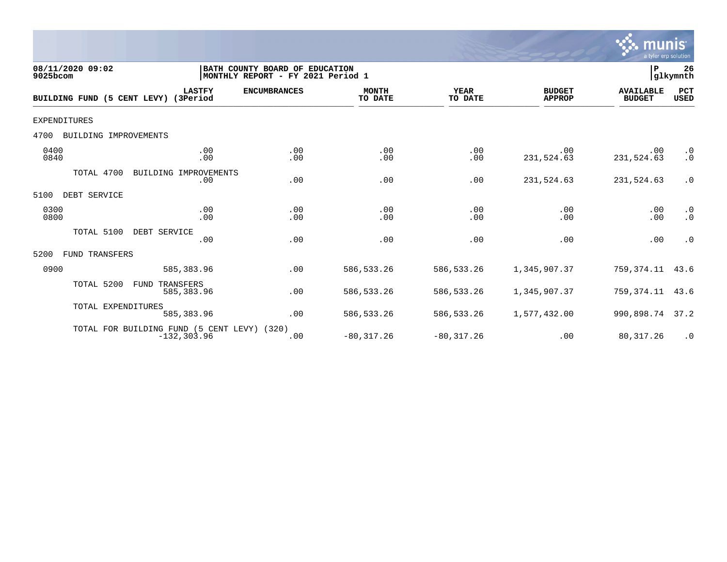

| 08/11/2020 09:02<br>9025bcom         |                                                               | BATH COUNTY BOARD OF EDUCATION<br> MONTHLY REPORT - FY 2021 Period 1 |                         |                        |                                | ∣₽                                | 26<br>glkymnth            |
|--------------------------------------|---------------------------------------------------------------|----------------------------------------------------------------------|-------------------------|------------------------|--------------------------------|-----------------------------------|---------------------------|
| BUILDING FUND (5 CENT LEVY) (3Period | <b>LASTFY</b>                                                 | <b>ENCUMBRANCES</b>                                                  | <b>MONTH</b><br>TO DATE | <b>YEAR</b><br>TO DATE | <b>BUDGET</b><br><b>APPROP</b> | <b>AVAILABLE</b><br><b>BUDGET</b> | <b>PCT</b><br><b>USED</b> |
| EXPENDITURES                         |                                                               |                                                                      |                         |                        |                                |                                   |                           |
| 4700<br>BUILDING IMPROVEMENTS        |                                                               |                                                                      |                         |                        |                                |                                   |                           |
| 0400<br>0840                         | .00<br>.00                                                    | .00<br>.00                                                           | .00<br>.00              | .00<br>.00             | .00<br>231,524.63              | .00<br>231,524.63                 | $\cdot$ 0<br>$\cdot$ 0    |
| TOTAL 4700                           | BUILDING IMPROVEMENTS<br>.00                                  | .00                                                                  | .00                     | .00                    | 231,524.63                     | 231,524.63                        | $\cdot$ 0                 |
| DEBT SERVICE<br>5100                 |                                                               |                                                                      |                         |                        |                                |                                   |                           |
| 0300<br>0800                         | .00<br>.00                                                    | .00<br>.00                                                           | .00<br>.00              | .00<br>.00             | .00<br>.00                     | .00<br>.00                        | $\cdot$ 0<br>$\cdot$ 0    |
| TOTAL 5100                           | DEBT SERVICE<br>.00                                           | .00                                                                  | .00                     | .00                    | .00                            | .00                               | $\cdot$ 0                 |
| 5200<br><b>FUND TRANSFERS</b>        |                                                               |                                                                      |                         |                        |                                |                                   |                           |
| 0900                                 | 585, 383.96                                                   | .00                                                                  | 586, 533.26             | 586,533.26             | 1,345,907.37                   | 759, 374. 11 43. 6                |                           |
| TOTAL 5200                           | TRANSFERS<br>FUND<br>585,383.96                               | .00                                                                  | 586, 533.26             | 586,533.26             | 1,345,907.37                   | 759,374.11                        | 43.6                      |
| TOTAL EXPENDITURES                   | 585, 383.96                                                   | .00                                                                  | 586, 533.26             | 586,533.26             | 1,577,432.00                   | 990,898.74 37.2                   |                           |
|                                      | TOTAL FOR BUILDING FUND (5 CENT LEVY) (320)<br>$-132, 303.96$ | .00                                                                  | $-80, 317.26$           | $-80, 317.26$          | .00                            | 80, 317.26                        | $\cdot$ 0                 |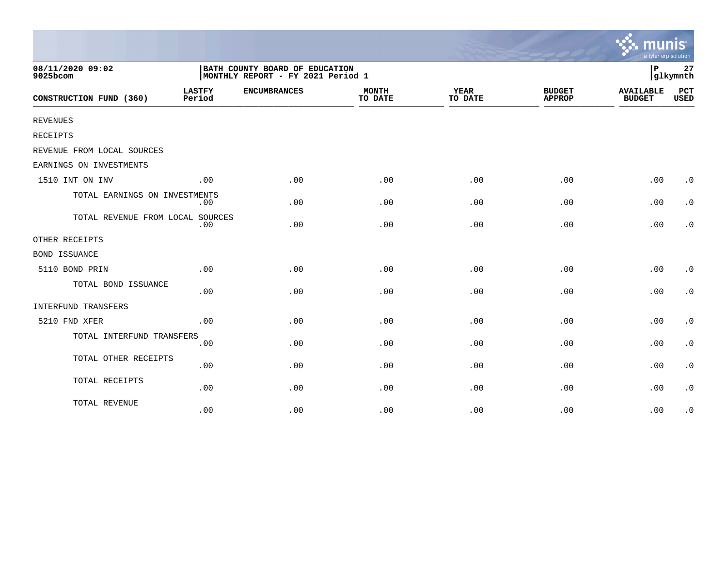|                                  |                                                                     |                     |                         |                        |                                | munis<br>a tyler erp solution     |                        |
|----------------------------------|---------------------------------------------------------------------|---------------------|-------------------------|------------------------|--------------------------------|-----------------------------------|------------------------|
| 08/11/2020 09:02<br>9025bcom     | BATH COUNTY BOARD OF EDUCATION<br>MONTHLY REPORT - FY 2021 Period 1 |                     |                         |                        |                                |                                   | 27<br>glkymnth         |
| CONSTRUCTION FUND (360)          | <b>LASTFY</b><br>Period                                             | <b>ENCUMBRANCES</b> | <b>MONTH</b><br>TO DATE | <b>YEAR</b><br>TO DATE | <b>BUDGET</b><br><b>APPROP</b> | <b>AVAILABLE</b><br><b>BUDGET</b> | PCT<br><b>USED</b>     |
| <b>REVENUES</b>                  |                                                                     |                     |                         |                        |                                |                                   |                        |
| <b>RECEIPTS</b>                  |                                                                     |                     |                         |                        |                                |                                   |                        |
| REVENUE FROM LOCAL SOURCES       |                                                                     |                     |                         |                        |                                |                                   |                        |
| EARNINGS ON INVESTMENTS          |                                                                     |                     |                         |                        |                                |                                   |                        |
| 1510 INT ON INV                  | .00                                                                 | .00                 | .00                     | .00                    | .00                            | .00                               | $\cdot$ 0              |
| TOTAL EARNINGS ON INVESTMENTS    | .00                                                                 | .00                 | .00                     | .00                    | .00                            | .00                               | $\cdot$ 0              |
| TOTAL REVENUE FROM LOCAL SOURCES | .00                                                                 | .00                 | .00                     | .00                    | .00                            | .00                               | $\cdot$ 0              |
| OTHER RECEIPTS                   |                                                                     |                     |                         |                        |                                |                                   |                        |
| <b>BOND ISSUANCE</b>             |                                                                     |                     |                         |                        |                                |                                   |                        |
| 5110 BOND PRIN                   | .00                                                                 | .00                 | .00                     | .00                    | .00                            | .00                               | $\cdot$ 0              |
| TOTAL BOND ISSUANCE              | .00                                                                 | .00                 | .00                     | .00                    | .00                            | .00                               | $\cdot$ 0              |
| INTERFUND TRANSFERS              |                                                                     |                     |                         |                        |                                |                                   |                        |
| 5210 FND XFER                    | .00                                                                 | .00                 | .00                     | .00                    | .00                            | .00                               | $\cdot$ 0              |
| TOTAL INTERFUND TRANSFERS        | .00                                                                 | .00                 | .00                     | .00                    | .00                            | .00                               | $\cdot$ 0              |
| TOTAL OTHER RECEIPTS             | .00                                                                 | .00                 | .00                     | .00                    | .00                            | .00                               | $\cdot$ 0              |
| TOTAL RECEIPTS                   | .00                                                                 | .00                 | .00                     | .00                    | .00                            | .00                               | $\boldsymbol{\cdot}$ 0 |
| TOTAL REVENUE                    | .00                                                                 | .00                 | .00                     | .00                    | .00                            | .00                               | $\cdot$ 0              |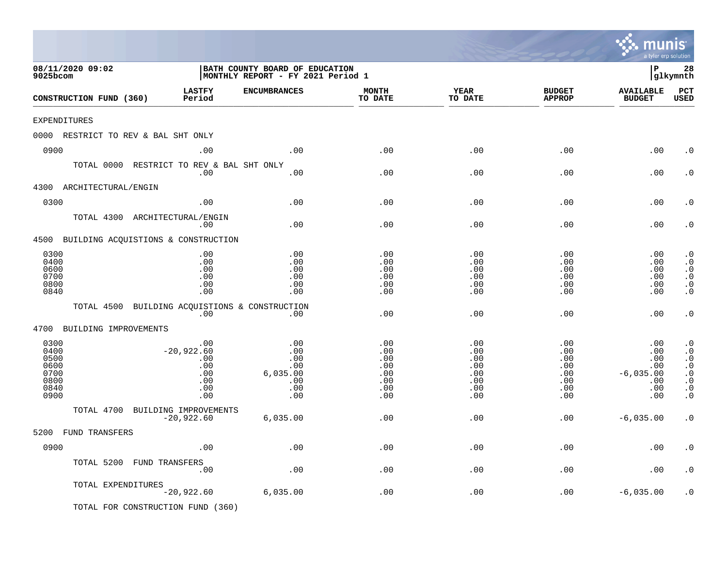|                                                              |                                                               |                                                                     |                                                      |                                                      |                                                                     | <b>munis</b><br>a tyler erp solution                         |                                                                                                                            |
|--------------------------------------------------------------|---------------------------------------------------------------|---------------------------------------------------------------------|------------------------------------------------------|------------------------------------------------------|---------------------------------------------------------------------|--------------------------------------------------------------|----------------------------------------------------------------------------------------------------------------------------|
| 08/11/2020 09:02<br>9025bcom                                 |                                                               | BATH COUNTY BOARD OF EDUCATION<br>MONTHLY REPORT - FY 2021 Period 1 |                                                      |                                                      |                                                                     | l P                                                          | 28<br> glkymnth                                                                                                            |
| CONSTRUCTION FUND (360)                                      | <b>LASTFY</b><br>Period                                       | <b>ENCUMBRANCES</b>                                                 | <b>MONTH</b><br>TO DATE                              | YEAR<br>TO DATE                                      | <b>BUDGET</b><br><b>APPROP</b>                                      | <b>AVAILABLE</b><br><b>BUDGET</b>                            | PCT<br><b>USED</b>                                                                                                         |
| <b>EXPENDITURES</b>                                          |                                                               |                                                                     |                                                      |                                                      |                                                                     |                                                              |                                                                                                                            |
| 0000 RESTRICT TO REV & BAL SHT ONLY                          |                                                               |                                                                     |                                                      |                                                      |                                                                     |                                                              |                                                                                                                            |
| 0900                                                         | .00                                                           | .00                                                                 | .00                                                  | .00                                                  | .00                                                                 | .00                                                          | . 0                                                                                                                        |
| TOTAL 0000 RESTRICT TO REV & BAL SHT ONLY                    | .00                                                           | .00                                                                 | .00                                                  | .00                                                  | .00                                                                 | .00                                                          | . 0                                                                                                                        |
| 4300 ARCHITECTURAL/ENGIN                                     |                                                               |                                                                     |                                                      |                                                      |                                                                     |                                                              |                                                                                                                            |
| 0300                                                         | .00                                                           | .00                                                                 | .00                                                  | .00                                                  | .00                                                                 | .00                                                          | . 0                                                                                                                        |
| TOTAL 4300 ARCHITECTURAL/ENGIN                               | .00                                                           | .00                                                                 | .00                                                  | .00                                                  | .00                                                                 | .00                                                          | . 0                                                                                                                        |
| 4500 BUILDING ACQUISTIONS & CONSTRUCTION                     |                                                               |                                                                     |                                                      |                                                      |                                                                     |                                                              |                                                                                                                            |
| 0300<br>0400<br>0600<br>0700<br>0800<br>0840                 | .00<br>.00<br>.00<br>.00<br>.00<br>.00                        | .00<br>.00<br>.00<br>.00<br>.00<br>.00                              | .00<br>.00<br>.00<br>.00<br>.00<br>.00               | .00<br>.00<br>.00<br>.00<br>.00<br>.00               | .00<br>.00<br>.00<br>.00<br>.00<br>.00                              | .00<br>.00<br>.00<br>.00<br>.00<br>.00                       | $\cdot$ 0<br>$\cdot$ 0<br>$\cdot$ 0<br>$\cdot$ 0<br>$\cdot$ 0<br>$\cdot$ 0                                                 |
| TOTAL 4500                                                   | .00                                                           | BUILDING ACQUISTIONS & CONSTRUCTION<br>$.00 \ \,$                   | .00                                                  | .00                                                  | .00                                                                 | .00                                                          | $\cdot$ 0                                                                                                                  |
| 4700 BUILDING IMPROVEMENTS                                   |                                                               |                                                                     |                                                      |                                                      |                                                                     |                                                              |                                                                                                                            |
| 0300<br>0400<br>0500<br>0600<br>0700<br>0800<br>0840<br>0900 | .00<br>$-20,922.60$<br>.00<br>.00<br>.00<br>.00<br>.00<br>.00 | .00<br>.00<br>.00<br>.00<br>6,035.00<br>.00<br>.00<br>.00           | .00<br>.00<br>.00<br>.00<br>.00<br>.00<br>.00<br>.00 | .00<br>.00<br>.00<br>.00<br>.00<br>.00<br>.00<br>.00 | .00<br>.00<br>.00<br>$.00 \,$<br>$.00 \,$<br>.00<br>$.00 \,$<br>.00 | .00<br>.00<br>.00<br>.00<br>$-6,035.00$<br>.00<br>.00<br>.00 | $\cdot$ 0<br>. $\boldsymbol{0}$<br>$\cdot$ 0<br>$\cdot$ 0<br>$\boldsymbol{\cdot}$ 0<br>$\cdot$ 0<br>$\cdot$ 0<br>$\cdot$ 0 |
| TOTAL 4700<br>BUILDING IMPROVEMENTS                          | $-20,922.60$                                                  | 6,035.00                                                            | .00                                                  | .00                                                  | .00                                                                 | $-6,035.00$                                                  | $\cdot$ 0                                                                                                                  |
| 5200 FUND TRANSFERS                                          |                                                               |                                                                     |                                                      |                                                      |                                                                     |                                                              |                                                                                                                            |
| 0900                                                         | .00                                                           | .00                                                                 | .00                                                  | .00                                                  | .00                                                                 | .00                                                          | $\boldsymbol{\cdot}$ 0                                                                                                     |
| TOTAL 5200 FUND TRANSFERS                                    | .00                                                           | .00                                                                 | .00                                                  | .00                                                  | .00                                                                 | .00                                                          | $\cdot$ 0                                                                                                                  |
| TOTAL EXPENDITURES                                           | $-20,922.60$                                                  | 6,035.00                                                            | .00                                                  | .00                                                  | .00                                                                 | $-6,035.00$                                                  | $\cdot$ 0                                                                                                                  |
| TOTAL FOR CONSTRUCTION FUND (360)                            |                                                               |                                                                     |                                                      |                                                      |                                                                     |                                                              |                                                                                                                            |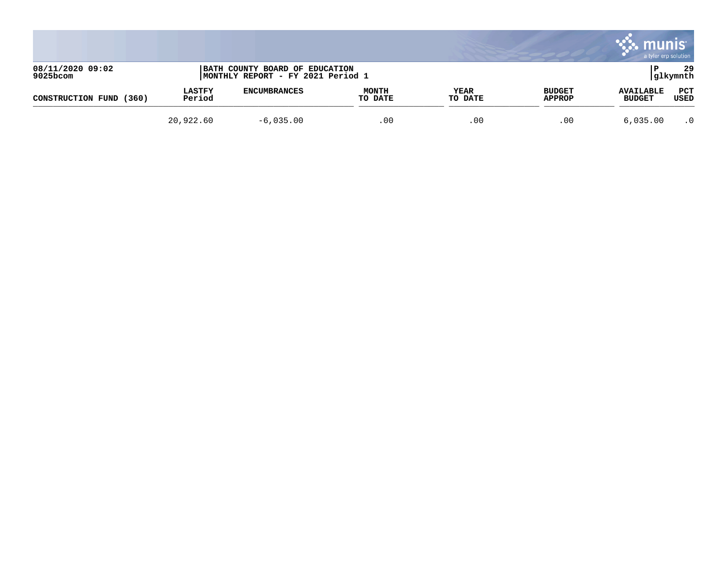|                              |                         |                                                                     |                         |                 |                         | munis<br>a tyler erp solution     |                 |
|------------------------------|-------------------------|---------------------------------------------------------------------|-------------------------|-----------------|-------------------------|-----------------------------------|-----------------|
| 08/11/2020 09:02<br>9025bcom |                         | BATH COUNTY BOARD OF EDUCATION<br>MONTHLY REPORT - FY 2021 Period 1 |                         |                 |                         |                                   | 29<br> glkymnth |
| CONSTRUCTION FUND<br>(360)   | <b>LASTFY</b><br>Period | <b>ENCUMBRANCES</b>                                                 | <b>MONTH</b><br>TO DATE | YEAR<br>TO DATE | <b>BUDGET</b><br>APPROP | <b>AVAILABLE</b><br><b>BUDGET</b> | PCT<br>USED     |
|                              | 20,922.60               | $-6,035.00$                                                         | .00                     | .00             | .00                     | 6,035.00                          | $\cdot$ 0       |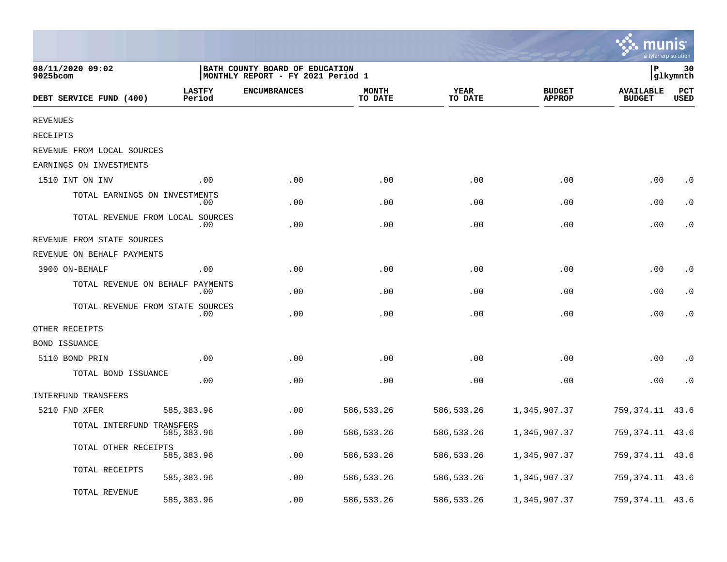|                                  |                         |                                                                     |                         |                 |                                | a tyler erp solution              |                    |
|----------------------------------|-------------------------|---------------------------------------------------------------------|-------------------------|-----------------|--------------------------------|-----------------------------------|--------------------|
| 08/11/2020 09:02<br>9025bcom     |                         | BATH COUNTY BOARD OF EDUCATION<br>MONTHLY REPORT - FY 2021 Period 1 |                         |                 |                                | ΙP                                | 30<br> glkymnth    |
| DEBT SERVICE FUND (400)          | <b>LASTFY</b><br>Period | <b>ENCUMBRANCES</b>                                                 | <b>MONTH</b><br>TO DATE | YEAR<br>TO DATE | <b>BUDGET</b><br><b>APPROP</b> | <b>AVAILABLE</b><br><b>BUDGET</b> | PCT<br><b>USED</b> |
| <b>REVENUES</b>                  |                         |                                                                     |                         |                 |                                |                                   |                    |
| RECEIPTS                         |                         |                                                                     |                         |                 |                                |                                   |                    |
| REVENUE FROM LOCAL SOURCES       |                         |                                                                     |                         |                 |                                |                                   |                    |
| EARNINGS ON INVESTMENTS          |                         |                                                                     |                         |                 |                                |                                   |                    |
| 1510 INT ON INV                  | .00                     | .00                                                                 | .00                     | .00             | .00                            | .00                               | $\cdot$ 0          |
| TOTAL EARNINGS ON INVESTMENTS    | .00                     | .00                                                                 | .00                     | .00             | .00                            | .00                               | $\cdot$ 0          |
| TOTAL REVENUE FROM LOCAL SOURCES | .00                     | .00                                                                 | .00                     | .00             | .00                            | .00                               | $\cdot$ 0          |
| REVENUE FROM STATE SOURCES       |                         |                                                                     |                         |                 |                                |                                   |                    |
| REVENUE ON BEHALF PAYMENTS       |                         |                                                                     |                         |                 |                                |                                   |                    |
| 3900 ON-BEHALF                   | .00                     | .00                                                                 | .00                     | .00             | .00                            | .00                               | $\cdot$ 0          |
| TOTAL REVENUE ON BEHALF          | PAYMENTS<br>.00         | .00                                                                 | .00                     | .00             | .00                            | .00                               | $\cdot$ 0          |
| TOTAL REVENUE FROM STATE SOURCES | .00                     | .00                                                                 | .00                     | .00             | .00                            | .00                               | $\cdot$ 0          |
| OTHER RECEIPTS                   |                         |                                                                     |                         |                 |                                |                                   |                    |
| <b>BOND ISSUANCE</b>             |                         |                                                                     |                         |                 |                                |                                   |                    |
| 5110 BOND PRIN                   | .00                     | .00                                                                 | .00                     | .00             | .00                            | .00                               | $\cdot$ 0          |
| TOTAL BOND ISSUANCE              | .00                     | .00                                                                 | .00                     | .00             | .00                            | .00                               | $\cdot$ 0          |
| <b>INTERFUND TRANSFERS</b>       |                         |                                                                     |                         |                 |                                |                                   |                    |
| 5210 FND XFER                    | 585,383.96              | .00                                                                 | 586, 533.26             | 586,533.26      | 1,345,907.37                   | 759,374.11                        | 43.6               |
| TOTAL INTERFUND TRANSFERS        | 585,383.96              | .00                                                                 | 586, 533. 26            | 586,533.26      | 1,345,907.37                   | 759,374.11                        | 43.6               |
| TOTAL OTHER RECEIPTS             | 585,383.96              | .00                                                                 | 586, 533. 26            | 586,533.26      | 1,345,907.37                   | 759,374.11                        | 43.6               |
| TOTAL RECEIPTS                   | 585,383.96              | .00                                                                 | 586, 533.26             | 586,533.26      | 1,345,907.37                   | 759,374.11                        | 43.6               |
| TOTAL REVENUE                    | 585,383.96              | .00                                                                 | 586, 533.26             | 586,533.26      | 1,345,907.37                   | 759,374.11                        | 43.6               |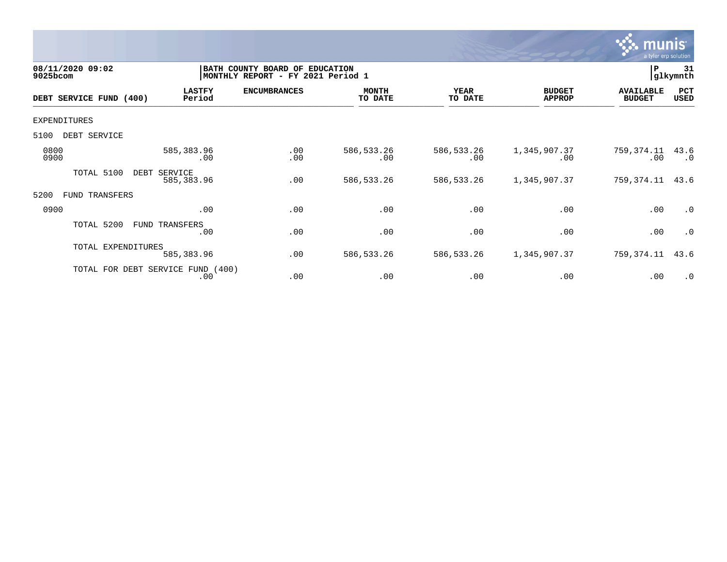

| 08/11/2020 09:02<br>9025bcom |                                          | BATH COUNTY BOARD OF<br><b>EDUCATION</b><br>MONTHLY REPORT - FY 2021 Period 1 |                         |                        |                                |                                   | 31<br>glkymnth    |  |
|------------------------------|------------------------------------------|-------------------------------------------------------------------------------|-------------------------|------------------------|--------------------------------|-----------------------------------|-------------------|--|
| DEBT SERVICE FUND (400)      | <b>LASTFY</b><br>Period                  | <b>ENCUMBRANCES</b>                                                           | <b>MONTH</b><br>TO DATE | <b>YEAR</b><br>TO DATE | <b>BUDGET</b><br><b>APPROP</b> | <b>AVAILABLE</b><br><b>BUDGET</b> | PCT<br>USED       |  |
| <b>EXPENDITURES</b>          |                                          |                                                                               |                         |                        |                                |                                   |                   |  |
| DEBT SERVICE<br>5100         |                                          |                                                                               |                         |                        |                                |                                   |                   |  |
| 0800<br>0900                 | 585,383.96<br>.00                        | .00<br>.00                                                                    | 586, 533.26<br>.00      | 586, 533. 26<br>.00    | 1,345,907.37<br>.00            | 759,374.11<br>.00                 | 43.6<br>$\cdot$ 0 |  |
| TOTAL 5100                   | DEBT<br>SERVICE<br>585,383.96            | .00                                                                           | 586, 533.26             | 586, 533. 26           | 1,345,907.37                   | 759,374.11                        | 43.6              |  |
| 5200<br>TRANSFERS<br>FUND    |                                          |                                                                               |                         |                        |                                |                                   |                   |  |
| 0900                         | .00                                      | .00                                                                           | .00                     | .00                    | .00                            | .00                               | .0                |  |
| TOTAL 5200                   | FUND TRANSFERS<br>.00                    | .00                                                                           | .00                     | .00                    | .00                            | .00                               | $\cdot$ 0         |  |
| TOTAL EXPENDITURES           | 585,383.96                               | .00                                                                           | 586, 533.26             | 586, 533. 26           | 1,345,907.37                   | 759,374.11                        | 43.6              |  |
|                              | TOTAL FOR DEBT SERVICE FUND (400)<br>.00 | .00                                                                           | .00                     | .00                    | .00                            | .00                               | .0                |  |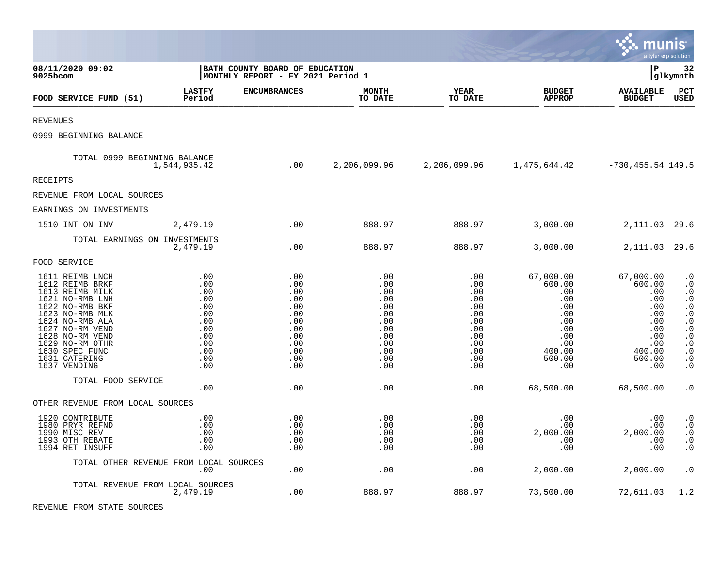|                                                                                                                                                                                                                                               |                                                                                         |                                                                                         |                                                                                         |                                                                                                     |                                                                                                                                 | munis                                                                                                  | a tyler erp solution                                                                                                                                                               |
|-----------------------------------------------------------------------------------------------------------------------------------------------------------------------------------------------------------------------------------------------|-----------------------------------------------------------------------------------------|-----------------------------------------------------------------------------------------|-----------------------------------------------------------------------------------------|-----------------------------------------------------------------------------------------------------|---------------------------------------------------------------------------------------------------------------------------------|--------------------------------------------------------------------------------------------------------|------------------------------------------------------------------------------------------------------------------------------------------------------------------------------------|
| 08/11/2020 09:02<br>9025bcom                                                                                                                                                                                                                  | BATH COUNTY BOARD OF EDUCATION<br>MONTHLY REPORT - FY 2021 Period 1                     |                                                                                         |                                                                                         |                                                                                                     |                                                                                                                                 | l P                                                                                                    | 32<br> glkymnth                                                                                                                                                                    |
| FOOD SERVICE FUND (51)                                                                                                                                                                                                                        | <b>LASTFY</b><br>Period                                                                 | <b>ENCUMBRANCES</b>                                                                     | <b>MONTH</b><br>TO DATE                                                                 | <b>YEAR</b><br>TO DATE                                                                              | <b>BUDGET</b><br><b>APPROP</b>                                                                                                  | <b>AVAILABLE</b><br><b>BUDGET</b>                                                                      | PCT<br><b>USED</b>                                                                                                                                                                 |
| REVENUES                                                                                                                                                                                                                                      |                                                                                         |                                                                                         |                                                                                         |                                                                                                     |                                                                                                                                 |                                                                                                        |                                                                                                                                                                                    |
| 0999 BEGINNING BALANCE                                                                                                                                                                                                                        |                                                                                         |                                                                                         |                                                                                         |                                                                                                     |                                                                                                                                 |                                                                                                        |                                                                                                                                                                                    |
| TOTAL 0999 BEGINNING BALANCE                                                                                                                                                                                                                  | 1,544,935.42                                                                            | $\sim$ 00                                                                               |                                                                                         |                                                                                                     | 2, 206, 099.96 2, 206, 099.96 1, 475, 644.42 -730, 455.54 149.5                                                                 |                                                                                                        |                                                                                                                                                                                    |
| RECEIPTS                                                                                                                                                                                                                                      |                                                                                         |                                                                                         |                                                                                         |                                                                                                     |                                                                                                                                 |                                                                                                        |                                                                                                                                                                                    |
| REVENUE FROM LOCAL SOURCES                                                                                                                                                                                                                    |                                                                                         |                                                                                         |                                                                                         |                                                                                                     |                                                                                                                                 |                                                                                                        |                                                                                                                                                                                    |
| EARNINGS ON INVESTMENTS                                                                                                                                                                                                                       |                                                                                         |                                                                                         |                                                                                         |                                                                                                     |                                                                                                                                 |                                                                                                        |                                                                                                                                                                                    |
| 1510 INT ON INV 2,479.19                                                                                                                                                                                                                      |                                                                                         | .00                                                                                     | 888.97                                                                                  |                                                                                                     | 888.97 3,000.00 2,111.03 29.6                                                                                                   |                                                                                                        |                                                                                                                                                                                    |
| TOTAL EARNINGS ON INVESTMENTS                                                                                                                                                                                                                 | 2,479.19                                                                                | .00                                                                                     | 888.97                                                                                  | 888.97                                                                                              | 3,000.00                                                                                                                        | 2,111.03 29.6                                                                                          |                                                                                                                                                                                    |
| FOOD SERVICE                                                                                                                                                                                                                                  |                                                                                         |                                                                                         |                                                                                         |                                                                                                     |                                                                                                                                 |                                                                                                        |                                                                                                                                                                                    |
| 1611 REIMB LNCH<br>1612 REIMB BRKF<br>1613 REIMB MILK<br>1621 NO-RMB LNH<br>1622 NO-RMB BKF<br>1623 NO-RMB MLK<br>1624 NO-RMB ALA<br>1627 NO-RM VEND<br>1628 NO-RM VEND<br>1629 NO-RM OTHR<br>1630 SPEC FUNC<br>1631 CATERING<br>1637 VENDING | .00<br>.00<br>.00<br>.00<br>.00<br>.00<br>.00<br>.00<br>.00<br>.00<br>.00<br>.00<br>.00 | .00<br>.00<br>.00<br>.00<br>.00<br>.00<br>.00<br>.00<br>.00<br>.00<br>.00<br>.00<br>.00 | .00<br>.00<br>.00<br>.00<br>.00<br>.00<br>.00<br>.00<br>.00<br>.00<br>.00<br>.00<br>.00 | .00<br>$.00 \ \,$<br>.00<br>.00<br>.00<br>.00<br>.00<br>.00<br>.00<br>.00<br>.00<br>.00<br>$.00 \,$ | 67,000.00<br>600.00<br>.00<br>.00<br>.00<br>.00<br>.00<br>.00<br>.00<br>.00<br>400.00<br>500.00<br>$\overline{\phantom{0}}$ .00 | 67,000.00<br>600.00<br>.00<br>.00<br>.00<br>.00<br>.00<br>.00<br>.00<br>.00<br>400.00<br>500.00<br>.00 | $\cdot$ 0<br>$\cdot$ 0<br>$\cdot$ 0<br>$\cdot$ 0<br>$\boldsymbol{\cdot}$ 0<br>$\cdot 0$<br>$\cdot$ 0<br>$\cdot$ 0<br>$\cdot$ 0<br>$\cdot$ 0<br>$\cdot$ 0<br>$\cdot$ 0<br>$\cdot$ 0 |
| TOTAL FOOD SERVICE                                                                                                                                                                                                                            | .00                                                                                     | .00                                                                                     | .00                                                                                     | .00                                                                                                 | 68,500.00                                                                                                                       | 68,500.00                                                                                              | $\cdot$ 0                                                                                                                                                                          |
| OTHER REVENUE FROM LOCAL SOURCES                                                                                                                                                                                                              |                                                                                         |                                                                                         |                                                                                         |                                                                                                     |                                                                                                                                 |                                                                                                        |                                                                                                                                                                                    |
| 1920 CONTRIBUTE<br>1980 PRYR REFND<br>1990 MISC REV<br>1993 OTH REBATE<br>1994 RET INSUFF                                                                                                                                                     | .00<br>.00<br>.00<br>.00<br>.00                                                         | .00<br>.00<br>.00<br>.00<br>.00                                                         | .00<br>.00<br>.00<br>.00<br>.00                                                         | .00<br>.00<br>.00<br>.00<br>.00                                                                     | .00<br>.00<br>2,000.00<br>.00<br>.00                                                                                            | .00<br>.00<br>2,000.00<br>.00<br>.00                                                                   | $\boldsymbol{\cdot}$ 0<br>$\cdot$ 0<br>$\cdot$ 0<br>$\cdot$ 0<br>$\cdot$ 0                                                                                                         |
| TOTAL OTHER REVENUE FROM LOCAL SOURCES                                                                                                                                                                                                        | .00                                                                                     | .00                                                                                     | .00                                                                                     | .00                                                                                                 | 2,000.00                                                                                                                        | 2,000.00                                                                                               | $\cdot$ 0                                                                                                                                                                          |
| TOTAL REVENUE FROM LOCAL SOURCES                                                                                                                                                                                                              | 2,479.19                                                                                | .00                                                                                     | 888.97                                                                                  | 888.97                                                                                              | 73,500.00                                                                                                                       | 72,611.03                                                                                              | 1.2                                                                                                                                                                                |

REVENUE FROM STATE SOURCES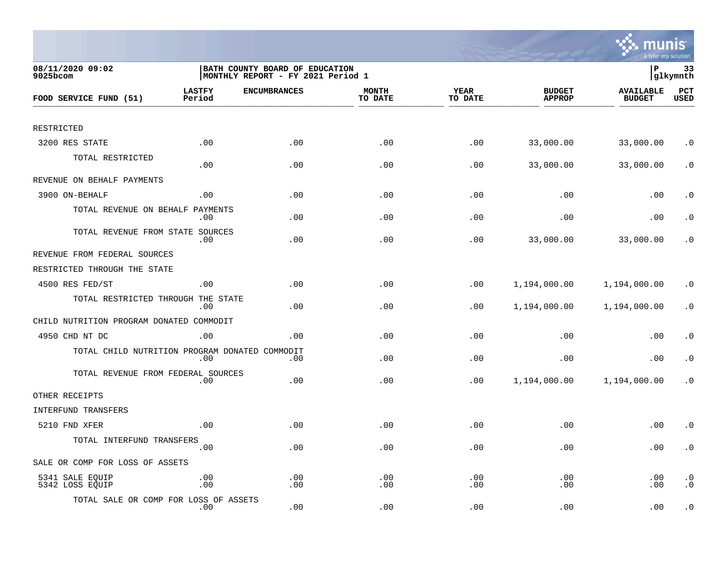

| 08/11/2020 09:02<br>9025bcom                   |                         | BATH COUNTY BOARD OF EDUCATION<br> MONTHLY REPORT - FY 2021 Period 1 |                         |                        |                                | lР                                | 33<br> glkymnth                 |
|------------------------------------------------|-------------------------|----------------------------------------------------------------------|-------------------------|------------------------|--------------------------------|-----------------------------------|---------------------------------|
| FOOD SERVICE FUND (51)                         | <b>LASTFY</b><br>Period | <b>ENCUMBRANCES</b>                                                  | <b>MONTH</b><br>TO DATE | <b>YEAR</b><br>TO DATE | <b>BUDGET</b><br><b>APPROP</b> | <b>AVAILABLE</b><br><b>BUDGET</b> | PCT<br><b>USED</b>              |
|                                                |                         |                                                                      |                         |                        |                                |                                   |                                 |
| RESTRICTED                                     |                         |                                                                      |                         |                        |                                |                                   |                                 |
| 3200 RES STATE                                 | .00                     | .00                                                                  | .00                     | .00                    | 33,000.00                      | 33,000.00                         | $\cdot$ 0                       |
| TOTAL RESTRICTED                               | .00                     | .00                                                                  | .00                     | .00                    | 33,000.00                      | 33,000.00                         | . $\boldsymbol{0}$              |
| REVENUE ON BEHALF PAYMENTS                     |                         |                                                                      |                         |                        |                                |                                   |                                 |
| 3900 ON-BEHALF                                 | .00                     | .00                                                                  | .00                     | .00                    | .00                            | .00                               | $\cdot$ 0                       |
| TOTAL REVENUE ON BEHALF                        | PAYMENTS<br>$.00 \,$    | .00                                                                  | .00                     | .00                    | .00                            | .00                               | $\cdot$ 0                       |
| TOTAL REVENUE FROM STATE SOURCES               | $.00 \,$                | .00                                                                  | .00                     | .00                    | 33,000.00                      | 33,000.00                         | . 0                             |
| REVENUE FROM FEDERAL SOURCES                   |                         |                                                                      |                         |                        |                                |                                   |                                 |
| RESTRICTED THROUGH THE STATE                   |                         |                                                                      |                         |                        |                                |                                   |                                 |
| 4500 RES FED/ST                                | .00                     | .00                                                                  | .00                     | .00                    | 1,194,000.00                   | 1,194,000.00                      | $\cdot$ 0                       |
| TOTAL RESTRICTED THROUGH THE STATE             | $.00 \,$                | .00                                                                  | .00                     | .00                    | 1,194,000.00                   | 1,194,000.00                      | $\cdot$ 0                       |
| CHILD NUTRITION PROGRAM DONATED COMMODIT       |                         |                                                                      |                         |                        |                                |                                   |                                 |
| 4950 CHD NT DC                                 | .00                     | .00                                                                  | .00                     | .00                    | .00                            | .00                               | $\cdot$ 0                       |
| TOTAL CHILD NUTRITION PROGRAM DONATED COMMODIT | $.00 \,$                | .00                                                                  | .00                     | .00                    | .00                            | .00                               | $\cdot$ 0                       |
| TOTAL REVENUE FROM FEDERAL SOURCES             | $.00 \,$                | .00                                                                  | .00                     | .00                    | 1,194,000.00                   | 1,194,000.00                      | $\cdot$ 0                       |
| OTHER RECEIPTS                                 |                         |                                                                      |                         |                        |                                |                                   |                                 |
| INTERFUND TRANSFERS                            |                         |                                                                      |                         |                        |                                |                                   |                                 |
| 5210 FND XFER                                  | .00                     | .00                                                                  | .00                     | .00                    | .00                            | .00                               | $\cdot$ 0                       |
| TOTAL INTERFUND TRANSFERS                      | .00                     | .00                                                                  | .00                     | .00                    | .00                            | .00                               | $\cdot$ 0                       |
| SALE OR COMP FOR LOSS OF ASSETS                |                         |                                                                      |                         |                        |                                |                                   |                                 |
| 5341 SALE EQUIP<br>5342 LOSS EQUIP             | .00<br>.00              | .00<br>.00                                                           | .00<br>.00              | .00<br>.00             | .00<br>.00                     | .00<br>.00                        | . $\boldsymbol{0}$<br>$\cdot$ 0 |
| TOTAL SALE OR COMP FOR LOSS OF ASSETS          | $.00 \,$                | .00                                                                  | .00                     | .00                    | .00                            | .00                               | $\cdot$ 0                       |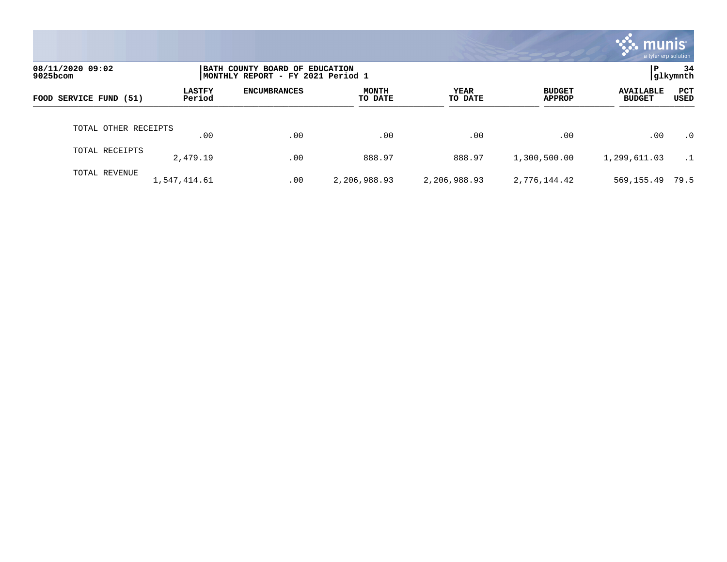|                              |                         |                                                                     |                         |                        |                                | munis l<br>a tyler erp solution   |                |
|------------------------------|-------------------------|---------------------------------------------------------------------|-------------------------|------------------------|--------------------------------|-----------------------------------|----------------|
| 08/11/2020 09:02<br>9025bcom |                         | BATH COUNTY BOARD OF EDUCATION<br>MONTHLY REPORT - FY 2021 Period 1 |                         |                        |                                | l P                               | 34<br>glkymnth |
| FOOD SERVICE FUND (51)       | <b>LASTFY</b><br>Period | <b>ENCUMBRANCES</b>                                                 | <b>MONTH</b><br>TO DATE | <b>YEAR</b><br>TO DATE | <b>BUDGET</b><br><b>APPROP</b> | <b>AVAILABLE</b><br><b>BUDGET</b> | PCT<br>USED    |
| TOTAL OTHER RECEIPTS         | .00                     | .00                                                                 | $.00 \,$                | .00                    | .00                            | .00                               | $\cdot$ 0      |
| TOTAL RECEIPTS               | 2,479.19                | .00                                                                 | 888.97                  | 888.97                 | 1,300,500.00                   | 1,299,611.03                      | $\cdot$ 1      |
| TOTAL REVENUE                | 1,547,414.61            | .00                                                                 | 2,206,988.93            | 2,206,988.93           | 2,776,144.42                   | 569,155.49                        | 79.5           |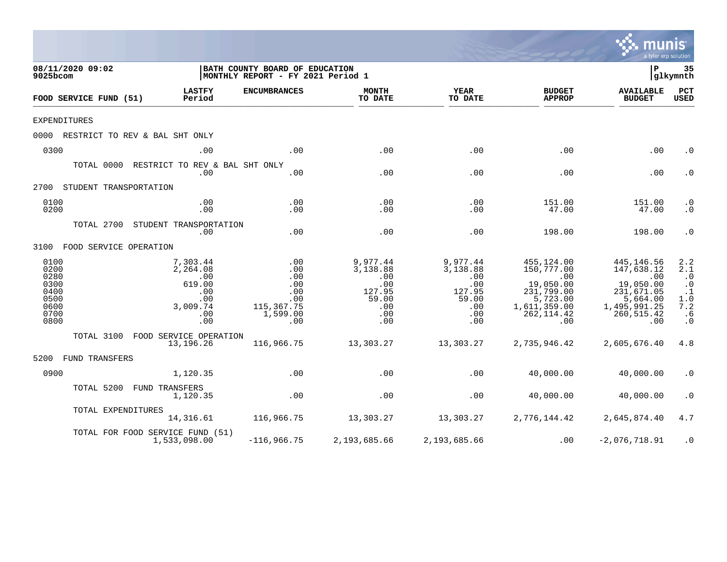|                                                                      |                                                                                                        |                                                                                                  |                                                                            |                                                                            |                                                                                                                    | <u>mul</u>                                                                                                        | a tyler erp solution                                                                                               |
|----------------------------------------------------------------------|--------------------------------------------------------------------------------------------------------|--------------------------------------------------------------------------------------------------|----------------------------------------------------------------------------|----------------------------------------------------------------------------|--------------------------------------------------------------------------------------------------------------------|-------------------------------------------------------------------------------------------------------------------|--------------------------------------------------------------------------------------------------------------------|
| 08/11/2020 09:02<br>9025bcom                                         |                                                                                                        | BATH COUNTY BOARD OF EDUCATION<br>MONTHLY REPORT - FY 2021 Period 1                              |                                                                            |                                                                            |                                                                                                                    | l P                                                                                                               | 35<br>glkymnth                                                                                                     |
| FOOD SERVICE FUND (51)                                               | <b>LASTFY</b><br>Period                                                                                | <b>ENCUMBRANCES</b>                                                                              | <b>MONTH</b><br>TO DATE                                                    | YEAR<br>TO DATE                                                            | <b>BUDGET</b><br><b>APPROP</b>                                                                                     | <b>AVAILABLE</b><br><b>BUDGET</b>                                                                                 | PCT<br><b>USED</b>                                                                                                 |
| <b>EXPENDITURES</b>                                                  |                                                                                                        |                                                                                                  |                                                                            |                                                                            |                                                                                                                    |                                                                                                                   |                                                                                                                    |
|                                                                      | 0000 RESTRICT TO REV & BAL SHT ONLY                                                                    |                                                                                                  |                                                                            |                                                                            |                                                                                                                    |                                                                                                                   |                                                                                                                    |
| 0300                                                                 | .00                                                                                                    | .00                                                                                              | .00                                                                        | .00                                                                        | .00                                                                                                                | .00                                                                                                               | $\cdot$ 0                                                                                                          |
|                                                                      | TOTAL 0000 RESTRICT TO REV & BAL SHT ONLY<br>.00                                                       | .00                                                                                              | .00                                                                        | .00                                                                        | .00                                                                                                                | .00                                                                                                               | $\cdot$ 0                                                                                                          |
| 2700 STUDENT TRANSPORTATION                                          |                                                                                                        |                                                                                                  |                                                                            |                                                                            |                                                                                                                    |                                                                                                                   |                                                                                                                    |
| 0100<br>0200                                                         | .00<br>.00                                                                                             | .00<br>.00                                                                                       | .00<br>.00                                                                 | .00<br>.00                                                                 | 151.00<br>47.00                                                                                                    | 151.00<br>47.00                                                                                                   | $\cdot$ 0<br>$\cdot$ 0                                                                                             |
|                                                                      | TOTAL 2700 STUDENT TRANSPORTATION<br>.00                                                               | .00                                                                                              | .00                                                                        | .00                                                                        | 198.00                                                                                                             | 198.00                                                                                                            | $\cdot$ 0                                                                                                          |
| 3100 FOOD SERVICE OPERATION                                          |                                                                                                        |                                                                                                  |                                                                            |                                                                            |                                                                                                                    |                                                                                                                   |                                                                                                                    |
| 0100<br>0200<br>0280<br>0300<br>0400<br>0500<br>0600<br>0700<br>0800 | 7,303.44<br>2,264.08<br>$\overline{\phantom{0}}$ .00<br>619.00<br>.00<br>.00<br>3,009.74<br>.00<br>.00 | $\overline{\phantom{0}}$ .00<br>.00<br>.00<br>.00<br>.00<br>.00<br>115,367.75<br>1,599.00<br>.00 | 9,977.44<br>3,138.88<br>.00<br>.00<br>127.95<br>59.00<br>.00<br>.00<br>.00 | 9,977.44<br>3,138.88<br>.00<br>.00<br>127.95<br>59.00<br>.00<br>.00<br>.00 | 455,124.00<br>150,777.00<br>$\sim$ 00<br>19,050.00<br>231,799.00<br>5,723.00<br>1,611,359.00<br>262, 114.42<br>.00 | 445,146.56<br>147,638.12<br>$\sim 00$<br>19,050.00<br>231,671.05<br>5,664.00<br>1,495,991.25<br>260,515.42<br>.00 | 2.2<br>2.1<br>$\cdot$ 0<br>$\begin{smallmatrix} . & 0 \\ . & 1 \end{smallmatrix}$<br>1.0<br>7.2<br>.6<br>$\cdot$ 0 |
|                                                                      | TOTAL 3100 FOOD SERVICE OPERATION<br>13,196.26                                                         | 116,966.75                                                                                       | 13,303.27                                                                  | 13,303.27                                                                  | 2,735,946.42                                                                                                       | 2,605,676.40                                                                                                      | 4.8                                                                                                                |
| 5200 FUND TRANSFERS                                                  |                                                                                                        |                                                                                                  |                                                                            |                                                                            |                                                                                                                    |                                                                                                                   |                                                                                                                    |
| 0900                                                                 | 1,120.35                                                                                               | .00                                                                                              | .00                                                                        | .00                                                                        | 40,000.00                                                                                                          | 40,000.00                                                                                                         | $\cdot$ 0                                                                                                          |
|                                                                      | TOTAL 5200 FUND TRANSFERS<br>1,120.35                                                                  | .00                                                                                              | .00                                                                        | .00                                                                        | 40,000.00                                                                                                          | 40,000.00                                                                                                         | $\cdot$ 0                                                                                                          |
|                                                                      | TOTAL EXPENDITURES                                                                                     | 14, 316.61 116, 966.75                                                                           |                                                                            | 13, 303. 27 13, 303. 27                                                    |                                                                                                                    | 2,776,144.42 2,645,874.40                                                                                         | 4.7                                                                                                                |
|                                                                      | TOTAL FOR FOOD SERVICE FUND (51)<br>1,533,098.00                                                       | $-116,966.75$                                                                                    | 2,193,685.66                                                               | 2,193,685.66                                                               | .00                                                                                                                | $-2,076,718.91$                                                                                                   | $\cdot$ 0                                                                                                          |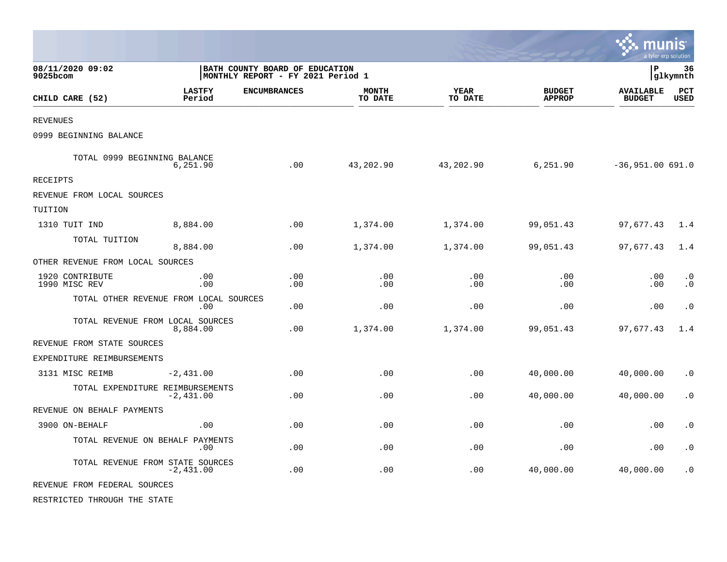|                                        |                         |                                                                     |                         |                        |                                | munis                             | a tyler erp solution   |
|----------------------------------------|-------------------------|---------------------------------------------------------------------|-------------------------|------------------------|--------------------------------|-----------------------------------|------------------------|
| 08/11/2020 09:02<br>$9025$ bcom        |                         | BATH COUNTY BOARD OF EDUCATION<br>MONTHLY REPORT - FY 2021 Period 1 |                         |                        |                                | l P                               | 36<br> glkymnth        |
| CHILD CARE (52)                        | <b>LASTFY</b><br>Period | <b>ENCUMBRANCES</b>                                                 | <b>MONTH</b><br>TO DATE | <b>YEAR</b><br>TO DATE | <b>BUDGET</b><br><b>APPROP</b> | <b>AVAILABLE</b><br><b>BUDGET</b> | PCT<br><b>USED</b>     |
| <b>REVENUES</b>                        |                         |                                                                     |                         |                        |                                |                                   |                        |
| 0999 BEGINNING BALANCE                 |                         |                                                                     |                         |                        |                                |                                   |                        |
| TOTAL 0999 BEGINNING BALANCE           | 6,251.90                | .00                                                                 | 43,202.90               | 43,202.90              | 6, 251.90                      | $-36,951.00 691.0$                |                        |
| RECEIPTS                               |                         |                                                                     |                         |                        |                                |                                   |                        |
| REVENUE FROM LOCAL SOURCES             |                         |                                                                     |                         |                        |                                |                                   |                        |
| TUITION                                |                         |                                                                     |                         |                        |                                |                                   |                        |
| 1310 TUIT IND                          | 8,884.00                | .00                                                                 | 1,374.00                | 1,374.00               | 99,051.43                      | 97,677.43                         | 1.4                    |
| TOTAL TUITION                          | 8,884.00                | .00                                                                 | 1,374.00                | 1,374.00               | 99,051.43                      | 97,677.43                         | 1.4                    |
| OTHER REVENUE FROM LOCAL SOURCES       |                         |                                                                     |                         |                        |                                |                                   |                        |
| 1920 CONTRIBUTE<br>1990 MISC REV       | .00<br>.00              | .00<br>.00                                                          | .00<br>.00              | .00<br>.00             | .00<br>.00                     | .00<br>.00                        | $\cdot$ 0<br>$\cdot$ 0 |
| TOTAL OTHER REVENUE FROM LOCAL SOURCES | .00                     | .00                                                                 | .00                     | .00                    | .00                            | .00                               | $\cdot$ 0              |
| TOTAL REVENUE FROM LOCAL SOURCES       | 8,884.00                | .00                                                                 | 1,374.00                | 1,374.00               | 99,051.43                      | 97,677.43                         | 1.4                    |
| REVENUE FROM STATE SOURCES             |                         |                                                                     |                         |                        |                                |                                   |                        |
| EXPENDITURE REIMBURSEMENTS             |                         |                                                                     |                         |                        |                                |                                   |                        |
| 3131 MISC REIMB                        | $-2,431.00$             | .00                                                                 | .00                     | .00                    | 40,000.00                      | 40,000.00                         | $\cdot$ 0              |
| TOTAL EXPENDITURE REIMBURSEMENTS       | $-2,431.00$             | .00                                                                 | .00                     | .00                    | 40,000.00                      | 40,000.00                         | $\cdot$ 0              |
| REVENUE ON BEHALF PAYMENTS             |                         |                                                                     |                         |                        |                                |                                   |                        |
| 3900 ON-BEHALF                         | .00                     | .00                                                                 | .00                     | .00                    | .00                            | .00                               | $\cdot$ 0              |
| TOTAL REVENUE ON BEHALF PAYMENTS       | .00                     | .00                                                                 | .00                     | .00                    | .00                            | .00                               | $\cdot$ 0              |
| TOTAL REVENUE FROM STATE SOURCES       | $-2,431.00$             | .00                                                                 | .00                     | .00                    | 40,000.00                      | 40,000.00                         | $\cdot$ 0              |
| REVENUE FROM FEDERAL SOURCES           |                         |                                                                     |                         |                        |                                |                                   |                        |
| RESTRICTED THROUGH THE STATE           |                         |                                                                     |                         |                        |                                |                                   |                        |

 $\bullet$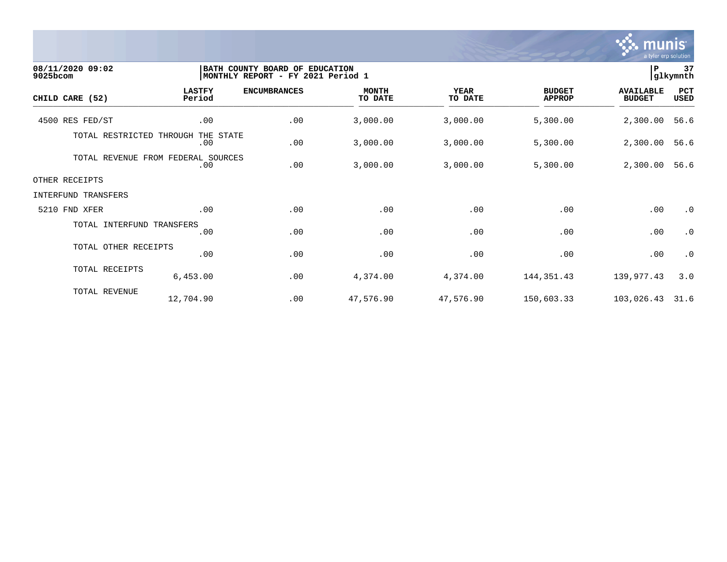

| 08/11/2020 09:02<br>9025bcom       |                         | BATH COUNTY BOARD OF EDUCATION<br> MONTHLY REPORT - FY 2021 Period 1 |                         |                        |                                | P                                 | 37<br> glkymnth    |
|------------------------------------|-------------------------|----------------------------------------------------------------------|-------------------------|------------------------|--------------------------------|-----------------------------------|--------------------|
| CHILD CARE (52)                    | <b>LASTFY</b><br>Period | <b>ENCUMBRANCES</b>                                                  | <b>MONTH</b><br>TO DATE | <b>YEAR</b><br>TO DATE | <b>BUDGET</b><br><b>APPROP</b> | <b>AVAILABLE</b><br><b>BUDGET</b> | PCT<br><b>USED</b> |
| 4500 RES FED/ST                    | .00                     | .00                                                                  | 3,000.00                | 3,000.00               | 5,300.00                       | 2,300.00                          | 56.6               |
| TOTAL RESTRICTED THROUGH           | THE STATE<br>.00        | .00                                                                  | 3,000.00                | 3,000.00               | 5,300.00                       | 2,300.00                          | 56.6               |
| TOTAL REVENUE FROM FEDERAL SOURCES | .00                     | .00                                                                  | 3,000.00                | 3,000.00               | 5,300.00                       | 2,300.00                          | 56.6               |
| OTHER RECEIPTS                     |                         |                                                                      |                         |                        |                                |                                   |                    |
| INTERFUND TRANSFERS                |                         |                                                                      |                         |                        |                                |                                   |                    |
| 5210 FND XFER                      | .00                     | .00                                                                  | .00                     | .00                    | .00                            | .00                               | $\cdot$ 0          |
| TOTAL INTERFUND TRANSFERS          | .00                     | .00                                                                  | .00                     | .00                    | .00                            | .00                               | $\cdot$ 0          |
| TOTAL OTHER RECEIPTS               | .00                     | .00                                                                  | .00                     | .00                    | .00                            | .00                               | $\cdot$ 0          |
| TOTAL RECEIPTS                     | 6,453.00                | .00                                                                  | 4,374.00                | 4,374.00               | 144, 351.43                    | 139,977.43                        | 3.0                |
| TOTAL REVENUE                      | 12,704.90               | .00                                                                  | 47,576.90               | 47,576.90              | 150,603.33                     | 103,026.43                        | 31.6               |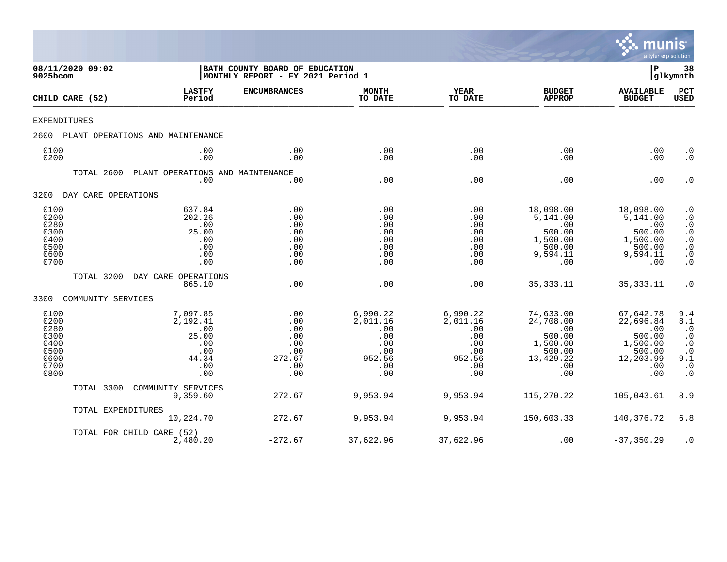

| 9025bcom                                                             | 08/11/2020 09:02    |                                                                           | BATH COUNTY BOARD OF EDUCATION<br>MONTHLY REPORT - FY 2021 Period 1 |                                                                          |                                                                          |                                                                                          | l P                                                                                      | 38<br> glkymnth                                                                                      |
|----------------------------------------------------------------------|---------------------|---------------------------------------------------------------------------|---------------------------------------------------------------------|--------------------------------------------------------------------------|--------------------------------------------------------------------------|------------------------------------------------------------------------------------------|------------------------------------------------------------------------------------------|------------------------------------------------------------------------------------------------------|
|                                                                      | CHILD CARE (52)     | <b>LASTFY</b><br>Period                                                   | <b>ENCUMBRANCES</b>                                                 | <b>MONTH</b><br>TO DATE                                                  | <b>YEAR</b><br>TO DATE                                                   | <b>BUDGET</b><br><b>APPROP</b>                                                           | <b>AVAILABLE</b><br><b>BUDGET</b>                                                        | PCT<br><b>USED</b>                                                                                   |
| EXPENDITURES                                                         |                     |                                                                           |                                                                     |                                                                          |                                                                          |                                                                                          |                                                                                          |                                                                                                      |
| 2600                                                                 |                     | PLANT OPERATIONS AND MAINTENANCE                                          |                                                                     |                                                                          |                                                                          |                                                                                          |                                                                                          |                                                                                                      |
| 0100<br>0200                                                         |                     | .00<br>.00                                                                | .00<br>.00                                                          | .00<br>.00                                                               | .00<br>.00                                                               | .00<br>.00                                                                               | .00<br>.00                                                                               | $\cdot$ 0<br>$\cdot$ 0                                                                               |
|                                                                      | TOTAL 2600          | PLANT OPERATIONS AND MAINTENANCE<br>.00                                   | .00                                                                 | .00                                                                      | .00                                                                      | .00                                                                                      | .00                                                                                      | $\cdot$ 0                                                                                            |
| 3200                                                                 | DAY CARE OPERATIONS |                                                                           |                                                                     |                                                                          |                                                                          |                                                                                          |                                                                                          |                                                                                                      |
| 0100<br>0200<br>0280<br>0300<br>0400<br>0500<br>0600<br>0700         |                     | 637.84<br>202.26<br>.00<br>25.00<br>.00<br>.00<br>.00<br>.00              | .00<br>.00<br>.00<br>.00<br>.00<br>.00<br>.00<br>.00                | .00<br>.00<br>.00<br>.00<br>.00<br>.00<br>.00<br>.00                     | .00<br>.00<br>.00<br>.00<br>.00<br>.00<br>.00<br>.00                     | 18,098.00<br>5,141.00<br>.00<br>500.00<br>1,500.00<br>500.00<br>9,594.11<br>.00          | 18,098.00<br>5,141.00<br>.00<br>500.00<br>1,500.00<br>500.00<br>9,594.11<br>.00          | $\cdot$ 0<br>$\cdot$ 0<br>$\cdot$ 0<br>$\cdot$ 0<br>$\cdot$ 0<br>$\cdot$ 0<br>$\cdot$ 0<br>$\cdot$ 0 |
|                                                                      | TOTAL 3200          | DAY CARE OPERATIONS<br>865.10                                             | .00                                                                 | .00                                                                      | .00                                                                      | 35, 333.11                                                                               | 35, 333. 11                                                                              | $\cdot$ 0                                                                                            |
| 3300                                                                 | COMMUNITY SERVICES  |                                                                           |                                                                     |                                                                          |                                                                          |                                                                                          |                                                                                          |                                                                                                      |
| 0100<br>0200<br>0280<br>0300<br>0400<br>0500<br>0600<br>0700<br>0800 |                     | 7,097.85<br>2,192.41<br>.00<br>25.00<br>.00<br>.00<br>44.34<br>.00<br>.00 | .00<br>.00<br>.00<br>.00<br>.00<br>.00<br>272.67<br>.00<br>.00      | 6,990.22<br>2,011.16<br>.00<br>.00<br>.00<br>.00<br>952.56<br>.00<br>.00 | 6,990.22<br>2,011.16<br>.00<br>.00<br>.00<br>.00<br>952.56<br>.00<br>.00 | 74,633.00<br>24,708.00<br>.00<br>500.00<br>1,500.00<br>500.00<br>13,429.22<br>.00<br>.00 | 67,642.78<br>22,696.84<br>.00<br>500.00<br>1,500.00<br>500.00<br>12,203.99<br>.00<br>.00 | 9.4<br>8.1<br>$\cdot$ 0<br>$\cdot$ 0<br>$\cdot$ 0<br>$\cdot$ 0<br>9.1<br>$\cdot$ 0<br>$\cdot$ 0      |
|                                                                      | TOTAL 3300          | COMMUNITY SERVICES<br>9,359.60                                            | 272.67                                                              | 9,953.94                                                                 | 9,953.94                                                                 | 115,270.22                                                                               | 105,043.61                                                                               | 8.9                                                                                                  |
|                                                                      | TOTAL EXPENDITURES  | 10,224.70                                                                 | 272.67                                                              | 9,953.94                                                                 | 9,953.94                                                                 | 150,603.33                                                                               | 140,376.72                                                                               | 6.8                                                                                                  |
|                                                                      |                     | TOTAL FOR CHILD CARE (52)<br>2,480.20                                     | $-272.67$                                                           | 37,622.96                                                                | 37,622.96                                                                | .00                                                                                      | $-37, 350.29$                                                                            | $\cdot$ 0                                                                                            |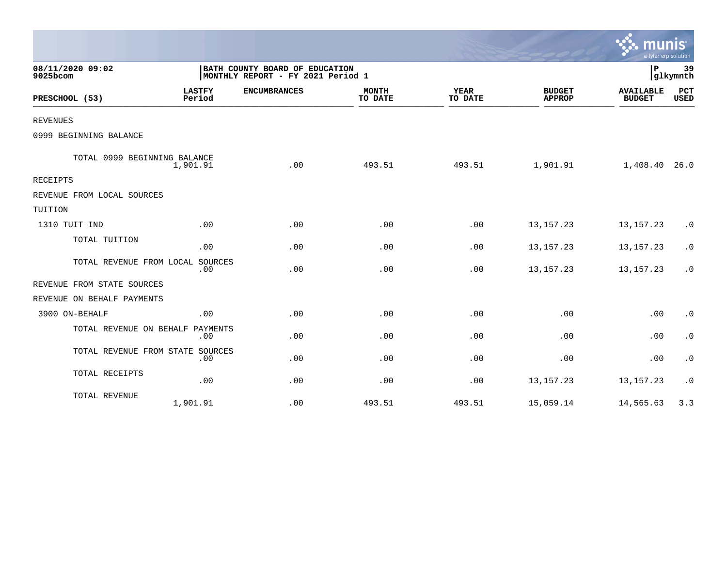|                                  |                         |                                                                     |                         |                        |                                | $\sim$ munis<br>a tyler erp solution |                           |
|----------------------------------|-------------------------|---------------------------------------------------------------------|-------------------------|------------------------|--------------------------------|--------------------------------------|---------------------------|
| 08/11/2020 09:02<br>9025bcom     |                         | BATH COUNTY BOARD OF EDUCATION<br>MONTHLY REPORT - FY 2021 Period 1 |                         |                        |                                | P                                    | 39<br>glkymnth            |
| PRESCHOOL (53)                   | <b>LASTFY</b><br>Period | <b>ENCUMBRANCES</b>                                                 | <b>MONTH</b><br>TO DATE | <b>YEAR</b><br>TO DATE | <b>BUDGET</b><br><b>APPROP</b> | <b>AVAILABLE</b><br><b>BUDGET</b>    | <b>PCT</b><br><b>USED</b> |
| <b>REVENUES</b>                  |                         |                                                                     |                         |                        |                                |                                      |                           |
| 0999 BEGINNING BALANCE           |                         |                                                                     |                         |                        |                                |                                      |                           |
| TOTAL 0999 BEGINNING BALANCE     | 1,901.91                | .00                                                                 | 493.51                  | 493.51                 | 1,901.91                       | 1,408.40                             | 26.0                      |
| <b>RECEIPTS</b>                  |                         |                                                                     |                         |                        |                                |                                      |                           |
| REVENUE FROM LOCAL SOURCES       |                         |                                                                     |                         |                        |                                |                                      |                           |
| TUITION                          |                         |                                                                     |                         |                        |                                |                                      |                           |
| 1310 TUIT IND                    | .00                     | .00                                                                 | .00                     | .00                    | 13, 157. 23                    | 13, 157. 23                          | $\cdot$ 0                 |
| TOTAL TUITION                    | .00                     | .00                                                                 | .00                     | .00                    | 13, 157. 23                    | 13, 157. 23                          | $\cdot$ 0                 |
| TOTAL REVENUE FROM LOCAL         | SOURCES<br>.00          | .00                                                                 | .00                     | .00                    | 13, 157. 23                    | 13, 157. 23                          | $\cdot$ 0                 |
| REVENUE FROM STATE SOURCES       |                         |                                                                     |                         |                        |                                |                                      |                           |
| REVENUE ON BEHALF PAYMENTS       |                         |                                                                     |                         |                        |                                |                                      |                           |
| 3900 ON-BEHALF                   | .00                     | .00                                                                 | .00                     | .00                    | .00                            | .00                                  | $\cdot$ 0                 |
| TOTAL REVENUE ON BEHALF          | PAYMENTS<br>.00         | .00                                                                 | .00                     | .00                    | .00                            | .00                                  | $\cdot$ 0                 |
| TOTAL REVENUE FROM STATE SOURCES | .00                     | .00                                                                 | .00                     | .00                    | .00                            | .00                                  | $\cdot$ 0                 |
| TOTAL RECEIPTS                   | .00                     | .00                                                                 | .00                     | .00                    | 13, 157. 23                    | 13, 157. 23                          | $\cdot$ 0                 |
| TOTAL REVENUE                    | 1,901.91                | .00                                                                 | 493.51                  | 493.51                 | 15,059.14                      | 14,565.63                            | 3.3                       |

 $\sim$   $\sim$   $\sim$   $\sim$   $\sim$   $\sim$   $\sim$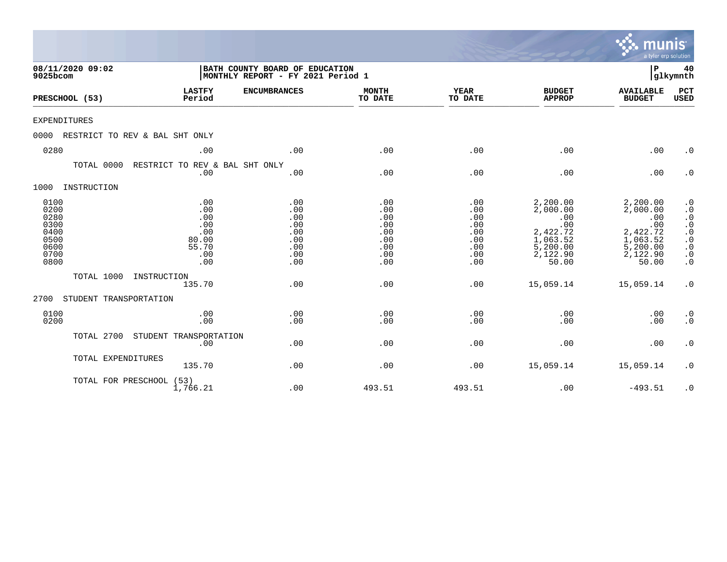|                                                                      |                                |                                                                     |                                                             |                                                             |                                                             |                                                                                             | munis<br>a tyler erp solution                                                               |                                                                                                                                                                                |
|----------------------------------------------------------------------|--------------------------------|---------------------------------------------------------------------|-------------------------------------------------------------|-------------------------------------------------------------|-------------------------------------------------------------|---------------------------------------------------------------------------------------------|---------------------------------------------------------------------------------------------|--------------------------------------------------------------------------------------------------------------------------------------------------------------------------------|
| 08/11/2020 09:02<br>9025bcom                                         |                                | BATH COUNTY BOARD OF EDUCATION<br>MONTHLY REPORT - FY 2021 Period 1 |                                                             |                                                             |                                                             |                                                                                             | P                                                                                           | 40<br>glkymnth                                                                                                                                                                 |
| PRESCHOOL (53)                                                       |                                | <b>LASTFY</b><br>Period                                             | <b>ENCUMBRANCES</b>                                         | <b>MONTH</b><br>TO DATE                                     | <b>YEAR</b><br>TO DATE                                      | <b>BUDGET</b><br><b>APPROP</b>                                                              | <b>AVAILABLE</b><br><b>BUDGET</b>                                                           | PCT<br><b>USED</b>                                                                                                                                                             |
| <b>EXPENDITURES</b>                                                  |                                |                                                                     |                                                             |                                                             |                                                             |                                                                                             |                                                                                             |                                                                                                                                                                                |
| 0000                                                                 | RESTRICT TO REV & BAL SHT ONLY |                                                                     |                                                             |                                                             |                                                             |                                                                                             |                                                                                             |                                                                                                                                                                                |
| 0280                                                                 |                                | .00                                                                 | .00                                                         | .00                                                         | .00                                                         | .00                                                                                         | .00                                                                                         | $\cdot$ 0                                                                                                                                                                      |
|                                                                      | TOTAL 0000                     | RESTRICT TO REV & BAL SHT ONLY<br>.00                               | .00                                                         | .00                                                         | .00                                                         | .00                                                                                         | .00                                                                                         | $\cdot$ 0                                                                                                                                                                      |
| 1000                                                                 | INSTRUCTION                    |                                                                     |                                                             |                                                             |                                                             |                                                                                             |                                                                                             |                                                                                                                                                                                |
| 0100<br>0200<br>0280<br>0300<br>0400<br>0500<br>0600<br>0700<br>0800 |                                | .00<br>.00<br>.00<br>.00<br>.00<br>80.00<br>55.70<br>.00<br>.00     | .00<br>.00<br>.00<br>.00<br>.00<br>.00<br>.00<br>.00<br>.00 | .00<br>.00<br>.00<br>.00<br>.00<br>.00<br>.00<br>.00<br>.00 | .00<br>.00<br>.00<br>.00<br>.00<br>.00<br>.00<br>.00<br>.00 | 2,200.00<br>2,000.00<br>.00<br>.00<br>2,422.72<br>1,063.52<br>5,200.00<br>2,122.90<br>50.00 | 2,200.00<br>2,000.00<br>.00<br>.00<br>2,422.72<br>1,063.52<br>5,200.00<br>2,122.90<br>50.00 | $\cdot$ 0<br>$\cdot$ 0<br>$\boldsymbol{\cdot}$ 0<br>$\cdot$ 0<br>$\begin{matrix} . & 0 \\ . & 0 \end{matrix}$<br>$\boldsymbol{\cdot}$ 0<br>$\boldsymbol{\cdot}$ 0<br>$\cdot$ 0 |
|                                                                      | TOTAL 1000<br>INSTRUCTION      | 135.70                                                              | .00                                                         | .00                                                         | .00                                                         | 15,059.14                                                                                   | 15,059.14                                                                                   | $\cdot$ 0                                                                                                                                                                      |
| 2700                                                                 | STUDENT TRANSPORTATION         |                                                                     |                                                             |                                                             |                                                             |                                                                                             |                                                                                             |                                                                                                                                                                                |
| 0100<br>0200                                                         |                                | .00<br>.00                                                          | .00<br>.00                                                  | .00<br>.00                                                  | .00<br>.00                                                  | .00<br>.00                                                                                  | .00<br>.00                                                                                  | $\cdot$ 0<br>$\cdot$ 0                                                                                                                                                         |
|                                                                      | TOTAL 2700                     | STUDENT TRANSPORTATION<br>.00                                       | .00                                                         | .00                                                         | .00                                                         | .00                                                                                         | .00                                                                                         | $\cdot$ 0                                                                                                                                                                      |
|                                                                      | TOTAL EXPENDITURES             | 135.70                                                              | .00                                                         | .00                                                         | .00                                                         | 15,059.14                                                                                   | 15,059.14                                                                                   | $\cdot$ 0                                                                                                                                                                      |
|                                                                      | TOTAL FOR PRESCHOOL (53)       | 1,766.21                                                            | .00                                                         | 493.51                                                      | 493.51                                                      | .00                                                                                         | $-493.51$                                                                                   | $\cdot$ 0                                                                                                                                                                      |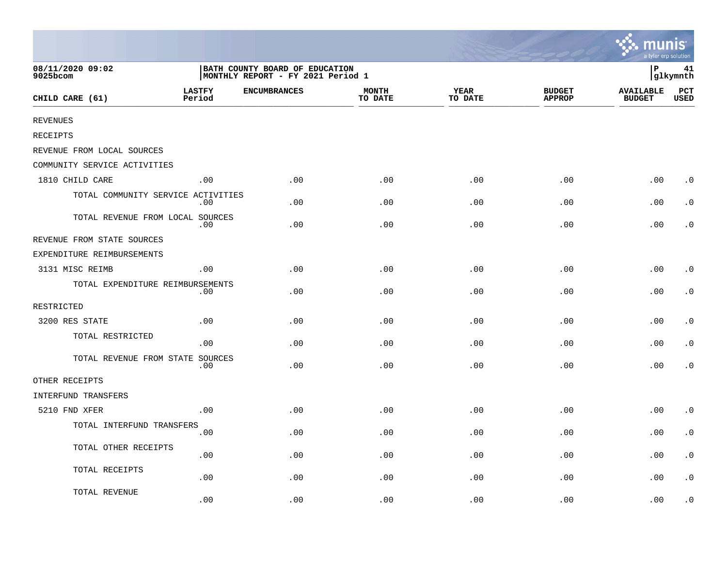|                                    |                         |                                                                     |                         |                        |                                | <b>A.</b> munis<br>a tyler erp solution |                |
|------------------------------------|-------------------------|---------------------------------------------------------------------|-------------------------|------------------------|--------------------------------|-----------------------------------------|----------------|
| 08/11/2020 09:02<br>9025bcom       |                         | BATH COUNTY BOARD OF EDUCATION<br>MONTHLY REPORT - FY 2021 Period 1 |                         |                        |                                | ∣P                                      | 41<br>glkymnth |
| CHILD CARE (61)                    | <b>LASTFY</b><br>Period | <b>ENCUMBRANCES</b>                                                 | <b>MONTH</b><br>TO DATE | <b>YEAR</b><br>TO DATE | <b>BUDGET</b><br><b>APPROP</b> | <b>AVAILABLE</b><br><b>BUDGET</b>       | PCT<br>USED    |
| <b>REVENUES</b>                    |                         |                                                                     |                         |                        |                                |                                         |                |
| RECEIPTS                           |                         |                                                                     |                         |                        |                                |                                         |                |
| REVENUE FROM LOCAL SOURCES         |                         |                                                                     |                         |                        |                                |                                         |                |
| COMMUNITY SERVICE ACTIVITIES       |                         |                                                                     |                         |                        |                                |                                         |                |
| 1810 CHILD CARE                    | .00                     | .00                                                                 | .00                     | .00                    | .00                            | .00                                     | $\cdot$ 0      |
| TOTAL COMMUNITY SERVICE ACTIVITIES | .00                     | .00                                                                 | .00                     | .00                    | .00                            | .00                                     | $\cdot$ 0      |
| TOTAL REVENUE FROM LOCAL SOURCES   | .00                     | .00                                                                 | .00                     | .00                    | .00                            | .00                                     | . 0            |
| REVENUE FROM STATE SOURCES         |                         |                                                                     |                         |                        |                                |                                         |                |
| EXPENDITURE REIMBURSEMENTS         |                         |                                                                     |                         |                        |                                |                                         |                |
| 3131 MISC REIMB                    | .00                     | .00                                                                 | .00                     | .00                    | .00                            | .00                                     | $\cdot$ 0      |
| TOTAL EXPENDITURE REIMBURSEMENTS   | .00                     | .00                                                                 | .00                     | .00                    | .00                            | .00                                     | $\cdot$ 0      |
| RESTRICTED                         |                         |                                                                     |                         |                        |                                |                                         |                |
| 3200 RES STATE                     | .00                     | .00                                                                 | .00                     | .00                    | .00                            | .00                                     | $\cdot$ 0      |
| TOTAL RESTRICTED                   | .00                     | .00                                                                 | .00                     | .00                    | .00                            | .00                                     | $\cdot$ 0      |
| TOTAL REVENUE FROM STATE SOURCES   | $.00 \,$                | .00                                                                 | .00                     | .00                    | .00                            | .00                                     | $\cdot$ 0      |
| OTHER RECEIPTS                     |                         |                                                                     |                         |                        |                                |                                         |                |
| INTERFUND TRANSFERS                |                         |                                                                     |                         |                        |                                |                                         |                |
| 5210 FND XFER                      | .00                     | .00                                                                 | .00                     | .00                    | .00                            | .00                                     | $\cdot$ 0      |
| TOTAL INTERFUND TRANSFERS          | .00                     | .00                                                                 | .00                     | .00                    | .00                            | .00                                     | $\cdot$ 0      |
| TOTAL OTHER RECEIPTS               | .00                     | .00                                                                 | .00                     | .00                    | .00                            | .00                                     | $\cdot$ 0      |
| TOTAL RECEIPTS                     | .00                     | .00                                                                 | .00                     | .00                    | .00                            | .00                                     | $\cdot$ 0      |
| TOTAL REVENUE                      | .00                     | .00                                                                 | .00                     | .00                    | .00                            | .00                                     | $\cdot$ 0      |

the contract of the contract of the contract of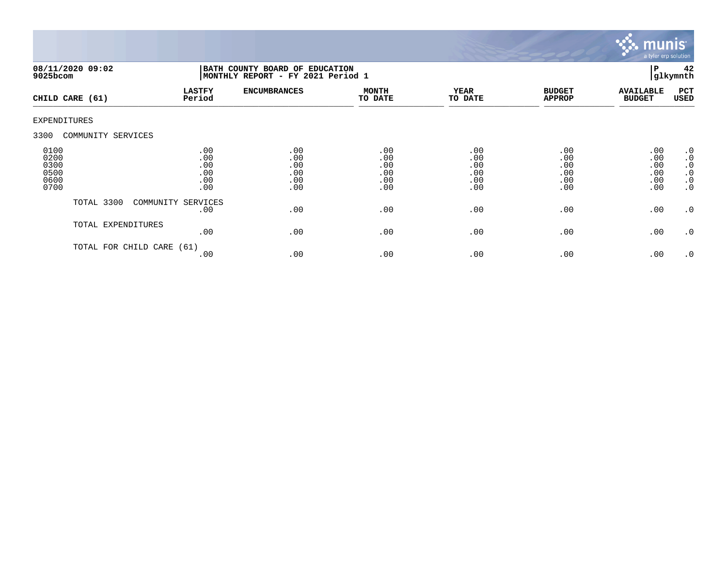

| 9025bcom                                     | 08/11/2020 09:02     | BATH COUNTY BOARD OF EDUCATION<br> MONTHLY REPORT - FY 2021 Period 1 |                                        |                                        |                                        |                                        |                                        | 42<br>glkymnth                                                      |
|----------------------------------------------|----------------------|----------------------------------------------------------------------|----------------------------------------|----------------------------------------|----------------------------------------|----------------------------------------|----------------------------------------|---------------------------------------------------------------------|
|                                              | CHILD CARE (61)      | <b>LASTFY</b><br>Period                                              | <b>ENCUMBRANCES</b>                    | <b>MONTH</b><br>TO DATE                | YEAR<br>TO DATE                        | <b>BUDGET</b><br><b>APPROP</b>         | <b>AVAILABLE</b><br><b>BUDGET</b>      | PCT<br>USED                                                         |
| <b>EXPENDITURES</b>                          |                      |                                                                      |                                        |                                        |                                        |                                        |                                        |                                                                     |
| 3300                                         | COMMUNITY SERVICES   |                                                                      |                                        |                                        |                                        |                                        |                                        |                                                                     |
| 0100<br>0200<br>0300<br>0500<br>0600<br>0700 |                      | .00<br>.00<br>.00<br>.00<br>.00<br>.00                               | .00<br>.00<br>.00<br>.00<br>.00<br>.00 | .00<br>.00<br>.00<br>.00<br>.00<br>.00 | .00<br>.00<br>.00<br>.00<br>.00<br>.00 | .00<br>.00<br>.00<br>.00<br>.00<br>.00 | .00<br>.00<br>.00<br>.00<br>.00<br>.00 | .0<br>$\cdot$ 0<br>$\cdot$ 0<br>$\cdot$ 0<br>$\cdot$ 0<br>$\cdot$ 0 |
|                                              | TOTAL 3300           | COMMUNITY SERVICES<br>.00                                            | .00                                    | .00                                    | .00                                    | .00                                    | .00                                    | .0                                                                  |
|                                              | TOTAL EXPENDITURES   | .00                                                                  | .00                                    | .00                                    | .00                                    | .00                                    | .00                                    | $\cdot$ 0                                                           |
|                                              | TOTAL FOR CHILD CARE | (61)<br>.00                                                          | .00                                    | .00                                    | .00                                    | .00                                    | .00                                    | .0                                                                  |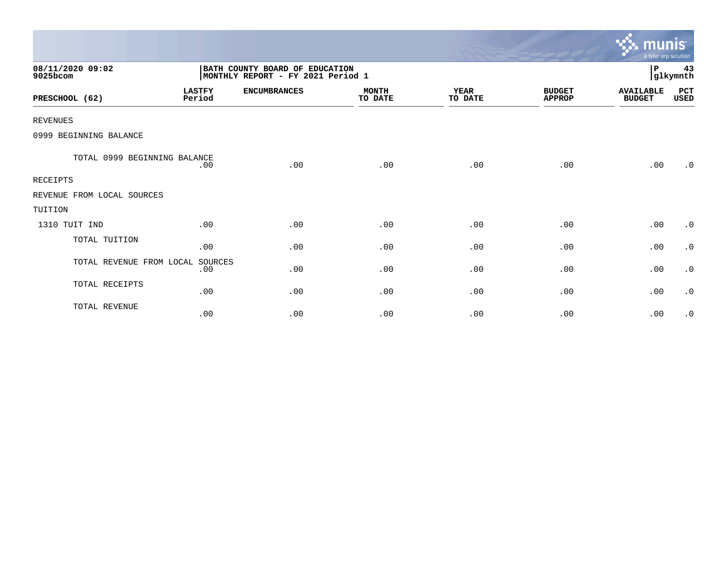|                              |                         |                                                                     |                         |                        |                                | munis <sup>.</sup><br>a tyler erp solution |                |
|------------------------------|-------------------------|---------------------------------------------------------------------|-------------------------|------------------------|--------------------------------|--------------------------------------------|----------------|
| 08/11/2020 09:02<br>9025bcom |                         | BATH COUNTY BOARD OF EDUCATION<br>MONTHLY REPORT - FY 2021 Period 1 |                         |                        |                                | $\, {\bf P}$                               | 43<br>glkymnth |
| PRESCHOOL (62)               | <b>LASTFY</b><br>Period | <b>ENCUMBRANCES</b>                                                 | <b>MONTH</b><br>TO DATE | <b>YEAR</b><br>TO DATE | <b>BUDGET</b><br><b>APPROP</b> | <b>AVAILABLE</b><br><b>BUDGET</b>          | PCT<br>USED    |
| <b>REVENUES</b>              |                         |                                                                     |                         |                        |                                |                                            |                |
| 0999 BEGINNING BALANCE       |                         |                                                                     |                         |                        |                                |                                            |                |
| TOTAL 0999 BEGINNING BALANCE | .00                     | .00                                                                 | .00                     | .00                    | .00                            | .00                                        | $\cdot$ 0      |
| <b>RECEIPTS</b>              |                         |                                                                     |                         |                        |                                |                                            |                |
| REVENUE FROM LOCAL SOURCES   |                         |                                                                     |                         |                        |                                |                                            |                |
| TUITION                      |                         |                                                                     |                         |                        |                                |                                            |                |
| 1310 TUIT IND                | .00                     | .00                                                                 | .00                     | .00                    | .00                            | .00                                        | $\cdot$ 0      |
| TOTAL TUITION                | .00                     | .00                                                                 | .00                     | .00                    | .00                            | .00                                        | $\cdot$ 0      |
| TOTAL REVENUE FROM LOCAL     | SOURCES<br>.00          | .00                                                                 | .00                     | .00                    | .00                            | .00                                        | $\cdot$ 0      |
| TOTAL RECEIPTS               | .00                     | .00                                                                 | .00                     | .00                    | .00                            | .00                                        | $\cdot$ 0      |
| TOTAL REVENUE                | .00                     | .00                                                                 | .00                     | .00                    | .00                            | .00                                        | $\cdot$ 0      |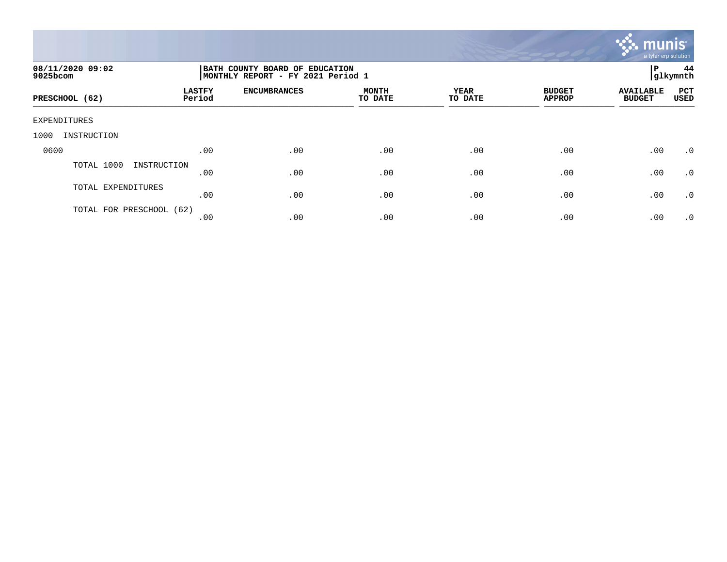

| 08/11/2020 09:02<br>9025bcom |                         | BATH COUNTY BOARD OF EDUCATION<br>ΙP<br>glkymnth<br>  MONTHLY REPORT - FY 2021 Period 1 |                         |                        |                                |                                   |                    |  |  |
|------------------------------|-------------------------|-----------------------------------------------------------------------------------------|-------------------------|------------------------|--------------------------------|-----------------------------------|--------------------|--|--|
| PRESCHOOL (62)               | <b>LASTFY</b><br>Period | <b>ENCUMBRANCES</b>                                                                     | <b>MONTH</b><br>TO DATE | <b>YEAR</b><br>TO DATE | <b>BUDGET</b><br><b>APPROP</b> | <b>AVAILABLE</b><br><b>BUDGET</b> | PCT<br><b>USED</b> |  |  |
| EXPENDITURES                 |                         |                                                                                         |                         |                        |                                |                                   |                    |  |  |
| 1000<br>INSTRUCTION          |                         |                                                                                         |                         |                        |                                |                                   |                    |  |  |
| 0600                         | .00                     | .00                                                                                     | .00                     | .00                    | .00                            | .00                               | $\cdot$ 0          |  |  |
| TOTAL 1000<br>INSTRUCTION    | .00                     | .00                                                                                     | .00                     | .00                    | .00                            | .00                               | $\cdot$ 0          |  |  |
| TOTAL EXPENDITURES           | .00                     | .00                                                                                     | .00                     | .00                    | .00                            | .00                               | $\cdot$ 0          |  |  |
| TOTAL FOR PRESCHOOL (62)     | .00                     | .00                                                                                     | .00                     | .00                    | .00                            | .00                               | .0                 |  |  |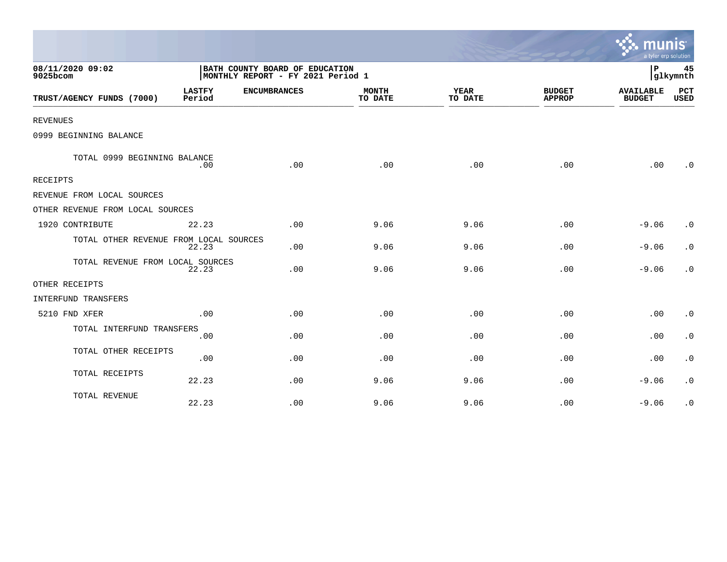|                                        |                         |                                                                     |                         |                        |                                | a tyler erp solution              |                    |
|----------------------------------------|-------------------------|---------------------------------------------------------------------|-------------------------|------------------------|--------------------------------|-----------------------------------|--------------------|
| 08/11/2020 09:02<br>9025bcom           |                         | BATH COUNTY BOARD OF EDUCATION<br>MONTHLY REPORT - FY 2021 Period 1 |                         |                        |                                | ΙP                                | 45<br>glkymnth     |
| TRUST/AGENCY FUNDS (7000)              | <b>LASTFY</b><br>Period | <b>ENCUMBRANCES</b>                                                 | <b>MONTH</b><br>TO DATE | <b>YEAR</b><br>TO DATE | <b>BUDGET</b><br><b>APPROP</b> | <b>AVAILABLE</b><br><b>BUDGET</b> | <b>PCT</b><br>USED |
| <b>REVENUES</b>                        |                         |                                                                     |                         |                        |                                |                                   |                    |
| 0999 BEGINNING BALANCE                 |                         |                                                                     |                         |                        |                                |                                   |                    |
| TOTAL 0999 BEGINNING BALANCE           | .00                     | .00                                                                 | .00                     | .00                    | .00                            | .00                               | $\cdot$ 0          |
| <b>RECEIPTS</b>                        |                         |                                                                     |                         |                        |                                |                                   |                    |
| REVENUE FROM LOCAL SOURCES             |                         |                                                                     |                         |                        |                                |                                   |                    |
| OTHER REVENUE FROM LOCAL SOURCES       |                         |                                                                     |                         |                        |                                |                                   |                    |
| 1920 CONTRIBUTE                        | 22.23                   | .00                                                                 | 9.06                    | 9.06                   | .00                            | $-9.06$                           | $\cdot$ 0          |
| TOTAL OTHER REVENUE FROM LOCAL SOURCES | 22.23                   | .00                                                                 | 9.06                    | 9.06                   | .00                            | $-9.06$                           | $\cdot$ 0          |
| TOTAL REVENUE FROM LOCAL SOURCES       | 22.23                   | .00                                                                 | 9.06                    | 9.06                   | .00                            | $-9.06$                           | $\cdot$ 0          |
| OTHER RECEIPTS                         |                         |                                                                     |                         |                        |                                |                                   |                    |
| <b>INTERFUND TRANSFERS</b>             |                         |                                                                     |                         |                        |                                |                                   |                    |
| 5210 FND XFER                          | .00                     | .00                                                                 | .00                     | .00                    | .00                            | .00                               | $\cdot$ 0          |
| TOTAL INTERFUND TRANSFERS              | .00                     | .00                                                                 | .00                     | .00                    | .00                            | .00                               | $\cdot$ 0          |
| TOTAL OTHER RECEIPTS                   | .00                     | .00.                                                                | .00                     | .00                    | .00                            | .00                               | $\cdot$ 0          |
| TOTAL RECEIPTS                         | 22.23                   | .00                                                                 | 9.06                    | 9.06                   | .00                            | $-9.06$                           | $\cdot$ 0          |
| TOTAL REVENUE                          | 22.23                   | .00                                                                 | 9.06                    | 9.06                   | .00                            | $-9.06$                           | $\cdot$ 0          |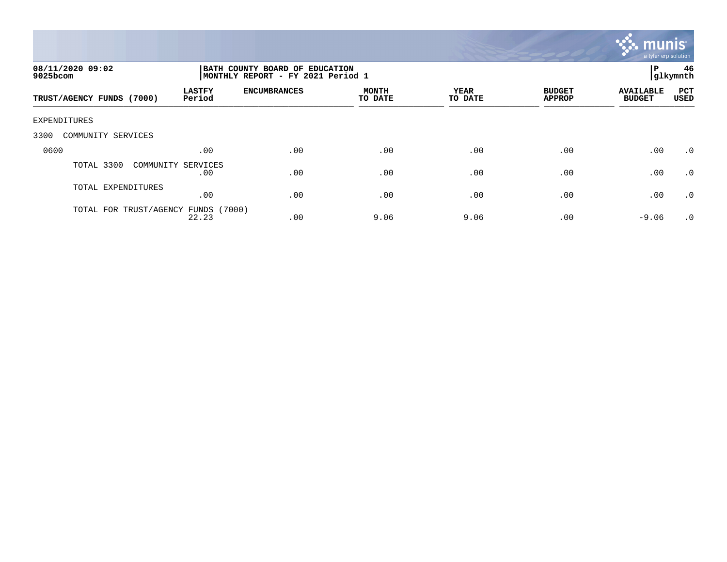

| 08/11/2020 09:02<br>9025bcom        |                           | BATH COUNTY BOARD OF EDUCATION<br>MONTHLY REPORT - FY 2021 Period 1 |                         |                 |                                |                                   |                    |
|-------------------------------------|---------------------------|---------------------------------------------------------------------|-------------------------|-----------------|--------------------------------|-----------------------------------|--------------------|
| TRUST/AGENCY FUNDS (7000)           | <b>LASTFY</b><br>Period   | <b>ENCUMBRANCES</b>                                                 | <b>MONTH</b><br>TO DATE | YEAR<br>TO DATE | <b>BUDGET</b><br><b>APPROP</b> | <b>AVAILABLE</b><br><b>BUDGET</b> | PCT<br><b>USED</b> |
| EXPENDITURES                        |                           |                                                                     |                         |                 |                                |                                   |                    |
| 3300<br>COMMUNITY SERVICES          |                           |                                                                     |                         |                 |                                |                                   |                    |
| 0600                                | .00                       | .00                                                                 | .00                     | .00             | .00                            | .00                               | $\cdot$ 0          |
| TOTAL 3300                          | COMMUNITY SERVICES<br>.00 | .00                                                                 | .00                     | .00             | .00                            | .00                               | $\cdot$ 0          |
| TOTAL EXPENDITURES                  | .00                       | .00                                                                 | .00                     | .00             | .00                            | .00                               | $\cdot$ 0          |
| TOTAL FOR TRUST/AGENCY FUNDS (7000) | 22.23                     | .00                                                                 | 9.06                    | 9.06            | .00                            | $-9.06$                           | $\cdot$ 0          |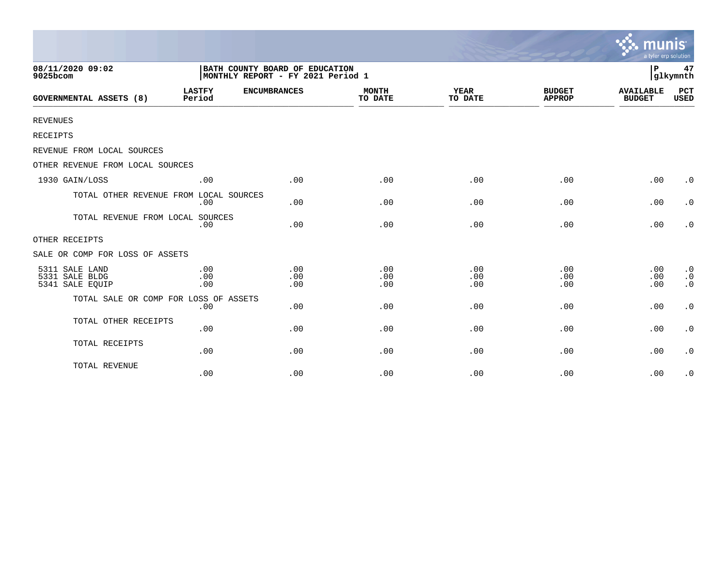|                                                     |                                                                     |                   |                         |                        |                                | munis<br>a tyler erp solution     |                                                  |
|-----------------------------------------------------|---------------------------------------------------------------------|-------------------|-------------------------|------------------------|--------------------------------|-----------------------------------|--------------------------------------------------|
| 08/11/2020 09:02<br>9025bcom                        | BATH COUNTY BOARD OF EDUCATION<br>MONTHLY REPORT - FY 2021 Period 1 | P                 | 47<br>glkymnth          |                        |                                |                                   |                                                  |
| <b>GOVERNMENTAL ASSETS (8)</b>                      | <b>LASTFY</b><br><b>ENCUMBRANCES</b><br>Period                      |                   | <b>MONTH</b><br>TO DATE | <b>YEAR</b><br>TO DATE | <b>BUDGET</b><br><b>APPROP</b> | <b>AVAILABLE</b><br><b>BUDGET</b> | PCT<br><b>USED</b>                               |
| <b>REVENUES</b>                                     |                                                                     |                   |                         |                        |                                |                                   |                                                  |
| RECEIPTS                                            |                                                                     |                   |                         |                        |                                |                                   |                                                  |
| REVENUE FROM LOCAL SOURCES                          |                                                                     |                   |                         |                        |                                |                                   |                                                  |
| OTHER REVENUE FROM LOCAL SOURCES                    |                                                                     |                   |                         |                        |                                |                                   |                                                  |
| 1930 GAIN/LOSS                                      | .00                                                                 | .00               | .00                     | .00                    | .00                            | .00                               | $\cdot$ 0                                        |
| TOTAL OTHER REVENUE FROM LOCAL SOURCES              | .00                                                                 | .00               | .00                     | .00                    | .00                            | .00                               | $\cdot$ 0                                        |
| TOTAL REVENUE FROM LOCAL SOURCES                    | .00                                                                 | .00               | .00                     | .00                    | .00                            | .00                               | $\cdot$ 0                                        |
| OTHER RECEIPTS                                      |                                                                     |                   |                         |                        |                                |                                   |                                                  |
| SALE OR COMP FOR LOSS OF ASSETS                     |                                                                     |                   |                         |                        |                                |                                   |                                                  |
| 5311 SALE LAND<br>5331 SALE BLDG<br>5341 SALE EQUIP | .00<br>.00<br>.00                                                   | .00<br>.00<br>.00 | .00<br>.00<br>.00       | .00<br>.00<br>.00      | .00<br>.00<br>.00              | .00<br>.00<br>.00                 | $\boldsymbol{\cdot}$ 0<br>$\cdot$ 0<br>$\cdot$ 0 |
| TOTAL SALE OR COMP FOR LOSS OF ASSETS               | .00                                                                 | .00               | .00                     | .00                    | .00                            | .00                               | $\boldsymbol{\cdot}$ 0                           |
| TOTAL OTHER RECEIPTS                                | .00                                                                 | .00               | .00                     | .00                    | .00                            | .00                               | $\boldsymbol{\cdot}$ 0                           |
| TOTAL RECEIPTS                                      | .00                                                                 | .00               | .00                     | .00                    | .00                            | .00                               | $\cdot$ 0                                        |
| TOTAL REVENUE                                       | .00                                                                 | .00               | .00                     | .00                    | .00                            | .00                               | $\cdot$ 0                                        |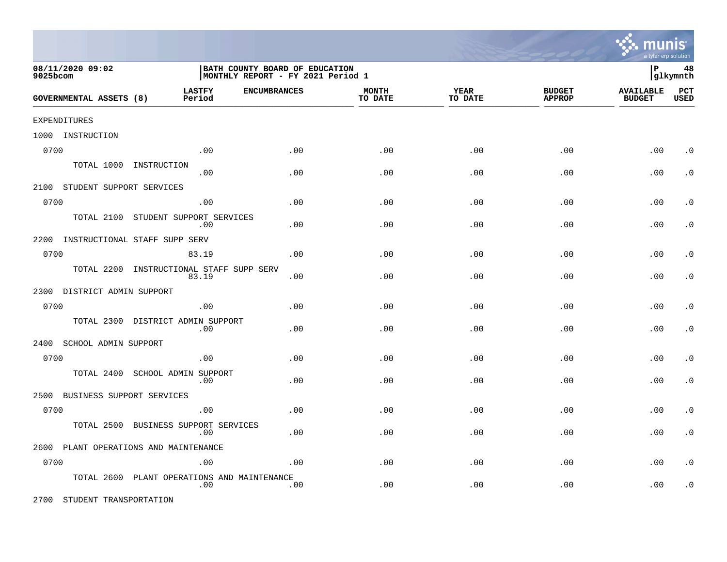

| 08/11/2020 09:02<br>9025bcom       |                                          | BATH COUNTY BOARD OF EDUCATION<br>MONTHLY REPORT - FY 2021 Period 1 |                         |                 |                                |                                   | 48<br> glkymnth    |
|------------------------------------|------------------------------------------|---------------------------------------------------------------------|-------------------------|-----------------|--------------------------------|-----------------------------------|--------------------|
| <b>GOVERNMENTAL ASSETS (8)</b>     | <b>LASTFY</b><br>Period                  | <b>ENCUMBRANCES</b>                                                 | <b>MONTH</b><br>TO DATE | YEAR<br>TO DATE | <b>BUDGET</b><br><b>APPROP</b> | <b>AVAILABLE</b><br><b>BUDGET</b> | PCT<br><b>USED</b> |
| EXPENDITURES                       |                                          |                                                                     |                         |                 |                                |                                   |                    |
| 1000 INSTRUCTION                   |                                          |                                                                     |                         |                 |                                |                                   |                    |
| 0700                               | .00                                      | .00                                                                 | .00                     | .00             | .00                            | .00                               | $\cdot$ 0          |
|                                    | TOTAL 1000 INSTRUCTION<br>.00            | .00                                                                 | .00                     | .00             | .00                            | .00                               | $\cdot$ 0          |
| 2100 STUDENT SUPPORT SERVICES      |                                          |                                                                     |                         |                 |                                |                                   |                    |
| 0700                               | .00                                      | .00                                                                 | .00                     | .00             | .00                            | .00                               | $\cdot$ 0          |
| TOTAL 2100                         | STUDENT SUPPORT SERVICES<br>.00          | .00                                                                 | .00                     | .00             | .00                            | .00                               | $\cdot$ 0          |
| 2200 INSTRUCTIONAL STAFF SUPP SERV |                                          |                                                                     |                         |                 |                                |                                   |                    |
| 0700                               | 83.19                                    | .00.                                                                | .00                     | .00             | $.00 \ \rm$                    | .00                               | $\cdot$ 0          |
| TOTAL 2200                         | INSTRUCTIONAL STAFF SUPP SERV<br>83.19   | .00                                                                 | .00                     | .00             | .00                            | .00                               | $\cdot$ 0          |
| 2300 DISTRICT ADMIN SUPPORT        |                                          |                                                                     |                         |                 |                                |                                   |                    |
| 0700                               | .00                                      | .00                                                                 | .00                     | .00             | .00                            | .00                               | $\cdot$ 0          |
|                                    | TOTAL 2300 DISTRICT ADMIN SUPPORT<br>.00 | .00                                                                 | .00                     | .00             | .00                            | .00                               | $\cdot$ 0          |
| 2400<br>SCHOOL ADMIN SUPPORT       |                                          |                                                                     |                         |                 |                                |                                   |                    |
| 0700                               | .00                                      | .00                                                                 | .00                     | .00             | .00                            | .00                               | $\cdot$ 0          |
| TOTAL 2400                         | SCHOOL ADMIN SUPPORT<br>.00              | .00                                                                 | .00                     | .00             | .00                            | .00                               | $\cdot$ 0          |
| 2500<br>BUSINESS SUPPORT SERVICES  |                                          |                                                                     |                         |                 |                                |                                   |                    |
| 0700                               | .00                                      | .00                                                                 | .00                     | .00             | $.00 \ \rm$                    | .00                               | $\cdot$ 0          |
| TOTAL 2500                         | BUSINESS SUPPORT SERVICES<br>.00         | .00                                                                 | .00                     | .00             | .00                            | .00                               | $\cdot$ 0          |
|                                    | 2600 PLANT OPERATIONS AND MAINTENANCE    |                                                                     |                         |                 |                                |                                   |                    |
| 0700                               | .00                                      | .00.                                                                | .00                     | .00             | .00                            | .00                               | $\cdot$ 0          |
| TOTAL 2600                         | PLANT OPERATIONS AND MAINTENANCE<br>.00  | .00                                                                 | .00                     | .00             | .00                            | .00                               | $\cdot$ 0          |

2700 STUDENT TRANSPORTATION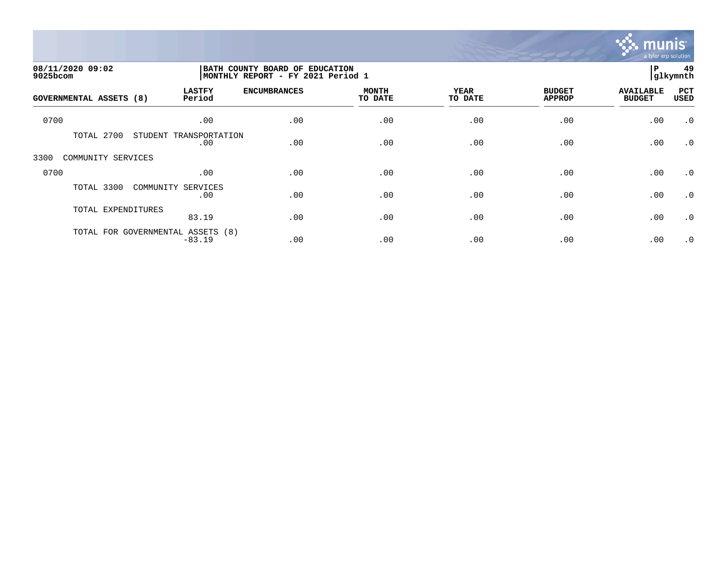

| 08/11/2020 09:02<br>9025bcom   |                                               | BATH COUNTY BOARD OF EDUCATION<br> MONTHLY REPORT - FY 2021 Period 1 |                         |                 |                                |                                   | 49<br>glkymnth |
|--------------------------------|-----------------------------------------------|----------------------------------------------------------------------|-------------------------|-----------------|--------------------------------|-----------------------------------|----------------|
| <b>GOVERNMENTAL ASSETS (8)</b> | <b>LASTFY</b><br>Period                       | <b>ENCUMBRANCES</b>                                                  | <b>MONTH</b><br>TO DATE | YEAR<br>TO DATE | <b>BUDGET</b><br><b>APPROP</b> | <b>AVAILABLE</b><br><b>BUDGET</b> | PCT<br>USED    |
| 0700                           | .00                                           | .00                                                                  | .00                     | .00             | .00                            | .00                               | $\cdot$ 0      |
| TOTAL 2700                     | STUDENT TRANSPORTATION<br>.00                 | .00                                                                  | .00                     | .00             | .00                            | .00                               | $\cdot$ 0      |
| 3300<br>COMMUNITY SERVICES     |                                               |                                                                      |                         |                 |                                |                                   |                |
| 0700                           | .00                                           | .00                                                                  | .00                     | .00             | .00                            | .00                               | $\cdot$ 0      |
| TOTAL 3300                     | COMMUNITY SERVICES<br>.00                     | .00                                                                  | .00                     | .00             | .00                            | .00                               | $\cdot$ 0      |
| TOTAL EXPENDITURES             | 83.19                                         | .00                                                                  | .00                     | .00             | .00                            | .00                               | $\cdot$ 0      |
|                                | TOTAL FOR GOVERNMENTAL ASSETS (8)<br>$-83.19$ | .00                                                                  | .00                     | .00             | .00                            | .00                               | $\cdot$ 0      |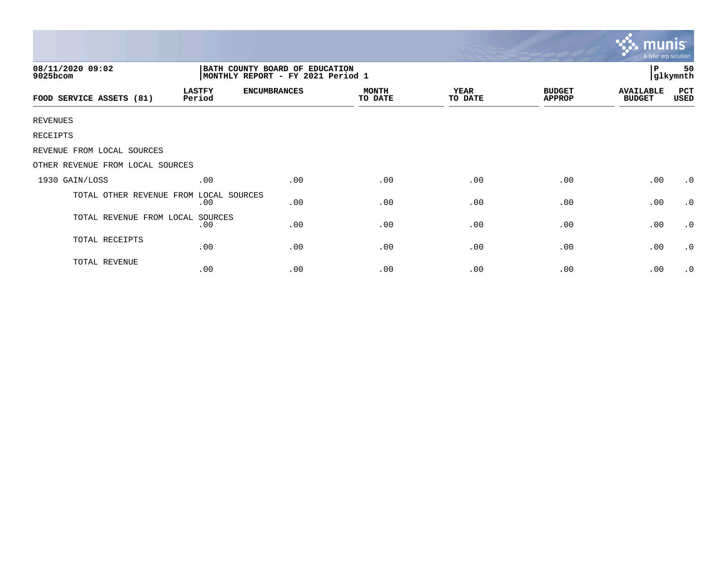|                                  |                                                                     |                     |                         |                        |                                | munis<br>a tyler erp solution     |                |
|----------------------------------|---------------------------------------------------------------------|---------------------|-------------------------|------------------------|--------------------------------|-----------------------------------|----------------|
| 08/11/2020 09:02<br>9025bcom     | BATH COUNTY BOARD OF EDUCATION<br>MONTHLY REPORT - FY 2021 Period 1 |                     |                         |                        |                                | l P                               | 50<br>glkymnth |
| FOOD SERVICE ASSETS (81)         | <b>LASTFY</b><br>Period                                             | <b>ENCUMBRANCES</b> | <b>MONTH</b><br>TO DATE | <b>YEAR</b><br>TO DATE | <b>BUDGET</b><br><b>APPROP</b> | <b>AVAILABLE</b><br><b>BUDGET</b> | PCT<br>USED    |
| <b>REVENUES</b>                  |                                                                     |                     |                         |                        |                                |                                   |                |
| RECEIPTS                         |                                                                     |                     |                         |                        |                                |                                   |                |
| REVENUE FROM LOCAL SOURCES       |                                                                     |                     |                         |                        |                                |                                   |                |
| OTHER REVENUE FROM LOCAL SOURCES |                                                                     |                     |                         |                        |                                |                                   |                |
| 1930 GAIN/LOSS                   | .00                                                                 | .00                 | .00                     | .00                    | .00                            | .00                               | $\cdot$ 0      |
| TOTAL OTHER REVENUE FROM         | LOCAL SOURCES<br>.00                                                | .00                 | .00                     | .00                    | .00                            | .00                               | $\cdot$ 0      |
| TOTAL REVENUE FROM LOCAL         | SOURCES<br>.00                                                      | .00                 | .00                     | .00                    | .00                            | .00                               | $\cdot$ 0      |
| TOTAL RECEIPTS                   | .00                                                                 | .00                 | .00                     | .00                    | .00                            | .00                               | $\cdot$ 0      |
| TOTAL REVENUE                    | .00                                                                 | .00                 | .00                     | .00                    | .00                            | .00                               | $\cdot$ 0      |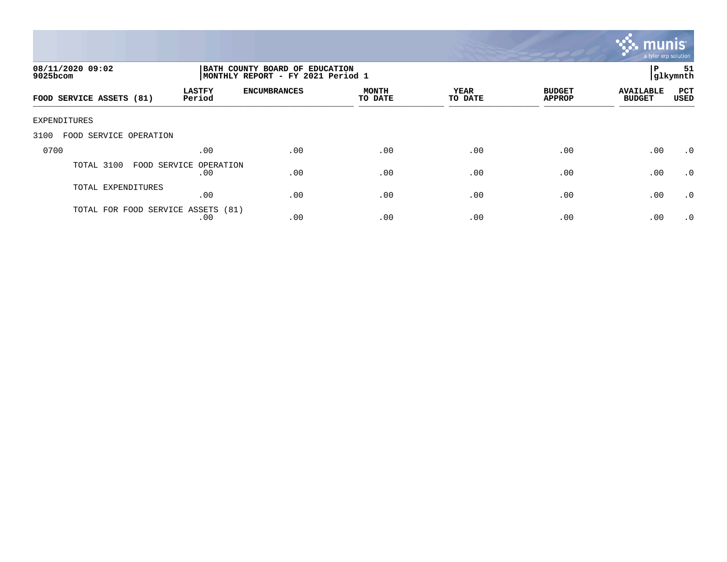

| 08/11/2020 09:02<br>$9025$ bcom    |                               | BATH COUNTY BOARD OF EDUCATION<br>MONTHLY REPORT - FY 2021 Period 1 |                         |                 |                                |                                   |                    |
|------------------------------------|-------------------------------|---------------------------------------------------------------------|-------------------------|-----------------|--------------------------------|-----------------------------------|--------------------|
| FOOD SERVICE ASSETS (81)           | <b>LASTFY</b><br>Period       | <b>ENCUMBRANCES</b>                                                 | <b>MONTH</b><br>TO DATE | YEAR<br>TO DATE | <b>BUDGET</b><br><b>APPROP</b> | <b>AVAILABLE</b><br><b>BUDGET</b> | PCT<br><b>USED</b> |
| EXPENDITURES                       |                               |                                                                     |                         |                 |                                |                                   |                    |
| 3100<br>FOOD SERVICE OPERATION     |                               |                                                                     |                         |                 |                                |                                   |                    |
| 0700                               | .00                           | .00                                                                 | .00                     | .00             | .00                            | .00                               | .0                 |
| TOTAL 3100                         | FOOD SERVICE OPERATION<br>.00 | .00                                                                 | .00                     | .00             | .00                            | .00                               | .0                 |
| TOTAL EXPENDITURES                 | .00                           | .00                                                                 | .00                     | .00             | .00                            | .00                               | $\cdot$ 0          |
| TOTAL FOR FOOD SERVICE ASSETS (81) | .00                           | .00                                                                 | .00                     | .00             | .00                            | .00                               | $\cdot$ 0          |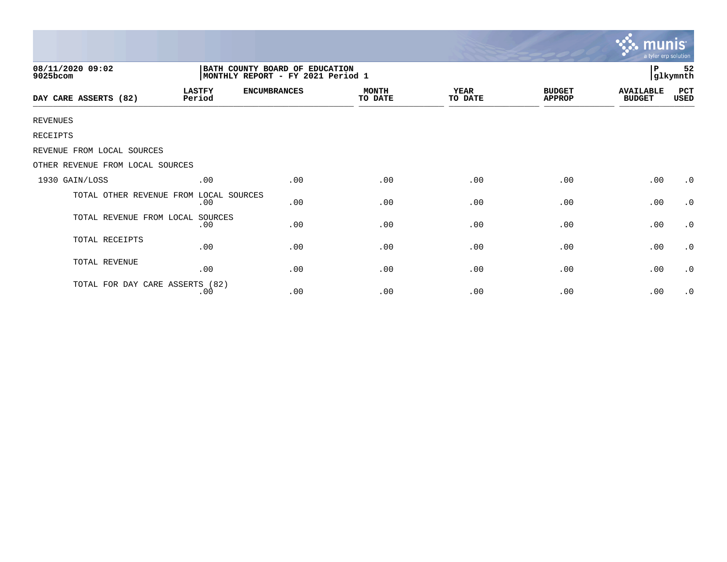|                                        |                                                                      |                     |                         |                 |                                | <b>munis</b><br>a tyler erp solution |                |  |
|----------------------------------------|----------------------------------------------------------------------|---------------------|-------------------------|-----------------|--------------------------------|--------------------------------------|----------------|--|
| 08/11/2020 09:02<br>9025bcom           | BATH COUNTY BOARD OF EDUCATION<br> MONTHLY REPORT - FY 2021 Period 1 |                     |                         |                 |                                | P                                    | 52<br>glkymnth |  |
| DAY CARE ASSERTS (82)                  | <b>LASTFY</b><br>Period                                              | <b>ENCUMBRANCES</b> | <b>MONTH</b><br>TO DATE | YEAR<br>TO DATE | <b>BUDGET</b><br><b>APPROP</b> | <b>AVAILABLE</b><br><b>BUDGET</b>    | PCT<br>USED    |  |
| <b>REVENUES</b>                        |                                                                      |                     |                         |                 |                                |                                      |                |  |
| RECEIPTS                               |                                                                      |                     |                         |                 |                                |                                      |                |  |
| REVENUE FROM LOCAL SOURCES             |                                                                      |                     |                         |                 |                                |                                      |                |  |
| OTHER REVENUE FROM LOCAL SOURCES       |                                                                      |                     |                         |                 |                                |                                      |                |  |
| 1930 GAIN/LOSS                         | .00                                                                  | .00                 | .00                     | .00             | .00                            | .00                                  | $\cdot$ 0      |  |
| TOTAL OTHER REVENUE FROM LOCAL SOURCES | .00                                                                  | .00                 | .00                     | .00             | .00                            | .00                                  | $\cdot$ 0      |  |
| TOTAL REVENUE FROM LOCAL               | SOURCES<br>.00                                                       | .00                 | .00                     | .00             | .00                            | .00                                  | $\cdot$ 0      |  |
| TOTAL RECEIPTS                         | .00                                                                  | .00                 | .00                     | .00             | .00                            | .00                                  | $\cdot$ 0      |  |
| TOTAL REVENUE                          | .00                                                                  | .00                 | .00                     | .00             | .00                            | .00                                  | $\cdot$ 0      |  |
| TOTAL FOR DAY CARE ASSERTS (82)        | .00                                                                  | .00                 | .00                     | .00             | .00                            | .00                                  | $\cdot$ 0      |  |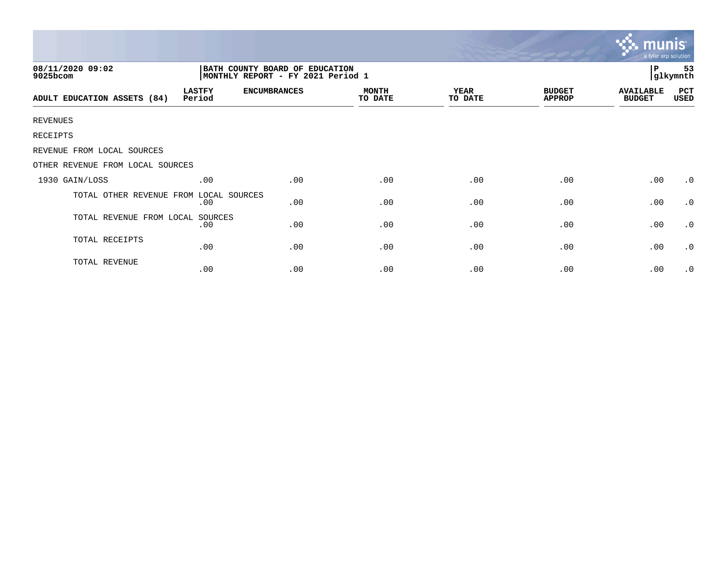|                                                                                                     |                         |                     |                         |                        |                                | $\overline{\mathsf{m} \mathsf{u}}$ nıs'<br>a tyler erp solution |             |
|-----------------------------------------------------------------------------------------------------|-------------------------|---------------------|-------------------------|------------------------|--------------------------------|-----------------------------------------------------------------|-------------|
| 08/11/2020 09:02<br>BATH COUNTY BOARD OF EDUCATION<br>MONTHLY REPORT - FY 2021 Period 1<br>9025bcom |                         |                     |                         |                        | P<br>53<br>glkymnth            |                                                                 |             |
| ADULT EDUCATION ASSETS (84)                                                                         | <b>LASTFY</b><br>Period | <b>ENCUMBRANCES</b> | <b>MONTH</b><br>TO DATE | <b>YEAR</b><br>TO DATE | <b>BUDGET</b><br><b>APPROP</b> | <b>AVAILABLE</b><br><b>BUDGET</b>                               | PCT<br>USED |
| <b>REVENUES</b>                                                                                     |                         |                     |                         |                        |                                |                                                                 |             |
| RECEIPTS                                                                                            |                         |                     |                         |                        |                                |                                                                 |             |
| REVENUE FROM LOCAL SOURCES                                                                          |                         |                     |                         |                        |                                |                                                                 |             |
| OTHER REVENUE FROM LOCAL SOURCES                                                                    |                         |                     |                         |                        |                                |                                                                 |             |
| 1930 GAIN/LOSS                                                                                      | .00                     | .00                 | .00                     | .00                    | .00                            | .00                                                             | $\cdot$ 0   |
| TOTAL OTHER REVENUE FROM                                                                            | LOCAL SOURCES<br>.00    | .00                 | .00                     | .00                    | .00                            | .00                                                             | $\cdot$ 0   |
| TOTAL REVENUE FROM LOCAL                                                                            | SOURCES<br>.00          | .00                 | .00                     | .00                    | .00                            | .00                                                             | $\cdot$ 0   |
| TOTAL RECEIPTS                                                                                      | .00                     | .00                 | .00                     | .00                    | .00                            | .00                                                             | $\cdot$ 0   |
| TOTAL REVENUE                                                                                       | .00                     | .00                 | .00                     | .00                    | .00                            | .00                                                             | $\cdot$ 0   |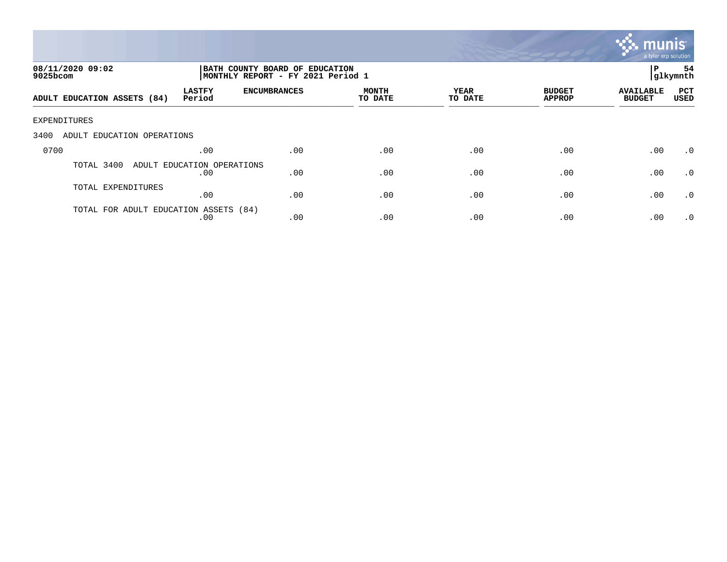

| 08/11/2020 09:02<br>9025bcom          |                                   | BATH COUNTY BOARD OF EDUCATION<br>MONTHLY REPORT - FY 2021 Period 1 |                         |                 |                                |                                   | 54<br> glkymnth    |
|---------------------------------------|-----------------------------------|---------------------------------------------------------------------|-------------------------|-----------------|--------------------------------|-----------------------------------|--------------------|
| ADULT EDUCATION ASSETS (84)           | <b>LASTFY</b><br>Period           | <b>ENCUMBRANCES</b>                                                 | <b>MONTH</b><br>TO DATE | YEAR<br>TO DATE | <b>BUDGET</b><br><b>APPROP</b> | <b>AVAILABLE</b><br><b>BUDGET</b> | PCT<br><b>USED</b> |
| EXPENDITURES                          |                                   |                                                                     |                         |                 |                                |                                   |                    |
| 3400<br>ADULT EDUCATION OPERATIONS    |                                   |                                                                     |                         |                 |                                |                                   |                    |
| 0700                                  | .00                               | .00                                                                 | .00                     | .00             | .00                            | .00                               | $\cdot$ 0          |
| TOTAL 3400                            | ADULT EDUCATION OPERATIONS<br>.00 | .00                                                                 | .00                     | .00             | .00                            | .00                               | $\cdot$ 0          |
| TOTAL EXPENDITURES                    | .00                               | .00                                                                 | .00                     | .00             | .00                            | .00                               | .0                 |
| TOTAL FOR ADULT EDUCATION ASSETS (84) | .00                               | .00                                                                 | .00                     | .00             | .00                            | .00                               | $\cdot$ 0          |